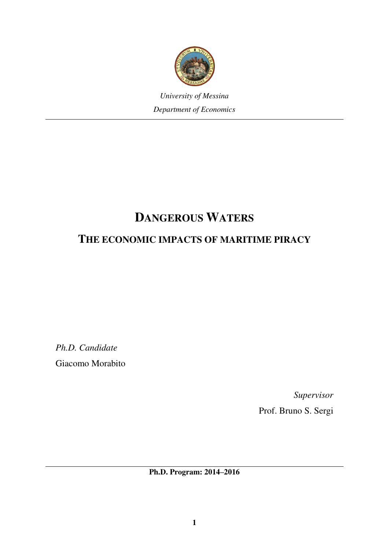

*University of Messina Department of Economics* 

# **DANGEROUS WATERS**

# **THE ECONOMIC IMPACTS OF MARITIME PIRACY**

*Ph.D. Candidate*  Giacomo Morabito

*Supervisor* 

Prof. Bruno S. Sergi

**Ph.D. Program: 2014–2016**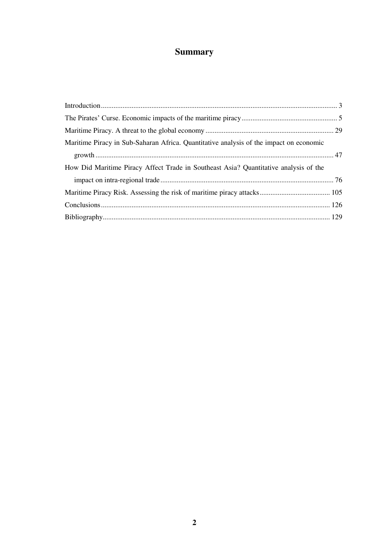# **Summary**

| Maritime Piracy in Sub-Saharan Africa. Quantitative analysis of the impact on economic |
|----------------------------------------------------------------------------------------|
|                                                                                        |
| How Did Maritime Piracy Affect Trade in Southeast Asia? Quantitative analysis of the   |
|                                                                                        |
|                                                                                        |
|                                                                                        |
|                                                                                        |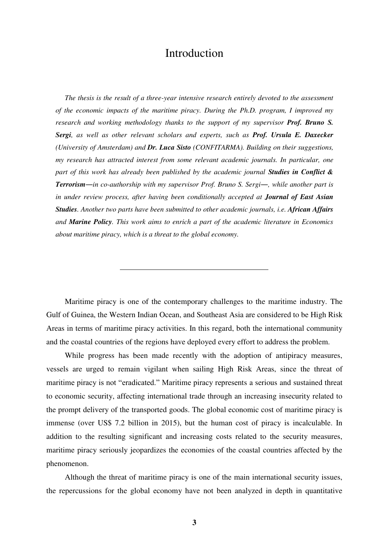# Introduction

<span id="page-2-0"></span>*The thesis is the result of a three-year intensive research entirely devoted to the assessment of the economic impacts of the maritime piracy. During the Ph.D. program, I improved my research and working methodology thanks to the support of my supervisor Prof. Bruno S. Sergi, as well as other relevant scholars and experts, such as Prof. Ursula E. Daxecker (University of Amsterdam) and Dr. Luca Sisto (CONFITARMA). Building on their suggestions, my research has attracted interest from some relevant academic journals. In particular, one part of this work has already been published by the academic journal Studies in Conflict & Terrorism―in co-authorship with my supervisor Prof. Bruno S. Sergi―, while another part is in under review process, after having been conditionally accepted at Journal of East Asian Studies. Another two parts have been submitted to other academic journals, i.e. African Affairs and Marine Policy. This work aims to enrich a part of the academic literature in Economics about maritime piracy, which is a threat to the global economy.* 

Maritime piracy is one of the contemporary challenges to the maritime industry. The Gulf of Guinea, the Western Indian Ocean, and Southeast Asia are considered to be High Risk Areas in terms of maritime piracy activities. In this regard, both the international community and the coastal countries of the regions have deployed every effort to address the problem.

While progress has been made recently with the adoption of antipiracy measures, vessels are urged to remain vigilant when sailing High Risk Areas, since the threat of maritime piracy is not "eradicated." Maritime piracy represents a serious and sustained threat to economic security, affecting international trade through an increasing insecurity related to the prompt delivery of the transported goods. The global economic cost of maritime piracy is immense (over US\$ 7.2 billion in 2015), but the human cost of piracy is incalculable. In addition to the resulting significant and increasing costs related to the security measures, maritime piracy seriously jeopardizes the economies of the coastal countries affected by the phenomenon.

Although the threat of maritime piracy is one of the main international security issues, the repercussions for the global economy have not been analyzed in depth in quantitative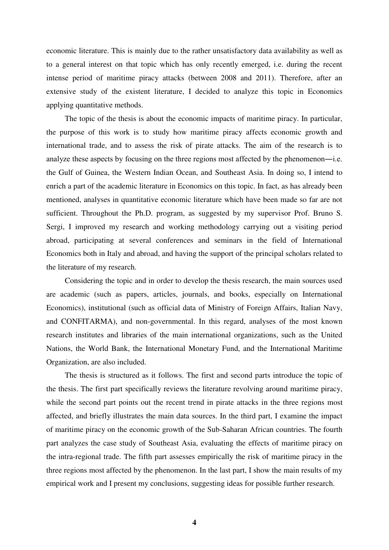economic literature. This is mainly due to the rather unsatisfactory data availability as well as to a general interest on that topic which has only recently emerged, i.e. during the recent intense period of maritime piracy attacks (between 2008 and 2011). Therefore, after an extensive study of the existent literature, I decided to analyze this topic in Economics applying quantitative methods.

The topic of the thesis is about the economic impacts of maritime piracy. In particular, the purpose of this work is to study how maritime piracy affects economic growth and international trade, and to assess the risk of pirate attacks. The aim of the research is to analyze these aspects by focusing on the three regions most affected by the phenomenon―i.e. the Gulf of Guinea, the Western Indian Ocean, and Southeast Asia. In doing so, I intend to enrich a part of the academic literature in Economics on this topic. In fact, as has already been mentioned, analyses in quantitative economic literature which have been made so far are not sufficient. Throughout the Ph.D. program, as suggested by my supervisor Prof. Bruno S. Sergi, I improved my research and working methodology carrying out a visiting period abroad, participating at several conferences and seminars in the field of International Economics both in Italy and abroad, and having the support of the principal scholars related to the literature of my research.

Considering the topic and in order to develop the thesis research, the main sources used are academic (such as papers, articles, journals, and books, especially on International Economics), institutional (such as official data of Ministry of Foreign Affairs, Italian Navy, and CONFITARMA), and non-governmental. In this regard, analyses of the most known research institutes and libraries of the main international organizations, such as the United Nations, the World Bank, the International Monetary Fund, and the International Maritime Organization, are also included.

The thesis is structured as it follows. The first and second parts introduce the topic of the thesis. The first part specifically reviews the literature revolving around maritime piracy, while the second part points out the recent trend in pirate attacks in the three regions most affected, and briefly illustrates the main data sources. In the third part, I examine the impact of maritime piracy on the economic growth of the Sub-Saharan African countries. The fourth part analyzes the case study of Southeast Asia, evaluating the effects of maritime piracy on the intra-regional trade. The fifth part assesses empirically the risk of maritime piracy in the three regions most affected by the phenomenon. In the last part, I show the main results of my empirical work and I present my conclusions, suggesting ideas for possible further research.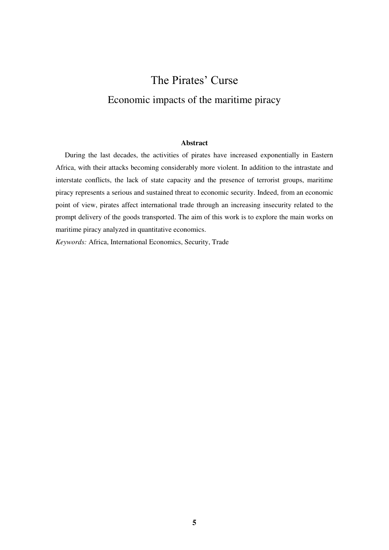# <span id="page-4-0"></span>The Pirates' Curse Economic impacts of the maritime piracy

#### **Abstract**

<span id="page-4-1"></span>During the last decades, the activities of pirates have increased exponentially in Eastern Africa, with their attacks becoming considerably more violent. In addition to the intrastate and interstate conflicts, the lack of state capacity and the presence of terrorist groups, maritime piracy represents a serious and sustained threat to economic security. Indeed, from an economic point of view, pirates affect international trade through an increasing insecurity related to the prompt delivery of the goods transported. The aim of this work is to explore the main works on maritime piracy analyzed in quantitative economics.

*Keywords:* Africa, International Economics, Security, Trade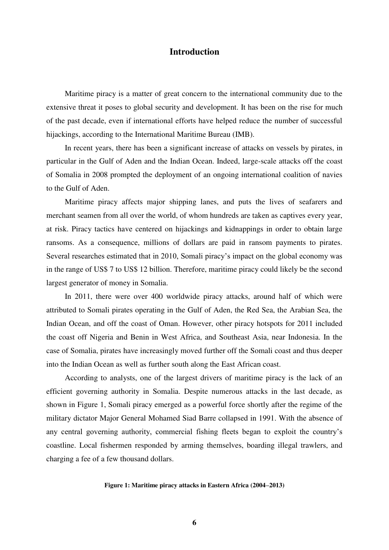## **Introduction**

Maritime piracy is a matter of great concern to the international community due to the extensive threat it poses to global security and development. It has been on the rise for much of the past decade, even if international efforts have helped reduce the number of successful hijackings, according to the International Maritime Bureau (IMB).

In recent years, there has been a significant increase of attacks on vessels by pirates, in particular in the Gulf of Aden and the Indian Ocean. Indeed, large-scale attacks off the coast of Somalia in 2008 prompted the deployment of an ongoing international coalition of navies to the Gulf of Aden.

Maritime piracy affects major shipping lanes, and puts the lives of seafarers and merchant seamen from all over the world, of whom hundreds are taken as captives every year, at risk. Piracy tactics have centered on hijackings and kidnappings in order to obtain large ransoms. As a consequence, millions of dollars are paid in ransom payments to pirates. Several researches estimated that in 2010, Somali piracy's impact on the global economy was in the range of US\$ 7 to US\$ 12 billion. Therefore, maritime piracy could likely be the second largest generator of money in Somalia.

In 2011, there were over 400 worldwide piracy attacks, around half of which were attributed to Somali pirates operating in the Gulf of Aden, the Red Sea, the Arabian Sea, the Indian Ocean, and off the coast of Oman. However, other piracy hotspots for 2011 included the coast off Nigeria and Benin in West Africa, and Southeast Asia, near Indonesia. In the case of Somalia, pirates have increasingly moved further off the Somali coast and thus deeper into the Indian Ocean as well as further south along the East African coast.

According to analysts, one of the largest drivers of maritime piracy is the lack of an efficient governing authority in Somalia. Despite numerous attacks in the last decade, as shown in Figure 1, Somali piracy emerged as a powerful force shortly after the regime of the military dictator Major General Mohamed Siad Barre collapsed in 1991. With the absence of any central governing authority, commercial fishing fleets began to exploit the country's coastline. Local fishermen responded by arming themselves, boarding illegal trawlers, and charging a fee of a few thousand dollars.

#### **Figure 1: Maritime piracy attacks in Eastern Africa (2004–2013)**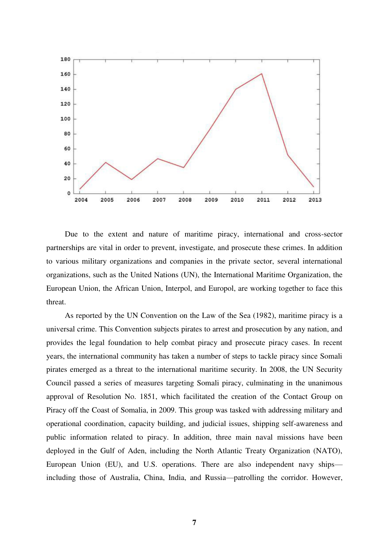

Due to the extent and nature of maritime piracy, international and cross-sector partnerships are vital in order to prevent, investigate, and prosecute these crimes. In addition to various military organizations and companies in the private sector, several international organizations, such as the United Nations (UN), the International Maritime Organization, the European Union, the African Union, Interpol, and Europol, are working together to face this threat.

As reported by the UN Convention on the Law of the Sea (1982), maritime piracy is a universal crime. This Convention subjects pirates to arrest and prosecution by any nation, and provides the legal foundation to help combat piracy and prosecute piracy cases. In recent years, the international community has taken a number of steps to tackle piracy since Somali pirates emerged as a threat to the international maritime security. In 2008, the UN Security Council passed a series of measures targeting Somali piracy, culminating in the unanimous approval of Resolution No. 1851, which facilitated the creation of the Contact Group on Piracy off the Coast of Somalia, in 2009. This group was tasked with addressing military and operational coordination, capacity building, and judicial issues, shipping self-awareness and public information related to piracy. In addition, three main naval missions have been deployed in the Gulf of Aden, including the North Atlantic Treaty Organization (NATO), European Union (EU), and U.S. operations. There are also independent navy ships including those of Australia, China, India, and Russia—patrolling the corridor. However,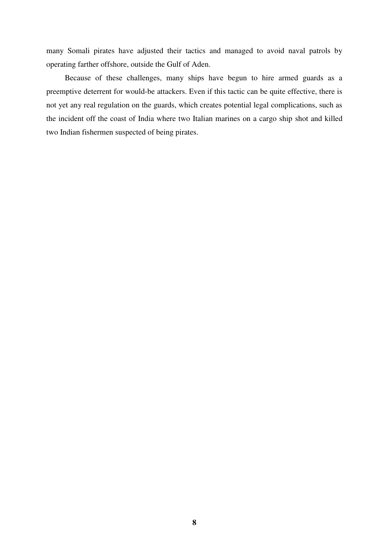many Somali pirates have adjusted their tactics and managed to avoid naval patrols by operating farther offshore, outside the Gulf of Aden.

Because of these challenges, many ships have begun to hire armed guards as a preemptive deterrent for would-be attackers. Even if this tactic can be quite effective, there is not yet any real regulation on the guards, which creates potential legal complications, such as the incident off the coast of India where two Italian marines on a cargo ship shot and killed two Indian fishermen suspected of being pirates.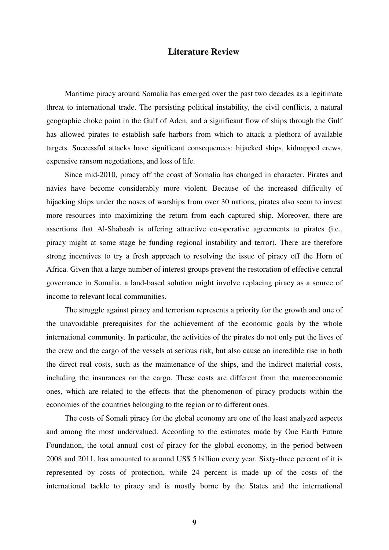## **Literature Review**

Maritime piracy around Somalia has emerged over the past two decades as a legitimate threat to international trade. The persisting political instability, the civil conflicts, a natural geographic choke point in the Gulf of Aden, and a significant flow of ships through the Gulf has allowed pirates to establish safe harbors from which to attack a plethora of available targets. Successful attacks have significant consequences: hijacked ships, kidnapped crews, expensive ransom negotiations, and loss of life.

Since mid-2010, piracy off the coast of Somalia has changed in character. Pirates and navies have become considerably more violent. Because of the increased difficulty of hijacking ships under the noses of warships from over 30 nations, pirates also seem to invest more resources into maximizing the return from each captured ship. Moreover, there are assertions that Al-Shabaab is offering attractive co-operative agreements to pirates (i.e., piracy might at some stage be funding regional instability and terror). There are therefore strong incentives to try a fresh approach to resolving the issue of piracy off the Horn of Africa. Given that a large number of interest groups prevent the restoration of effective central governance in Somalia, a land-based solution might involve replacing piracy as a source of income to relevant local communities.

The struggle against piracy and terrorism represents a priority for the growth and one of the unavoidable prerequisites for the achievement of the economic goals by the whole international community. In particular, the activities of the pirates do not only put the lives of the crew and the cargo of the vessels at serious risk, but also cause an incredible rise in both the direct real costs, such as the maintenance of the ships, and the indirect material costs, including the insurances on the cargo. These costs are different from the macroeconomic ones, which are related to the effects that the phenomenon of piracy products within the economies of the countries belonging to the region or to different ones.

The costs of Somali piracy for the global economy are one of the least analyzed aspects and among the most undervalued. According to the estimates made by One Earth Future Foundation, the total annual cost of piracy for the global economy, in the period between 2008 and 2011, has amounted to around US\$ 5 billion every year. Sixty-three percent of it is represented by costs of protection, while 24 percent is made up of the costs of the international tackle to piracy and is mostly borne by the States and the international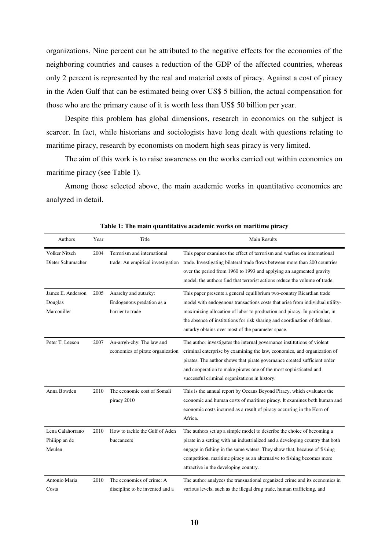organizations. Nine percent can be attributed to the negative effects for the economies of the neighboring countries and causes a reduction of the GDP of the affected countries, whereas only 2 percent is represented by the real and material costs of piracy. Against a cost of piracy in the Aden Gulf that can be estimated being over US\$ 5 billion, the actual compensation for those who are the primary cause of it is worth less than US\$ 50 billion per year.

Despite this problem has global dimensions, research in economics on the subject is scarcer. In fact, while historians and sociologists have long dealt with questions relating to maritime piracy, research by economists on modern high seas piracy is very limited.

The aim of this work is to raise awareness on the works carried out within economics on maritime piracy (see Table 1).

Among those selected above, the main academic works in quantitative economics are analyzed in detail.

| Authors                                     | Year | Title                                                                 | <b>Main Results</b>                                                                                                                                                                                                                                                                                                                                                   |
|---------------------------------------------|------|-----------------------------------------------------------------------|-----------------------------------------------------------------------------------------------------------------------------------------------------------------------------------------------------------------------------------------------------------------------------------------------------------------------------------------------------------------------|
| <b>Volker Nitsch</b><br>Dieter Schumacher   | 2004 | Terrorism and international<br>trade: An empirical investigation      | This paper examines the effect of terrorism and warfare on international<br>trade. Investigating bilateral trade flows between more than 200 countries<br>over the period from 1960 to 1993 and applying an augmented gravity<br>model, the authors find that terrorist actions reduce the volume of trade.                                                           |
| James E. Anderson<br>Douglas<br>Marcouiller | 2005 | Anarchy and autarky:<br>Endogenous predation as a<br>barrier to trade | This paper presents a general equilibrium two-country Ricardian trade<br>model with endogenous transactions costs that arise from individual utility-<br>maximizing allocation of labor to production and piracy. In particular, in<br>the absence of institutions for risk sharing and coordination of defense,<br>autarky obtains over most of the parameter space. |
| Peter T. Leeson                             | 2007 | An-arrgh-chy: The law and<br>economics of pirate organization         | The author investigates the internal governance institutions of violent<br>criminal enterprise by examining the law, economics, and organization of<br>pirates. The author shows that pirate governance created sufficient order<br>and cooperation to make pirates one of the most sophisticated and<br>successful criminal organizations in history.                |
| Anna Bowden                                 | 2010 | The economic cost of Somali<br>piracy 2010                            | This is the annual report by Oceans Beyond Piracy, which evaluates the<br>economic and human costs of maritime piracy. It examines both human and<br>economic costs incurred as a result of piracy occurring in the Horn of<br>Africa.                                                                                                                                |
| Lena Calahorrano<br>Philipp an de<br>Meulen | 2010 | How to tackle the Gulf of Aden<br>buccaneers                          | The authors set up a simple model to describe the choice of becoming a<br>pirate in a setting with an industrialized and a developing country that both<br>engage in fishing in the same waters. They show that, because of fishing<br>competition, maritime piracy as an alternative to fishing becomes more<br>attractive in the developing country.                |
| Antonio Maria<br>Costa                      | 2010 | The economics of crime: A<br>discipline to be invented and a          | The author analyzes the transnational organized crime and its economics in<br>various levels, such as the illegal drug trade, human trafficking, and                                                                                                                                                                                                                  |

**Table 1: The main quantitative academic works on maritime piracy**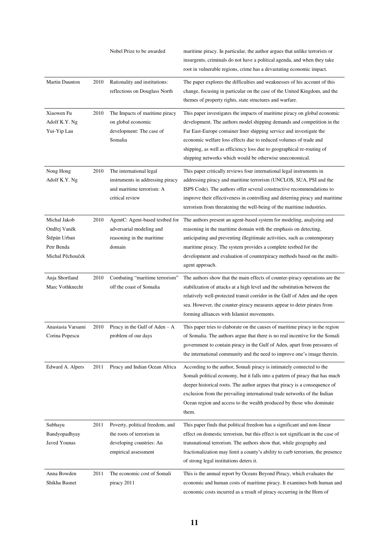|                                                                                |      | Nobel Prize to be awarded                                                                                        | maritime piracy. In particular, the author argues that unlike terrorists or<br>insurgents, criminals do not have a political agenda, and when they take<br>root in vulnerable regions, crime has a devastating economic impact.                                                                                                                                                                                                        |
|--------------------------------------------------------------------------------|------|------------------------------------------------------------------------------------------------------------------|----------------------------------------------------------------------------------------------------------------------------------------------------------------------------------------------------------------------------------------------------------------------------------------------------------------------------------------------------------------------------------------------------------------------------------------|
| Martin Daunton                                                                 | 2010 | Rationality and institutions:<br>reflections on Douglass North                                                   | The paper explores the difficulties and weaknesses of his account of this<br>change, focusing in particular on the case of the United Kingdom, and the<br>themes of property rights, state structures and warfare.                                                                                                                                                                                                                     |
| Xiaowen Fu<br>Adolf K.Y. Ng<br>Yui-Yip Lau                                     | 2010 | The Impacts of maritime piracy<br>on global economic<br>development: The case of<br>Somalia                      | This paper investigates the impacts of maritime piracy on global economic<br>development. The authors model shipping demands and competition in the<br>Far East-Europe container liner shipping service and investigate the<br>economic welfare loss effects due to reduced volumes of trade and<br>shipping, as well as efficiency loss due to geographical re-routing of<br>shipping networks which would be otherwise uneconomical. |
| Nong Hong<br>Adolf K.Y. Ng                                                     | 2010 | The international legal<br>instruments in addressing piracy<br>and maritime terrorism: A<br>critical review      | This paper critically reviews four international legal instruments in<br>addressing piracy and maritime terrorism (UNCLOS, SUA, PSI and the<br>ISPS Code). The authors offer several constructive recommendations to<br>improve their effectiveness in controlling and deterring piracy and maritime<br>terrorism from threatening the well-being of the maritime industries.                                                          |
| Michal Jakob<br>Ondřej Vaněk<br>Štěpán Urban<br>Petr Benda<br>Michal Pěchouček | 2010 | AgentC: Agent-based testbed for<br>adversarial modeling and<br>reasoning in the maritime<br>domain               | The authors present an agent-based system for modeling, analyzing and<br>reasoning in the maritime domain with the emphasis on detecting,<br>anticipating and preventing illegitimate activities, such as contemporary<br>maritime piracy. The system provides a complete testbed for the<br>development and evaluation of counterpiracy methods based on the multi-<br>agent approach.                                                |
| Anja Shortland<br>Marc Vothknecht                                              | 2010 | Combating "maritime terrorism"<br>off the coast of Somalia                                                       | The authors show that the main effects of counter-piracy operations are the<br>stabilization of attacks at a high level and the substitution between the<br>relatively well-protected transit corridor in the Gulf of Aden and the open<br>sea. However, the counter-piracy measures appear to deter pirates from<br>forming alliances with Islamist movements.                                                                        |
| Anastasia Varsami<br>Corina Popescu                                            | 2010 | Piracy in the Gulf of $Aden - A$<br>problem of our days                                                          | This paper tries to elaborate on the causes of maritime piracy in the region<br>of Somalia. The authors argue that there is no real incentive for the Somali<br>government to contain piracy in the Gulf of Aden, apart from pressures of<br>the international community and the need to improve one's image therein.                                                                                                                  |
| Edward A. Alpers                                                               | 2011 | Piracy and Indian Ocean Africa                                                                                   | According to the author, Somali piracy is intimately connected to the<br>Somali political economy, but it falls into a pattern of piracy that has much<br>deeper historical roots. The author argues that piracy is a consequence of<br>exclusion from the prevailing international trade networks of the Indian<br>Ocean region and access to the wealth produced by those who dominate<br>them.                                      |
| Subhayu<br>Bandyopadhyay<br>Javed Younas                                       | 2011 | Poverty, political freedom, and<br>the roots of terrorism in<br>developing countries: An<br>empirical assessment | This paper finds that political freedom has a significant and non-linear<br>effect on domestic terrorism, but this effect is not significant in the case of<br>transnational terrorism. The authors show that, while geography and<br>fractionalization may limit a county's ability to curb terrorism, the presence<br>of strong legal institutions deters it.                                                                        |
| Anna Bowden<br>Shikha Basnet                                                   | 2011 | The economic cost of Somali<br>piracy 2011                                                                       | This is the annual report by Oceans Beyond Piracy, which evaluates the<br>economic and human costs of maritime piracy. It examines both human and<br>economic costs incurred as a result of piracy occurring in the Horn of                                                                                                                                                                                                            |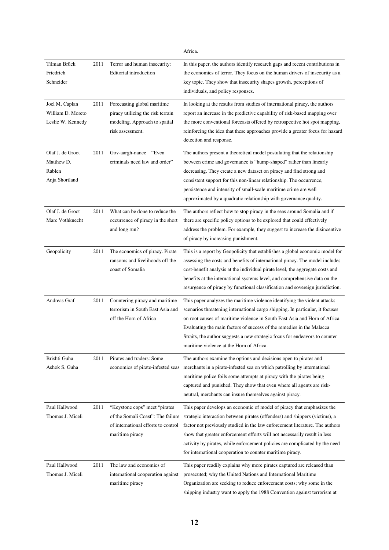|                                                            |      |                                                                                                                              | Africa.                                                                                                                                                                                                                                                                                                                                                                                                                                                        |
|------------------------------------------------------------|------|------------------------------------------------------------------------------------------------------------------------------|----------------------------------------------------------------------------------------------------------------------------------------------------------------------------------------------------------------------------------------------------------------------------------------------------------------------------------------------------------------------------------------------------------------------------------------------------------------|
| Tilman Brück<br>Friedrich<br>Schneider                     | 2011 | Terror and human insecurity:<br><b>Editorial introduction</b>                                                                | In this paper, the authors identify research gaps and recent contributions in<br>the economics of terror. They focus on the human drivers of insecurity as a<br>key topic. They show that insecurity shapes growth, perceptions of<br>individuals, and policy responses.                                                                                                                                                                                       |
| Joel M. Caplan<br>William D. Moreto<br>Leslie W. Kennedy   | 2011 | Forecasting global maritime<br>piracy utilizing the risk terrain<br>modeling. Approach to spatial<br>risk assessment.        | In looking at the results from studies of international piracy, the authors<br>report an increase in the predictive capability of risk-based mapping over<br>the more conventional forecasts offered by retrospective hot spot mapping,<br>reinforcing the idea that these approaches provide a greater focus for hazard<br>detection and response.                                                                                                            |
| Olaf J. de Groot<br>Matthew D.<br>Rablen<br>Anja Shortland | 2011 | Gov-aargh-nance - "Even<br>criminals need law and order"                                                                     | The authors present a theoretical model postulating that the relationship<br>between crime and governance is "hump-shaped" rather than linearly<br>decreasing. They create a new dataset on piracy and find strong and<br>consistent support for this non-linear relationship. The occurrence,<br>persistence and intensity of small-scale maritime crime are well<br>approximated by a quadratic relationship with governance quality.                        |
| Olaf J. de Groot<br>Marc Vothknecht                        | 2011 | What can be done to reduce the<br>occurrence of piracy in the short<br>and long run?                                         | The authors reflect how to stop piracy in the seas around Somalia and if<br>there are specific policy options to be explored that could effectively<br>address the problem. For example, they suggest to increase the disincentive<br>of piracy by increasing punishment.                                                                                                                                                                                      |
| Geopolicity                                                | 2011 | The economics of piracy. Pirate<br>ransoms and livelihoods off the<br>coast of Somalia                                       | This is a report by Geopolicity that establishes a global economic model for<br>assessing the costs and benefits of international piracy. The model includes<br>cost-benefit analysis at the individual pirate level, the aggregate costs and<br>benefits at the international systems level, and comprehensive data on the<br>resurgence of piracy by functional classification and sovereign jurisdiction.                                                   |
| Andreas Graf                                               | 2011 | Countering piracy and maritime<br>terrorism in South East Asia and<br>off the Horn of Africa                                 | This paper analyzes the maritime violence identifying the violent attacks<br>scenarios threatening international cargo shipping. In particular, it focuses<br>on root causes of maritime violence in South East Asia and Horn of Africa.<br>Evaluating the main factors of success of the remedies in the Malacca<br>Straits, the author suggests a new strategic focus for endeavors to counter<br>maritime violence at the Horn of Africa.                   |
| Brishti Guha<br>Ashok S. Guha                              | 2011 | Pirates and traders: Some<br>economics of pirate-infested seas                                                               | The authors examine the options and decisions open to pirates and<br>merchants in a pirate-infested sea on which patrolling by international<br>maritime police foils some attempts at piracy with the pirates being<br>captured and punished. They show that even where all agents are risk-<br>neutral, merchants can insure themselves against piracy.                                                                                                      |
| Paul Hallwood<br>Thomas J. Miceli                          | 2011 | "Keystone cops" meet "pirates<br>of the Somali Coast": The failure<br>of international efforts to control<br>maritime piracy | This paper develops an economic of model of piracy that emphasizes the<br>strategic interaction between pirates (offenders) and shippers (victims), a<br>factor not previously studied in the law enforcement literature. The authors<br>show that greater enforcement efforts will not necessarily result in less<br>activity by pirates, while enforcement policies are complicated by the need<br>for international cooperation to counter maritime piracy. |
| Paul Hallwood<br>Thomas J. Miceli                          | 2011 | The law and economics of<br>international cooperation against<br>maritime piracy                                             | This paper readily explains why more pirates captured are released than<br>prosecuted; why the United Nations and International Maritime<br>Organization are seeking to reduce enforcement costs; why some in the<br>shipping industry want to apply the 1988 Convention against terrorism at                                                                                                                                                                  |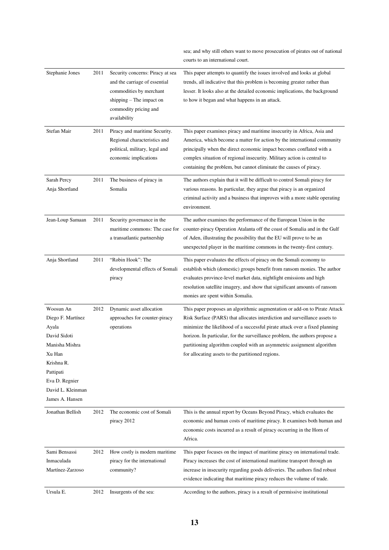|                                                                                                                                                                          |      |                                                                                                                                                                     | sea; and why still others want to move prosecution of pirates out of national<br>courts to an international court.                                                                                                                                                                                                                                                                                                                                    |
|--------------------------------------------------------------------------------------------------------------------------------------------------------------------------|------|---------------------------------------------------------------------------------------------------------------------------------------------------------------------|-------------------------------------------------------------------------------------------------------------------------------------------------------------------------------------------------------------------------------------------------------------------------------------------------------------------------------------------------------------------------------------------------------------------------------------------------------|
| Stephanie Jones                                                                                                                                                          | 2011 | Security concerns: Piracy at sea<br>and the carriage of essential<br>commodities by merchant<br>shipping $-$ The impact on<br>commodity pricing and<br>availability | This paper attempts to quantify the issues involved and looks at global<br>trends, all indicative that this problem is becoming greater rather than<br>lesser. It looks also at the detailed economic implications, the background<br>to how it began and what happens in an attack.                                                                                                                                                                  |
| Stefan Mair                                                                                                                                                              | 2011 | Piracy and maritime Security.<br>Regional characteristics and<br>political, military, legal and<br>economic implications                                            | This paper examines piracy and maritime insecurity in Africa, Asia and<br>America, which become a matter for action by the international community<br>principally when the direct economic impact becomes conflated with a<br>complex situation of regional insecurity. Military action is central to<br>containing the problem, but cannot eliminate the causes of piracy.                                                                           |
| Sarah Percy<br>Anja Shortland                                                                                                                                            | 2011 | The business of piracy in<br>Somalia                                                                                                                                | The authors explain that it will be difficult to control Somali piracy for<br>various reasons. In particular, they argue that piracy is an organized<br>criminal activity and a business that improves with a more stable operating<br>environment.                                                                                                                                                                                                   |
| Jean-Loup Samaan                                                                                                                                                         | 2011 | Security governance in the<br>maritime commons: The case for<br>a transatlantic partnership                                                                         | The author examines the performance of the European Union in the<br>counter-piracy Operation Atalanta off the coast of Somalia and in the Gulf<br>of Aden, illustrating the possibility that the EU will prove to be an<br>unexpected player in the maritime commons in the twenty-first century.                                                                                                                                                     |
| Anja Shortland                                                                                                                                                           | 2011 | "Robin Hook": The<br>developmental effects of Somali<br>piracy                                                                                                      | This paper evaluates the effects of piracy on the Somali economy to<br>establish which (domestic) groups benefit from ransom monies. The author<br>evaluates province-level market data, nightlight emissions and high<br>resolution satellite imagery, and show that significant amounts of ransom<br>monies are spent within Somalia.                                                                                                               |
| Woosun An<br>Diego F. Martínez<br>Ayala<br>David Sidoti<br>Manisha Mishra<br>Xu Han<br>Krishna R.<br>Pattipati<br>Eva D. Regnier<br>David L. Kleinman<br>James A. Hansen | 2012 | Dynamic asset allocation<br>approaches for counter-piracy<br>operations                                                                                             | This paper proposes an algorithmic augmentation or add-on to Pirate Attack<br>Risk Surface (PARS) that allocates interdiction and surveillance assets to<br>minimize the likelihood of a successful pirate attack over a fixed planning<br>horizon. In particular, for the surveillance problem, the authors propose a<br>partitioning algorithm coupled with an asymmetric assignment algorithm<br>for allocating assets to the partitioned regions. |
| Jonathan Bellish                                                                                                                                                         | 2012 | The economic cost of Somali<br>piracy 2012                                                                                                                          | This is the annual report by Oceans Beyond Piracy, which evaluates the<br>economic and human costs of maritime piracy. It examines both human and<br>economic costs incurred as a result of piracy occurring in the Horn of<br>Africa.                                                                                                                                                                                                                |
| Sami Bensassi<br>Inmaculada<br>Martínez-Zarzoso                                                                                                                          | 2012 | How costly is modern maritime<br>piracy for the international<br>community?                                                                                         | This paper focuses on the impact of maritime piracy on international trade.<br>Piracy increases the cost of international maritime transport through an<br>increase in insecurity regarding goods deliveries. The authors find robust<br>evidence indicating that maritime piracy reduces the volume of trade.                                                                                                                                        |
| Ursula E.                                                                                                                                                                | 2012 | Insurgents of the sea:                                                                                                                                              | According to the authors, piracy is a result of permissive institutional                                                                                                                                                                                                                                                                                                                                                                              |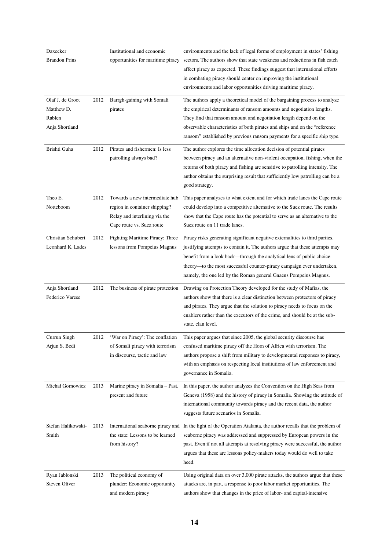| Daxecker<br><b>Brandon Prins</b>                           |      | Institutional and economic<br>opportunities for maritime piracy                                                               | environments and the lack of legal forms of employment in states' fishing<br>sectors. The authors show that state weakness and reductions in fish catch<br>affect piracy as expected. These findings suggest that international efforts<br>in combating piracy should center on improving the institutional<br>environments and labor opportunities driving maritime piracy.         |
|------------------------------------------------------------|------|-------------------------------------------------------------------------------------------------------------------------------|--------------------------------------------------------------------------------------------------------------------------------------------------------------------------------------------------------------------------------------------------------------------------------------------------------------------------------------------------------------------------------------|
| Olaf J. de Groot<br>Matthew D.<br>Rablen<br>Anja Shortland | 2012 | Barrgh-gaining with Somali<br>pirates                                                                                         | The authors apply a theoretical model of the bargaining process to analyze<br>the empirical determinants of ransom amounts and negotiation lengths.<br>They find that ransom amount and negotiation length depend on the<br>observable characteristics of both pirates and ships and on the "reference"<br>ransom" established by previous ransom payments for a specific ship type. |
| Brishti Guha                                               | 2012 | Pirates and fishermen: Is less<br>patrolling always bad?                                                                      | The author explores the time allocation decision of potential pirates<br>between piracy and an alternative non-violent occupation, fishing, when the<br>returns of both piracy and fishing are sensitive to patrolling intensity. The<br>author obtains the surprising result that sufficiently low patrolling can be a<br>good strategy.                                            |
| Theo E.<br>Notteboom                                       | 2012 | Towards a new intermediate hub<br>region in container shipping?<br>Relay and interlining via the<br>Cape route vs. Suez route | This paper analyzes to what extent and for which trade lanes the Cape route<br>could develop into a competitive alternative to the Suez route. The results<br>show that the Cape route has the potential to serve as an alternative to the<br>Suez route on 11 trade lanes.                                                                                                          |
| Christian Schubert<br>Leonhard K. Lades                    | 2012 | Fighting Maritime Piracy: Three<br>lessons from Pompeius Magnus                                                               | Piracy risks generating significant negative externalities to third parties,<br>justifying attempts to contain it. The authors argue that these attempts may<br>benefit from a look back—through the analytical lens of public choice<br>theory—to the most successful counter-piracy campaign ever undertaken,<br>namely, the one led by the Roman general Gnaeus Pompeius Magnus.  |
| Anja Shortland<br>Federico Varese                          | 2012 | The business of pirate protection                                                                                             | Drawing on Protection Theory developed for the study of Mafias, the<br>authors show that there is a clear distinction between protectors of piracy<br>and pirates. They argue that the solution to piracy needs to focus on the<br>enablers rather than the executors of the crime, and should be at the sub-<br>state, clan level.                                                  |
| Currun Singh<br>Arjun S. Bedi                              | 2012 | 'War on Piracy': The conflation<br>of Somali piracy with terrorism<br>in discourse, tactic and law                            | This paper argues that since 2005, the global security discourse has<br>confused maritime piracy off the Horn of Africa with terrorism. The<br>authors propose a shift from military to developmental responses to piracy,<br>with an emphasis on respecting local institutions of law enforcement and<br>governance in Somalia.                                                     |
| Michał Gornowicz                                           | 2013 | Marine piracy in Somalia – Past,<br>present and future                                                                        | In this paper, the author analyzes the Convention on the High Seas from<br>Geneva (1958) and the history of piracy in Somalia. Showing the attitude of<br>international community towards piracy and the recent data, the author<br>suggests future scenarios in Somalia.                                                                                                            |
| Stefan Halikowski-<br>Smith                                | 2013 | International seaborne piracy and<br>the state: Lessons to be learned<br>from history?                                        | In the light of the Operation Atalanta, the author recalls that the problem of<br>seaborne piracy was addressed and suppressed by European powers in the<br>past. Even if not all attempts at resolving piracy were successful, the author<br>argues that these are lessons policy-makers today would do well to take<br>heed.                                                       |
| Ryan Jablonski<br>Steven Oliver                            | 2013 | The political economy of<br>plunder: Economic opportunity<br>and modern piracy                                                | Using original data on over 3,000 pirate attacks, the authors argue that these<br>attacks are, in part, a response to poor labor market opportunities. The<br>authors show that changes in the price of labor- and capital-intensive                                                                                                                                                 |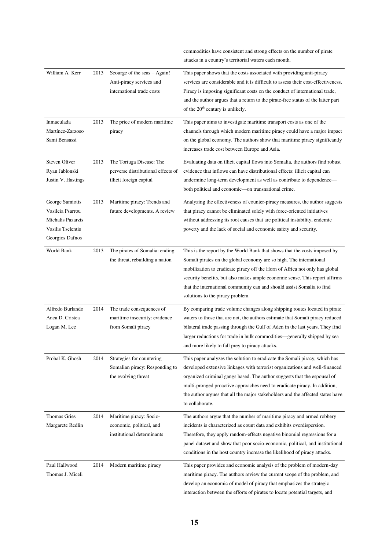|                                                                                                  |      |                                                                                           | commodities have consistent and strong effects on the number of pirate<br>attacks in a country's territorial waters each month.                                                                                                                                                                                                                                                                                              |
|--------------------------------------------------------------------------------------------------|------|-------------------------------------------------------------------------------------------|------------------------------------------------------------------------------------------------------------------------------------------------------------------------------------------------------------------------------------------------------------------------------------------------------------------------------------------------------------------------------------------------------------------------------|
| William A. Kerr                                                                                  | 2013 | Scourge of the seas - Again!<br>Anti-piracy services and<br>international trade costs     | This paper shows that the costs associated with providing anti-piracy<br>services are considerable and it is difficult to assess their cost-effectiveness.<br>Piracy is imposing significant costs on the conduct of international trade,<br>and the author argues that a return to the pirate-free status of the latter part<br>of the 20 <sup>th</sup> century is unlikely.                                                |
| Inmaculada<br>Martínez-Zarzoso<br>Sami Bensassi                                                  | 2013 | The price of modern maritime<br>piracy                                                    | This paper aims to investigate maritime transport costs as one of the<br>channels through which modern maritime piracy could have a major impact<br>on the global economy. The authors show that maritime piracy significantly<br>increases trade cost between Europe and Asia.                                                                                                                                              |
| <b>Steven Oliver</b><br>Ryan Jablonski<br>Justin V. Hastings                                     | 2013 | The Tortuga Disease: The<br>perverse distributional effects of<br>illicit foreign capital | Evaluating data on illicit capital flows into Somalia, the authors find robust<br>evidence that inflows can have distributional effects: illicit capital can<br>undermine long-term development as well as contribute to dependence—<br>both political and economic-on transnational crime.                                                                                                                                  |
| George Samiotis<br>Vasileia Psarrou<br>Michalis Pazarzis<br>Vasilis Tselentis<br>Georgios Dafnos | 2013 | Maritime piracy: Trends and<br>future developments. A review                              | Analyzing the effectiveness of counter-piracy measures, the author suggests<br>that piracy cannot be eliminated solely with force-oriented initiatives<br>without addressing its root causes that are political instability, endemic<br>poverty and the lack of social and economic safety and security.                                                                                                                     |
| World Bank                                                                                       | 2013 | The pirates of Somalia: ending<br>the threat, rebuilding a nation                         | This is the report by the World Bank that shows that the costs imposed by<br>Somali pirates on the global economy are so high. The international<br>mobilization to eradicate piracy off the Horn of Africa not only has global<br>security benefits, but also makes ample economic sense. This report affirms<br>that the international community can and should assist Somalia to find<br>solutions to the piracy problem. |
| Alfredo Burlando<br>Anca D. Cristea<br>Logan M. Lee                                              | 2014 | The trade consequences of<br>maritime insecurity: evidence<br>from Somali piracy          | By comparing trade volume changes along shipping routes located in pirate<br>waters to those that are not, the authors estimate that Somali piracy reduced<br>bilateral trade passing through the Gulf of Aden in the last years. They find<br>larger reductions for trade in bulk commodities-generally shipped by sea<br>and more likely to fall prey to piracy attacks.                                                   |
| Probal K. Ghosh                                                                                  | 2014 | Strategies for countering<br>Somalian piracy: Responding to<br>the evolving threat        | This paper analyzes the solution to eradicate the Somali piracy, which has<br>developed extensive linkages with terrorist organizations and well-financed<br>organized criminal gangs based. The author suggests that the espousal of<br>multi-pronged proactive approaches need to eradicate piracy. In addition,<br>the author argues that all the major stakeholders and the affected states have<br>to collaborate.      |
| <b>Thomas Gries</b><br>Margarete Redlin                                                          | 2014 | Maritime piracy: Socio-<br>economic, political, and<br>institutional determinants         | The authors argue that the number of maritime piracy and armed robbery<br>incidents is characterized as count data and exhibits overdispersion.<br>Therefore, they apply random-effects negative binomial regressions for a<br>panel dataset and show that poor socio-economic, political, and institutional<br>conditions in the host country increase the likelihood of piracy attacks.                                    |
| Paul Hallwood<br>Thomas J. Miceli                                                                | 2014 | Modern maritime piracy                                                                    | This paper provides and economic analysis of the problem of modern-day<br>maritime piracy. The authors review the current scope of the problem, and<br>develop an economic of model of piracy that emphasizes the strategic<br>interaction between the efforts of pirates to locate potential targets, and                                                                                                                   |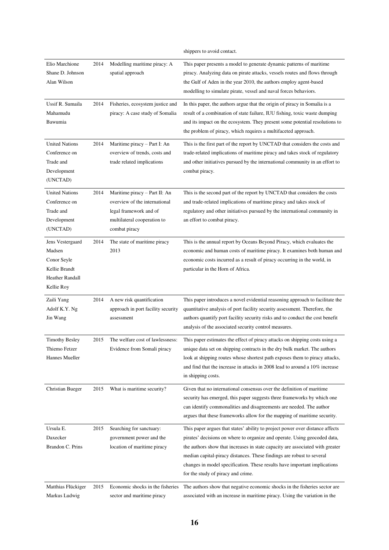|                                                                                                    |      |                                                                                                                                          | shippers to avoid contact.                                                                                                                                                                                                                                                                                                                                                                                                              |
|----------------------------------------------------------------------------------------------------|------|------------------------------------------------------------------------------------------------------------------------------------------|-----------------------------------------------------------------------------------------------------------------------------------------------------------------------------------------------------------------------------------------------------------------------------------------------------------------------------------------------------------------------------------------------------------------------------------------|
| Elio Marchione<br>Shane D. Johnson<br>Alan Wilson                                                  | 2014 | Modelling maritime piracy: A<br>spatial approach                                                                                         | This paper presents a model to generate dynamic patterns of maritime<br>piracy. Analyzing data on pirate attacks, vessels routes and flows through<br>the Gulf of Aden in the year 2010, the authors employ agent-based<br>modelling to simulate pirate, vessel and naval forces behaviors.                                                                                                                                             |
| Ussif R. Sumaila<br>Mahamudu<br>Bawumia                                                            | 2014 | Fisheries, ecosystem justice and<br>piracy: A case study of Somalia                                                                      | In this paper, the authors argue that the origin of piracy in Somalia is a<br>result of a combination of state failure, IUU fishing, toxic waste dumping<br>and its impact on the ecosystem. They present some potential resolutions to<br>the problem of piracy, which requires a multifaceted approach.                                                                                                                               |
| <b>United Nations</b><br>Conference on<br>Trade and<br>Development<br>(UNCTAD)                     | 2014 | Maritime piracy - Part I: An<br>overview of trends, costs and<br>trade related implications                                              | This is the first part of the report by UNCTAD that considers the costs and<br>trade-related implications of maritime piracy and takes stock of regulatory<br>and other initiatives pursued by the international community in an effort to<br>combat piracy.                                                                                                                                                                            |
| <b>United Nations</b><br>Conference on<br>Trade and<br>Development<br>(UNCTAD)                     | 2014 | Maritime piracy - Part II: An<br>overview of the international<br>legal framework and of<br>multilateral cooperation to<br>combat piracy | This is the second part of the report by UNCTAD that considers the costs<br>and trade-related implications of maritime piracy and takes stock of<br>regulatory and other initiatives pursued by the international community in<br>an effort to combat piracy.                                                                                                                                                                           |
| Jens Vestergaard<br>Madsen<br>Conor Seyle<br>Kellie Brandt<br><b>Heather Randall</b><br>Kellie Roy | 2014 | The state of maritime piracy<br>2013                                                                                                     | This is the annual report by Oceans Beyond Piracy, which evaluates the<br>economic and human costs of maritime piracy. It examines both human and<br>economic costs incurred as a result of piracy occurring in the world, in<br>particular in the Horn of Africa.                                                                                                                                                                      |
| Zaili Yang<br>Adolf K.Y. Ng<br>Jin Wang                                                            | 2014 | A new risk quantification<br>approach in port facility security<br>assessment                                                            | This paper introduces a novel evidential reasoning approach to facilitate the<br>quantitative analysis of port facility security assessment. Therefore, the<br>authors quantify port facility security risks and to conduct the cost benefit<br>analysis of the associated security control measures.                                                                                                                                   |
| <b>Timothy Besley</b><br>Thiemo Fetzer<br>Hannes Mueller                                           | 2015 | The welfare cost of lawlessness:<br>Evidence from Somali piracy                                                                          | This paper estimates the effect of piracy attacks on shipping costs using a<br>unique data set on shipping contracts in the dry bulk market. The authors<br>look at shipping routes whose shortest path exposes them to piracy attacks,<br>and find that the increase in attacks in 2008 lead to around a 10% increase<br>in shipping costs.                                                                                            |
| Christian Bueger                                                                                   | 2015 | What is maritime security?                                                                                                               | Given that no international consensus over the definition of maritime<br>security has emerged, this paper suggests three frameworks by which one<br>can identify commonalities and disagreements are needed. The author<br>argues that these frameworks allow for the mapping of maritime security.                                                                                                                                     |
| Ursula E.<br>Daxecker<br>Brandon C. Prins                                                          | 2015 | Searching for sanctuary:<br>government power and the<br>location of maritime piracy                                                      | This paper argues that states' ability to project power over distance affects<br>pirates' decisions on where to organize and operate. Using geocoded data,<br>the authors show that increases in state capacity are associated with greater<br>median capital-piracy distances. These findings are robust to several<br>changes in model specification. These results have important implications<br>for the study of piracy and crime. |
| Matthias Flückiger<br>Markus Ludwig                                                                | 2015 | Economic shocks in the fisheries<br>sector and maritime piracy                                                                           | The authors show that negative economic shocks in the fisheries sector are<br>associated with an increase in maritime piracy. Using the variation in the                                                                                                                                                                                                                                                                                |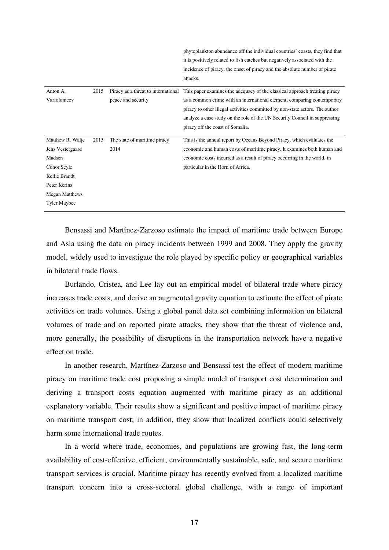|                                                                                                                                         |      |                                                           | phytoplankton abundance off the individual countries' coasts, they find that<br>it is positively related to fish catches but negatively associated with the<br>incidence of piracy, the onset of piracy and the absolute number of pirate<br>attacks.                                                                                                   |
|-----------------------------------------------------------------------------------------------------------------------------------------|------|-----------------------------------------------------------|---------------------------------------------------------------------------------------------------------------------------------------------------------------------------------------------------------------------------------------------------------------------------------------------------------------------------------------------------------|
| Anton A.<br>Varfolomeev                                                                                                                 | 2015 | Piracy as a threat to international<br>peace and security | This paper examines the adequacy of the classical approach treating piracy<br>as a common crime with an international element, comparing contemporary<br>piracy to other illegal activities committed by non-state actors. The author<br>analyze a case study on the role of the UN Security Council in suppressing<br>piracy off the coast of Somalia. |
| Matthew R. Walje<br>Jens Vestergaard<br>Madsen<br>Conor Seyle<br>Kellie Brandt<br>Peter Kerins<br>Megan Matthews<br><b>Tyler Maybee</b> | 2015 | The state of maritime piracy<br>2014                      | This is the annual report by Oceans Beyond Piracy, which evaluates the<br>economic and human costs of maritime piracy. It examines both human and<br>economic costs incurred as a result of piracy occurring in the world, in<br>particular in the Horn of Africa.                                                                                      |

Bensassi and Martínez-Zarzoso estimate the impact of maritime trade between Europe and Asia using the data on piracy incidents between 1999 and 2008. They apply the gravity model, widely used to investigate the role played by specific policy or geographical variables in bilateral trade flows.

Burlando, Cristea, and Lee lay out an empirical model of bilateral trade where piracy increases trade costs, and derive an augmented gravity equation to estimate the effect of pirate activities on trade volumes. Using a global panel data set combining information on bilateral volumes of trade and on reported pirate attacks, they show that the threat of violence and, more generally, the possibility of disruptions in the transportation network have a negative effect on trade.

In another research, Martínez-Zarzoso and Bensassi test the effect of modern maritime piracy on maritime trade cost proposing a simple model of transport cost determination and deriving a transport costs equation augmented with maritime piracy as an additional explanatory variable. Their results show a significant and positive impact of maritime piracy on maritime transport cost; in addition, they show that localized conflicts could selectively harm some international trade routes.

In a world where trade, economies, and populations are growing fast, the long-term availability of cost-effective, efficient, environmentally sustainable, safe, and secure maritime transport services is crucial. Maritime piracy has recently evolved from a localized maritime transport concern into a cross-sectoral global challenge, with a range of important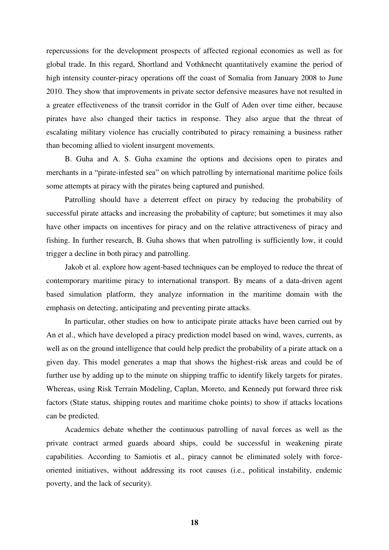repercussions for the development prospects of affected regional economies as well as for global trade. In this regard, Shortland and Vothknecht quantitatively examine the period of high intensity counter-piracy operations off the coast of Somalia from January 2008 to June 2010. They show that improvements in private sector defensive measures have not resulted in a greater effectiveness of the transit corridor in the Gulf of Aden over time either, because pirates have also changed their tactics in response. They also argue that the threat of escalating military violence has crucially contributed to piracy remaining a business rather than becoming allied to violent insurgent movements.

B. Guha and A. S. Guha examine the options and decisions open to pirates and merchants in a "pirate-infested sea" on which patrolling by international maritime police foils some attempts at piracy with the pirates being captured and punished.

Patrolling should have a deterrent effect on piracy by reducing the probability of successful pirate attacks and increasing the probability of capture; but sometimes it may also have other impacts on incentives for piracy and on the relative attractiveness of piracy and fishing. In further research, B. Guha shows that when patrolling is sufficiently low, it could trigger a decline in both piracy and patrolling.

Jakob et al. explore how agent-based techniques can be employed to reduce the threat of contemporary maritime piracy to international transport. By means of a data-driven agent based simulation platform, they analyze information in the maritime domain with the emphasis on detecting, anticipating and preventing pirate attacks.

In particular, other studies on how to anticipate pirate attacks have been carried out by An et al., which have developed a piracy prediction model based on wind, waves, currents, as well as on the ground intelligence that could help predict the probability of a pirate attack on a given day. This model generates a map that shows the highest-risk areas and could be of further use by adding up to the minute on shipping traffic to identify likely targets for pirates. Whereas, using Risk Terrain Modeling, Caplan, Moreto, and Kennedy put forward three risk factors (State status, shipping routes and maritime choke points) to show if attacks locations can be predicted.

Academics debate whether the continuous patrolling of naval forces as well as the private contract armed guards aboard ships, could be successful in weakening pirate capabilities. According to Samiotis et al., piracy cannot be eliminated solely with forceoriented initiatives, without addressing its root causes (i.e., political instability, endemic poverty, and the lack of security).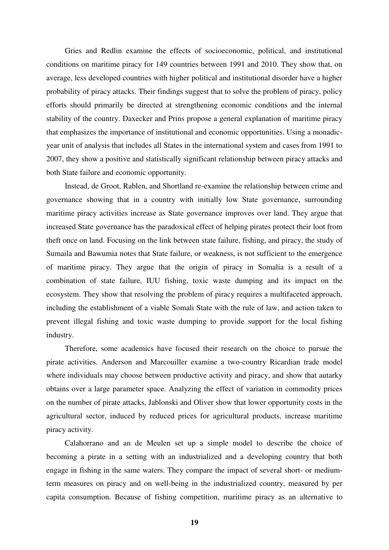Gries and Redlin examine the effects of socioeconomic, political, and institutional conditions on maritime piracy for 149 countries between 1991 and 2010. They show that, on average, less developed countries with higher political and institutional disorder have a higher probability of piracy attacks. Their findings suggest that to solve the problem of piracy, policy efforts should primarily be directed at strengthening economic conditions and the internal stability of the country. Daxecker and Prins propose a general explanation of maritime piracy that emphasizes the importance of institutional and economic opportunities. Using a monadicyear unit of analysis that includes all States in the international system and cases from 1991 to 2007, they show a positive and statistically significant relationship between piracy attacks and both State failure and economic opportunity.

Instead, de Groot, Rablen, and Shortland re-examine the relationship between crime and governance showing that in a country with initially low State governance, surrounding maritime piracy activities increase as State governance improves over land. They argue that increased State governance has the paradoxical effect of helping pirates protect their loot from theft once on land. Focusing on the link between state failure, fishing, and piracy, the study of Sumaila and Bawumia notes that State failure, or weakness, is not sufficient to the emergence of maritime piracy. They argue that the origin of piracy in Somalia is a result of a combination of state failure, IUU fishing, toxic waste dumping and its impact on the ecosystem. They show that resolving the problem of piracy requires a multifaceted approach, including the establishment of a viable Somali State with the rule of law, and action taken to prevent illegal fishing and toxic waste dumping to provide support for the local fishing industry.

Therefore, some academics have focused their research on the choice to pursue the pirate activities. Anderson and Marcouiller examine a two-country Ricardian trade model where individuals may choose between productive activity and piracy, and show that autarky obtains over a large parameter space. Analyzing the effect of variation in commodity prices on the number of pirate attacks, Jablonski and Oliver show that lower opportunity costs in the agricultural sector, induced by reduced prices for agricultural products, increase maritime piracy activity.

Calahorrano and an de Meulen set up a simple model to describe the choice of becoming a pirate in a setting with an industrialized and a developing country that both engage in fishing in the same waters. They compare the impact of several short- or mediumterm measures on piracy and on well-being in the industrialized country, measured by per capita consumption. Because of fishing competition, maritime piracy as an alternative to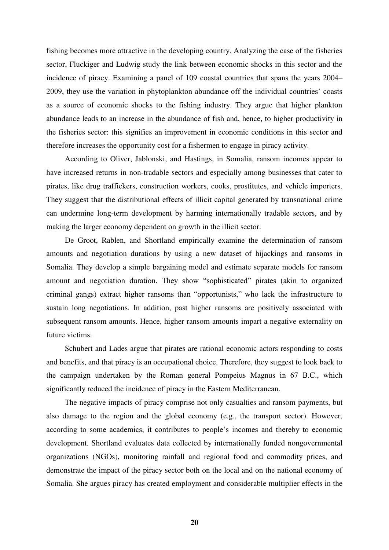fishing becomes more attractive in the developing country. Analyzing the case of the fisheries sector, Fluckiger and Ludwig study the link between economic shocks in this sector and the incidence of piracy. Examining a panel of 109 coastal countries that spans the years 2004– 2009, they use the variation in phytoplankton abundance off the individual countries' coasts as a source of economic shocks to the fishing industry. They argue that higher plankton abundance leads to an increase in the abundance of fish and, hence, to higher productivity in the fisheries sector: this signifies an improvement in economic conditions in this sector and therefore increases the opportunity cost for a fishermen to engage in piracy activity.

According to Oliver, Jablonski, and Hastings, in Somalia, ransom incomes appear to have increased returns in non-tradable sectors and especially among businesses that cater to pirates, like drug traffickers, construction workers, cooks, prostitutes, and vehicle importers. They suggest that the distributional effects of illicit capital generated by transnational crime can undermine long-term development by harming internationally tradable sectors, and by making the larger economy dependent on growth in the illicit sector.

De Groot, Rablen, and Shortland empirically examine the determination of ransom amounts and negotiation durations by using a new dataset of hijackings and ransoms in Somalia. They develop a simple bargaining model and estimate separate models for ransom amount and negotiation duration. They show "sophisticated" pirates (akin to organized criminal gangs) extract higher ransoms than "opportunists," who lack the infrastructure to sustain long negotiations. In addition, past higher ransoms are positively associated with subsequent ransom amounts. Hence, higher ransom amounts impart a negative externality on future victims.

Schubert and Lades argue that pirates are rational economic actors responding to costs and benefits, and that piracy is an occupational choice. Therefore, they suggest to look back to the campaign undertaken by the Roman general Pompeius Magnus in 67 B.C., which significantly reduced the incidence of piracy in the Eastern Mediterranean.

The negative impacts of piracy comprise not only casualties and ransom payments, but also damage to the region and the global economy (e.g., the transport sector). However, according to some academics, it contributes to people's incomes and thereby to economic development. Shortland evaluates data collected by internationally funded nongovernmental organizations (NGOs), monitoring rainfall and regional food and commodity prices, and demonstrate the impact of the piracy sector both on the local and on the national economy of Somalia. She argues piracy has created employment and considerable multiplier effects in the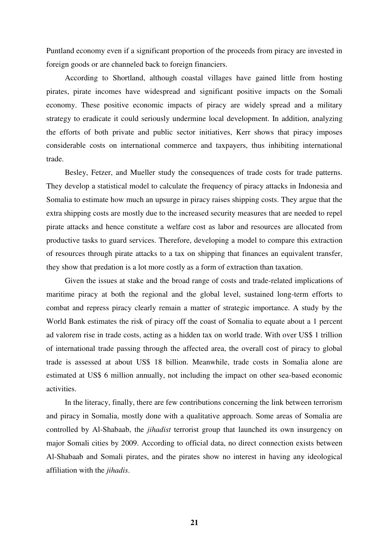Puntland economy even if a significant proportion of the proceeds from piracy are invested in foreign goods or are channeled back to foreign financiers.

According to Shortland, although coastal villages have gained little from hosting pirates, pirate incomes have widespread and significant positive impacts on the Somali economy. These positive economic impacts of piracy are widely spread and a military strategy to eradicate it could seriously undermine local development. In addition, analyzing the efforts of both private and public sector initiatives, Kerr shows that piracy imposes considerable costs on international commerce and taxpayers, thus inhibiting international trade.

Besley, Fetzer, and Mueller study the consequences of trade costs for trade patterns. They develop a statistical model to calculate the frequency of piracy attacks in Indonesia and Somalia to estimate how much an upsurge in piracy raises shipping costs. They argue that the extra shipping costs are mostly due to the increased security measures that are needed to repel pirate attacks and hence constitute a welfare cost as labor and resources are allocated from productive tasks to guard services. Therefore, developing a model to compare this extraction of resources through pirate attacks to a tax on shipping that finances an equivalent transfer, they show that predation is a lot more costly as a form of extraction than taxation.

Given the issues at stake and the broad range of costs and trade-related implications of maritime piracy at both the regional and the global level, sustained long-term efforts to combat and repress piracy clearly remain a matter of strategic importance. A study by the World Bank estimates the risk of piracy off the coast of Somalia to equate about a 1 percent ad valorem rise in trade costs, acting as a hidden tax on world trade. With over US\$ 1 trillion of international trade passing through the affected area, the overall cost of piracy to global trade is assessed at about US\$ 18 billion. Meanwhile, trade costs in Somalia alone are estimated at US\$ 6 million annually, not including the impact on other sea-based economic activities.

In the literacy, finally, there are few contributions concerning the link between terrorism and piracy in Somalia, mostly done with a qualitative approach. Some areas of Somalia are controlled by Al-Shabaab, the *jihadist* terrorist group that launched its own insurgency on major Somali cities by 2009. According to official data, no direct connection exists between Al-Shabaab and Somali pirates, and the pirates show no interest in having any ideological affiliation with the *jihadis*.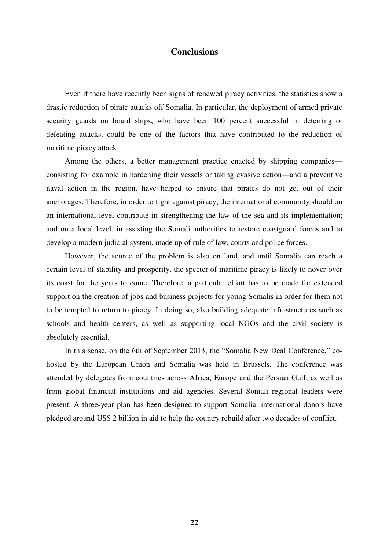## **Conclusions**

Even if there have recently been signs of renewed piracy activities, the statistics show a drastic reduction of pirate attacks off Somalia. In particular, the deployment of armed private security guards on board ships, who have been 100 percent successful in deterring or defeating attacks, could be one of the factors that have contributed to the reduction of maritime piracy attack.

Among the others, a better management practice enacted by shipping companies consisting for example in hardening their vessels or taking evasive action—and a preventive naval action in the region, have helped to ensure that pirates do not get out of their anchorages. Therefore, in order to fight against piracy, the international community should on an international level contribute in strengthening the law of the sea and its implementation; and on a local level, in assisting the Somali authorities to restore coastguard forces and to develop a modern judicial system, made up of rule of law, courts and police forces.

However, the source of the problem is also on land, and until Somalia can reach a certain level of stability and prosperity, the specter of maritime piracy is likely to hover over its coast for the years to come. Therefore, a particular effort has to be made for extended support on the creation of jobs and business projects for young Somalis in order for them not to be tempted to return to piracy. In doing so, also building adequate infrastructures such as schools and health centers, as well as supporting local NGOs and the civil society is absolutely essential.

In this sense, on the 6th of September 2013, the "Somalia New Deal Conference," cohosted by the European Union and Somalia was held in Brussels. The conference was attended by delegates from countries across Africa, Europe and the Persian Gulf, as well as from global financial institutions and aid agencies. Several Somali regional leaders were present. A three-year plan has been designed to support Somalia: international donors have pledged around US\$ 2 billion in aid to help the country rebuild after two decades of conflict.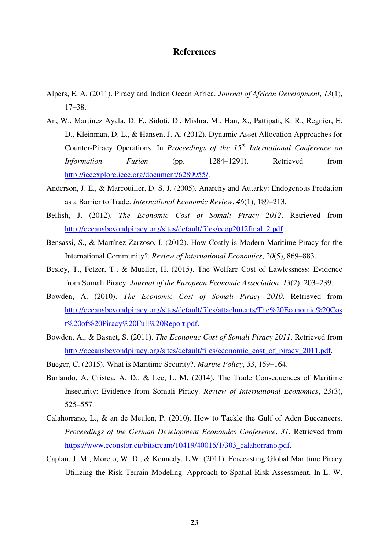### **References**

- Alpers, E. A. (2011). Piracy and Indian Ocean Africa. *Journal of African Development*, *13*(1), 17–38.
- An, W., Martínez Ayala, D. F., Sidoti, D., Mishra, M., Han, X., Pattipati, K. R., Regnier, E. D., Kleinman, D. L., & Hansen, J. A. (2012). Dynamic Asset Allocation Approaches for Counter-Piracy Operations. In *Proceedings of the 15th International Conference on Information Fusion* (pp. 1284–1291). Retrieved from [http://ieeexplore.ieee.org/document/6289955/.](http://ieeexplore.ieee.org/document/6289955/)
- Anderson, J. E., & Marcouiller, D. S. J. (2005). Anarchy and Autarky: Endogenous Predation as a Barrier to Trade. *International Economic Review*, *46*(1), 189–213.
- Bellish, J. (2012). *The Economic Cost of Somali Piracy 2012*. Retrieved from [http://oceansbeyondpiracy.org/sites/default/files/ecop2012final\\_2.pdf.](http://oceansbeyondpiracy.org/sites/default/files/ecop2012final_2.pdf)
- Bensassi, S., & Martínez-Zarzoso, I. (2012). How Costly is Modern Maritime Piracy for the International Community?. *Review of International Economics*, *20*(5), 869–883.
- Besley, T., Fetzer, T., & Mueller, H. (2015). The Welfare Cost of Lawlessness: Evidence from Somali Piracy. *Journal of the European Economic Association*, *13*(2), 203–239.
- Bowden, A. (2010). *The Economic Cost of Somali Piracy 2010*. Retrieved from [http://oceansbeyondpiracy.org/sites/default/files/attachments/The%20Economic%20Cos](http://oceansbeyondpiracy.org/sites/default/files/attachments/The%20Economic%20Cost%20of%20Piracy%20Full%20Report.pdf) [t%20of%20Piracy%20Full%20Report.pdf.](http://oceansbeyondpiracy.org/sites/default/files/attachments/The%20Economic%20Cost%20of%20Piracy%20Full%20Report.pdf)
- Bowden, A., & Basnet, S. (2011). *The Economic Cost of Somali Piracy 2011*. Retrieved from [http://oceansbeyondpiracy.org/sites/default/files/economic\\_cost\\_of\\_piracy\\_2011.pdf.](http://oceansbeyondpiracy.org/sites/default/files/economic_cost_of_piracy_2011.pdf)
- Bueger, C. (2015). What is Maritime Security?. *Marine Policy*, *53*, 159–164.
- Burlando, A. Cristea, A. D., & Lee, L. M. (2014). The Trade Consequences of Maritime Insecurity: Evidence from Somali Piracy. *Review of International Economics*, *23*(3), 525–557.
- Calahorrano, L., & an de Meulen, P. (2010). How to Tackle the Gulf of Aden Buccaneers. *Proceedings of the German Development Economics Conference*, *31*. Retrieved from [https://www.econstor.eu/bitstream/10419/40015/1/303\\_calahorrano.pdf.](https://www.econstor.eu/bitstream/10419/40015/1/303_calahorrano.pdf)
- Caplan, J. M., Moreto, W. D., & Kennedy, L.W. (2011). Forecasting Global Maritime Piracy Utilizing the Risk Terrain Modeling. Approach to Spatial Risk Assessment. In L. W.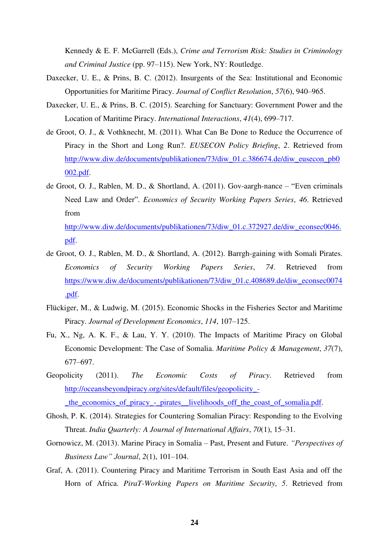Kennedy & E. F. McGarrell (Eds.), *Crime and Terrorism Risk: Studies in Criminology and Criminal Justice* (pp. 97–115). New York, NY: Routledge.

- Daxecker, U. E., & Prins, B. C. (2012). Insurgents of the Sea: Institutional and Economic Opportunities for Maritime Piracy. *Journal of Conflict Resolution*, *57*(6), 940–965.
- Daxecker, U. E., & Prins, B. C. (2015). Searching for Sanctuary: Government Power and the Location of Maritime Piracy. *International Interactions*, *41*(4), 699–717.
- de Groot, O. J., & Vothknecht, M. (2011). What Can Be Done to Reduce the Occurrence of Piracy in the Short and Long Run?. *EUSECON Policy Briefing*, *2*. Retrieved from [http://www.diw.de/documents/publikationen/73/diw\\_01.c.386674.de/diw\\_eusecon\\_pb0](http://www.diw.de/documents/publikationen/73/diw_01.c.386674.de/diw_eusecon_pb0002.pdf) [002.pdf.](http://www.diw.de/documents/publikationen/73/diw_01.c.386674.de/diw_eusecon_pb0002.pdf)
- de Groot, O. J., Rablen, M. D., & Shortland, A. (2011). Gov-aargh-nance "Even criminals Need Law and Order". *Economics of Security Working Papers Series*, *46*. Retrieved from [http://www.diw.de/documents/publikationen/73/diw\\_01.c.372927.de/diw\\_econsec0046.](http://www.diw.de/documents/publikationen/73/diw_01.c.372927.de/diw_econsec0046.pdf)

[pdf.](http://www.diw.de/documents/publikationen/73/diw_01.c.372927.de/diw_econsec0046.pdf)

- de Groot, O. J., Rablen, M. D., & Shortland, A. (2012). Barrgh-gaining with Somali Pirates. *Economics of Security Working Papers Series*, *74*. Retrieved from [https://www.diw.de/documents/publikationen/73/diw\\_01.c.408689.de/diw\\_econsec0074](https://www.diw.de/documents/publikationen/73/diw_01.c.408689.de/diw_econsec0074.pdf) [.pdf.](https://www.diw.de/documents/publikationen/73/diw_01.c.408689.de/diw_econsec0074.pdf)
- Flückiger, M., & Ludwig, M. (2015). Economic Shocks in the Fisheries Sector and Maritime Piracy. *Journal of Development Economics*, *114*, 107–125.
- Fu, X., Ng, A. K. F., & Lau, Y. Y. (2010). The Impacts of Maritime Piracy on Global Economic Development: The Case of Somalia. *Maritime Policy & Management*, *37*(7), 677–697.
- Geopolicity (2011). *The Economic Costs of Piracy*. Retrieved from [http://oceansbeyondpiracy.org/sites/default/files/geopolicity\\_-](http://oceansbeyondpiracy.org/sites/default/files/geopolicity_-_the_economics_of_piracy_-_pirates__livelihoods_off_the_coast_of_somalia.pdf) [\\_the\\_economics\\_of\\_piracy\\_-\\_pirates\\_\\_livelihoods\\_off\\_the\\_coast\\_of\\_somalia.pdf.](http://oceansbeyondpiracy.org/sites/default/files/geopolicity_-_the_economics_of_piracy_-_pirates__livelihoods_off_the_coast_of_somalia.pdf)
- Ghosh, P. K. (2014). Strategies for Countering Somalian Piracy: Responding to the Evolving Threat. *India Quarterly: A Journal of International Affairs*, *70*(1), 15–31.
- Gornowicz, M. (2013). Marine Piracy in Somalia Past, Present and Future. *"Perspectives of Business Law" Journal*, *2*(1), 101–104.
- Graf, A. (2011). Countering Piracy and Maritime Terrorism in South East Asia and off the Horn of Africa. *PiraT-Working Papers on Maritime Security*, *5*. Retrieved from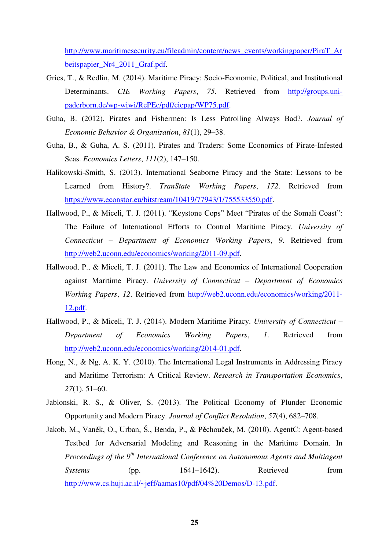[http://www.maritimesecurity.eu/fileadmin/content/news\\_events/workingpaper/PiraT\\_Ar](http://www.maritimesecurity.eu/fileadmin/content/news_events/workingpaper/PiraT_Arbeitspapier_Nr4_2011_Graf.pdf) [beitspapier\\_Nr4\\_2011\\_Graf.pdf.](http://www.maritimesecurity.eu/fileadmin/content/news_events/workingpaper/PiraT_Arbeitspapier_Nr4_2011_Graf.pdf)

- Gries, T., & Redlin, M. (2014). Maritime Piracy: Socio-Economic, Political, and Institutional Determinants. *CIE Working Papers*, *75*. Retrieved from [http://groups.uni](http://groups.uni-paderborn.de/wp-wiwi/RePEc/pdf/ciepap/WP75.pdf)[paderborn.de/wp-wiwi/RePEc/pdf/ciepap/WP75.pdf.](http://groups.uni-paderborn.de/wp-wiwi/RePEc/pdf/ciepap/WP75.pdf)
- Guha, B. (2012). Pirates and Fishermen: Is Less Patrolling Always Bad?. *Journal of Economic Behavior & Organization*, *81*(1), 29–38.
- Guha, B., & Guha, A. S. (2011). Pirates and Traders: Some Economics of Pirate-Infested Seas. *Economics Letters*, *111*(2), 147–150.
- Halikowski-Smith, S. (2013). International Seaborne Piracy and the State: Lessons to be Learned from History?. *TranState Working Papers*, *172*. Retrieved from [https://www.econstor.eu/bitstream/10419/77943/1/755533550.pdf.](https://www.econstor.eu/bitstream/10419/77943/1/755533550.pdf)
- Hallwood, P., & Miceli, T. J. (2011). "Keystone Cops" Meet "Pirates of the Somali Coast": The Failure of International Efforts to Control Maritime Piracy. *University of Connecticut – Department of Economics Working Papers*, *9*. Retrieved from [http://web2.uconn.edu/economics/working/2011-09.pdf.](http://web2.uconn.edu/economics/working/2011-09.pdf)
- Hallwood, P., & Miceli, T. J. (2011). The Law and Economics of International Cooperation against Maritime Piracy. *University of Connecticut – Department of Economics Working Papers*, *12*. Retrieved from [http://web2.uconn.edu/economics/working/2011-](http://web2.uconn.edu/economics/working/2011-12.pdf) [12.pdf.](http://web2.uconn.edu/economics/working/2011-12.pdf)
- Hallwood, P., & Miceli, T. J. (2014). Modern Maritime Piracy. *University of Connecticut – Department of Economics Working Papers*, *1*. Retrieved from [http://web2.uconn.edu/economics/working/2014-01.pdf.](http://web2.uconn.edu/economics/working/2014-01.pdf)
- Hong, N., & Ng, A. K. Y. (2010). The International Legal Instruments in Addressing Piracy and Maritime Terrorism: A Critical Review. *Research in Transportation Economics*, *27*(1), 51–60.
- Jablonski, R. S., & Oliver, S. (2013). The Political Economy of Plunder Economic Opportunity and Modern Piracy. *Journal of Conflict Resolution*, *57*(4), 682–708.
- Jakob, M., Vaněk, O., Urban, Š., Benda, P., & Pěchouček, M. (2010). AgentC: Agent-based Testbed for Adversarial Modeling and Reasoning in the Maritime Domain. In *Proceedings of the 9th International Conference on Autonomous Agents and Multiagent Systems* (pp. 1641–1642). Retrieved from [http://www.cs.huji.ac.il/~jeff/aamas10/pdf/04%20Demos/D-13.pdf.](http://www.cs.huji.ac.il/~jeff/aamas10/pdf/04%20Demos/D-13.pdf)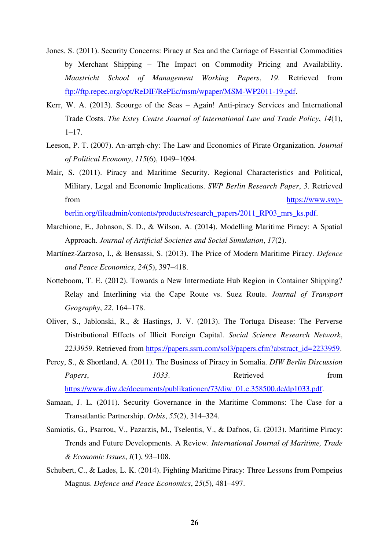- Jones, S. (2011). Security Concerns: Piracy at Sea and the Carriage of Essential Commodities by Merchant Shipping – The Impact on Commodity Pricing and Availability. *Maastricht School of Management Working Papers*, *19*. Retrieved from [ftp://ftp.repec.org/opt/ReDIF/RePEc/msm/wpaper/MSM-WP2011-19.pdf.](ftp://ftp.repec.org/opt/ReDIF/RePEc/msm/wpaper/MSM-WP2011-19.pdf)
- Kerr, W. A. (2013). Scourge of the Seas Again! Anti-piracy Services and International Trade Costs. *The Estey Centre Journal of International Law and Trade Policy*, *14*(1),  $1-17.$
- Leeson, P. T. (2007). An-arrgh-chy: The Law and Economics of Pirate Organization. *Journal of Political Economy*, *115*(6), 1049–1094.
- Mair, S. (2011). Piracy and Maritime Security. Regional Characteristics and Political, Military, Legal and Economic Implications. *SWP Berlin Research Paper*, *3*. Retrieved from [https://www.swp-](https://www.swp-berlin.org/fileadmin/contents/products/research_papers/2011_RP03_mrs_ks.pdf)

[berlin.org/fileadmin/contents/products/research\\_papers/2011\\_RP03\\_mrs\\_ks.pdf.](https://www.swp-berlin.org/fileadmin/contents/products/research_papers/2011_RP03_mrs_ks.pdf)

- Marchione, E., Johnson, S. D., & Wilson, A. (2014). Modelling Maritime Piracy: A Spatial Approach. *Journal of Artificial Societies and Social Simulation*, *17*(2).
- Martínez-Zarzoso, I., & Bensassi, S. (2013). The Price of Modern Maritime Piracy. *Defence and Peace Economics*, *24*(5), 397–418.
- Notteboom, T. E. (2012). Towards a New Intermediate Hub Region in Container Shipping? Relay and Interlining via the Cape Route vs. Suez Route. *Journal of Transport Geography*, *22*, 164–178.
- Oliver, S., Jablonski, R., & Hastings, J. V. (2013). The Tortuga Disease: The Perverse Distributional Effects of Illicit Foreign Capital. *Social Science Research Network*, *2233959*. Retrieved from [https://papers.ssrn.com/sol3/papers.cfm?abstract\\_id=2233959.](https://papers.ssrn.com/sol3/papers.cfm?abstract_id=2233959)
- Percy, S., & Shortland, A. (2011). The Business of Piracy in Somalia. *DIW Berlin Discussion Papers*, *1033*. Retrieved from [https://www.diw.de/documents/publikationen/73/diw\\_01.c.358500.de/dp1033.pdf.](https://www.diw.de/documents/publikationen/73/diw_01.c.358500.de/dp1033.pdf)
- Samaan, J. L. (2011). Security Governance in the Maritime Commons: The Case for a Transatlantic Partnership. *Orbis*, *55*(2), 314–324.
- Samiotis, G., Psarrou, V., Pazarzis, M., Tselentis, V., & Dafnos, G. (2013). Maritime Piracy: Trends and Future Developments. A Review. *International Journal of Maritime, Trade & Economic Issues*, *I*(1), 93–108.
- Schubert, C., & Lades, L. K. (2014). Fighting Maritime Piracy: Three Lessons from Pompeius Magnus. *Defence and Peace Economics*, *25*(5), 481–497.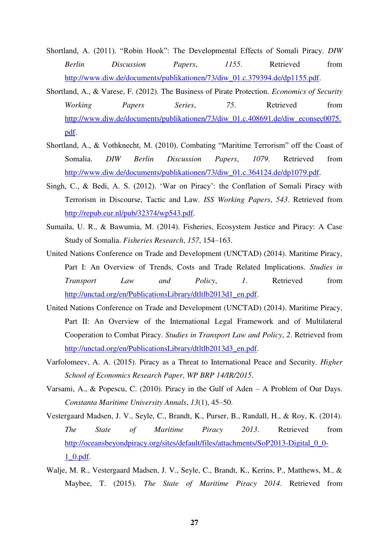- Shortland, A. (2011). "Robin Hook": The Developmental Effects of Somali Piracy. *DIW Berlin Discussion Papers*, *1155*. Retrieved from [http://www.diw.de/documents/publikationen/73/diw\\_01.c.379394.de/dp1155.pdf.](http://www.diw.de/documents/publikationen/73/diw_01.c.379394.de/dp1155.pdf)
- Shortland, A., & Varese, F. (2012). The Business of Pirate Protection. *Economics of Security Working Papers Series*, *75*. Retrieved from [http://www.diw.de/documents/publikationen/73/diw\\_01.c.408691.de/diw\\_econsec0075.](http://www.diw.de/documents/publikationen/73/diw_01.c.408691.de/diw_econsec0075.pdf) [pdf.](http://www.diw.de/documents/publikationen/73/diw_01.c.408691.de/diw_econsec0075.pdf)
- Shortland, A., & Vothknecht, M. (2010). Combating "Maritime Terrorism" off the Coast of Somalia. *DIW Berlin Discussion Papers*, *1079*. Retrieved from [http://www.diw.de/documents/publikationen/73/diw\\_01.c.364124.de/dp1079.pdf.](http://www.diw.de/documents/publikationen/73/diw_01.c.364124.de/dp1079.pdf)
- Singh, C., & Bedi, A. S. (2012). 'War on Piracy': the Conflation of Somali Piracy with Terrorism in Discourse, Tactic and Law. *ISS Working Papers*, *543*. Retrieved from [http://repub.eur.nl/pub/32374/wp543.pdf.](http://repub.eur.nl/pub/32374/wp543.pdf)
- Sumaila, U. R., & Bawumia, M. (2014). Fisheries, Ecosystem Justice and Piracy: A Case Study of Somalia. *Fisheries Research*, *157*, 154–163.
- United Nations Conference on Trade and Development (UNCTAD) (2014). Maritime Piracy, Part I: An Overview of Trends, Costs and Trade Related Implications. *Studies in Transport Law and Policy*, *1*. Retrieved from [http://unctad.org/en/PublicationsLibrary/dtltlb2013d1\\_en.pdf.](http://unctad.org/en/PublicationsLibrary/dtltlb2013d1_en.pdf)
- United Nations Conference on Trade and Development (UNCTAD) (2014). Maritime Piracy, Part II: An Overview of the International Legal Framework and of Multilateral Cooperation to Combat Piracy. *Studies in Transport Law and Policy*, *2*. Retrieved from [http://unctad.org/en/PublicationsLibrary/dtltlb2013d3\\_en.pdf.](http://unctad.org/en/PublicationsLibrary/dtltlb2013d3_en.pdf)
- Varfolomeev, A. A. (2015). Piracy as a Threat to International Peace and Security. *Higher School of Economics Research Paper*, *WP BRP 14/IR/2015*.
- Varsami, A., & Popescu, C. (2010). Piracy in the Gulf of Aden A Problem of Our Days. *Constanta Maritime University Annals*, *13*(1), 45–50.
- Vestergaard Madsen, J. V., Seyle, C., Brandt, K., Purser, B., Randall, H., & Roy, K. (2014). *The State of Maritime Piracy 2013*. Retrieved from [http://oceansbeyondpiracy.org/sites/default/files/attachments/SoP2013-Digital\\_0\\_0-](http://oceansbeyondpiracy.org/sites/default/files/attachments/SoP2013-Digital_0_0-1_0.pdf) [1\\_0.pdf.](http://oceansbeyondpiracy.org/sites/default/files/attachments/SoP2013-Digital_0_0-1_0.pdf)
- Walje, M. R., Vestergaard Madsen, J. V., Seyle, C., Brandt, K., Kerins, P., Matthews, M., & Maybee, T. (2015). *The State of Maritime Piracy 2014*. Retrieved from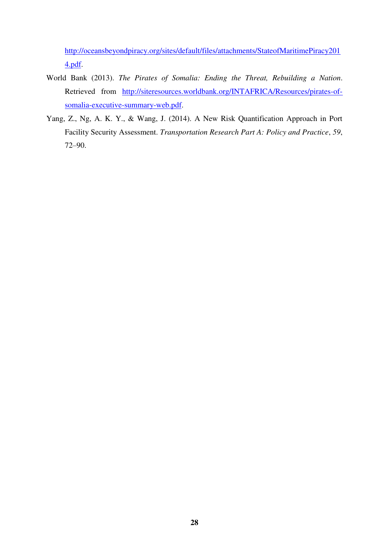[http://oceansbeyondpiracy.org/sites/default/files/attachments/StateofMaritimePiracy201](http://oceansbeyondpiracy.org/sites/default/files/attachments/StateofMaritimePiracy2014.pdf) [4.pdf.](http://oceansbeyondpiracy.org/sites/default/files/attachments/StateofMaritimePiracy2014.pdf)

- World Bank (2013). *The Pirates of Somalia: Ending the Threat, Rebuilding a Nation*. Retrieved from [http://siteresources.worldbank.org/INTAFRICA/Resources/pirates-of](http://siteresources.worldbank.org/INTAFRICA/Resources/pirates-of-somalia-executive-summary-web.pdf)[somalia-executive-summary-web.pdf.](http://siteresources.worldbank.org/INTAFRICA/Resources/pirates-of-somalia-executive-summary-web.pdf)
- Yang, Z., Ng, A. K. Y., & Wang, J. (2014). A New Risk Quantification Approach in Port Facility Security Assessment. *Transportation Research Part A: Policy and Practice*, *59*, 72–90.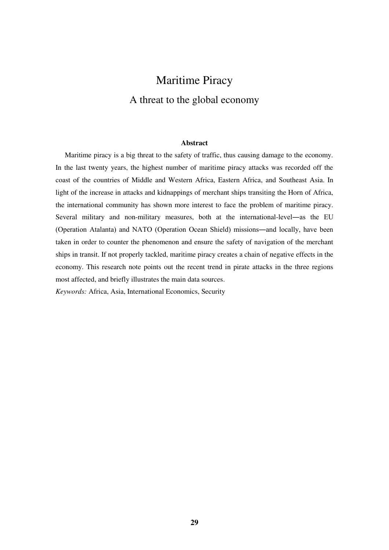# Maritime Piracy A threat to the global economy

#### **Abstract**

<span id="page-28-0"></span>Maritime piracy is a big threat to the safety of traffic, thus causing damage to the economy. In the last twenty years, the highest number of maritime piracy attacks was recorded off the coast of the countries of Middle and Western Africa, Eastern Africa, and Southeast Asia. In light of the increase in attacks and kidnappings of merchant ships transiting the Horn of Africa, the international community has shown more interest to face the problem of maritime piracy. Several military and non-military measures, both at the international-level―as the EU (Operation Atalanta) and NATO (Operation Ocean Shield) missions―and locally, have been taken in order to counter the phenomenon and ensure the safety of navigation of the merchant ships in transit. If not properly tackled, maritime piracy creates a chain of negative effects in the economy. This research note points out the recent trend in pirate attacks in the three regions most affected, and briefly illustrates the main data sources.

*Keywords:* Africa, Asia, International Economics, Security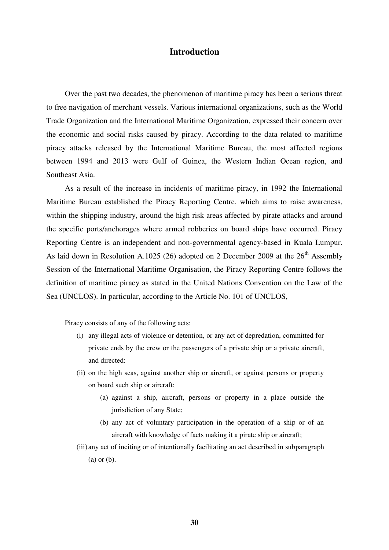## **Introduction**

Over the past two decades, the phenomenon of maritime piracy has been a serious threat to free navigation of merchant vessels. Various international organizations, such as the World Trade Organization and the International Maritime Organization, expressed their concern over the economic and social risks caused by piracy. According to the data related to maritime piracy attacks released by the International Maritime Bureau, the most affected regions between 1994 and 2013 were Gulf of Guinea, the Western Indian Ocean region, and Southeast Asia.

As a result of the increase in incidents of maritime piracy, in 1992 the International Maritime Bureau established the Piracy Reporting Centre, which aims to raise awareness, within the shipping industry, around the high risk areas affected by pirate attacks and around the specific ports/anchorages where armed robberies on board ships have occurred. Piracy Reporting Centre is an independent and non-governmental agency-based in Kuala Lumpur. As laid down in Resolution A.1025 (26) adopted on 2 December 2009 at the  $26<sup>th</sup>$  Assembly Session of the International Maritime Organisation, the Piracy Reporting Centre follows the definition of maritime piracy as stated in the United Nations Convention on the Law of the Sea (UNCLOS). In particular, according to the Article No. 101 of UNCLOS,

Piracy consists of any of the following acts:

- (i) any illegal acts of violence or detention, or any act of depredation, committed for private ends by the crew or the passengers of a private ship or a private aircraft, and directed:
- (ii) on the high seas, against another ship or aircraft, or against persons or property on board such ship or aircraft;
	- (a) against a ship, aircraft, persons or property in a place outside the jurisdiction of any State;
	- (b) any act of voluntary participation in the operation of a ship or of an aircraft with knowledge of facts making it a pirate ship or aircraft;
- (iii) any act of inciting or of intentionally facilitating an act described in subparagraph (a) or (b).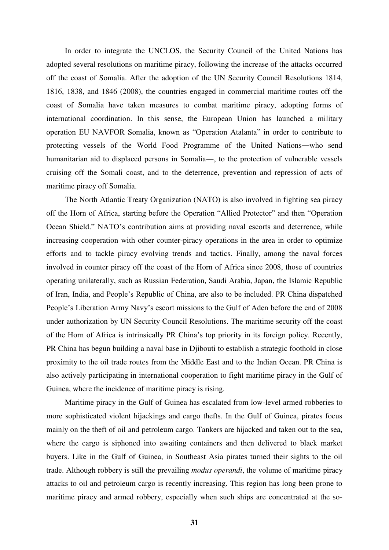In order to integrate the UNCLOS, the Security Council of the United Nations has adopted several resolutions on maritime piracy, following the increase of the attacks occurred off the coast of Somalia. After the adoption of the UN Security Council Resolutions 1814, 1816, 1838, and 1846 (2008), the countries engaged in commercial maritime routes off the coast of Somalia have taken measures to combat maritime piracy, adopting forms of international coordination. In this sense, the European Union has launched a military operation EU NAVFOR Somalia, known as "Operation Atalanta" in order to contribute to protecting vessels of the World Food Programme of the United Nations―who send humanitarian aid to displaced persons in Somalia—, to the protection of vulnerable vessels cruising off the Somali coast, and to the deterrence, prevention and repression of acts of maritime piracy off Somalia.

The North Atlantic Treaty Organization (NATO) is also involved in fighting sea piracy off the Horn of Africa, starting before the Operation "Allied Protector" and then "Operation Ocean Shield." NATO's contribution aims at providing naval escorts and deterrence, while increasing cooperation with other counter-piracy operations in the area in order to optimize efforts and to tackle piracy evolving trends and tactics. Finally, among the naval forces involved in counter piracy off the coast of the Horn of Africa since 2008, those of countries operating unilaterally, such as Russian Federation, Saudi Arabia, Japan, the Islamic Republic of Iran, India, and People's Republic of China, are also to be included. PR China dispatched People's Liberation Army Navy's escort missions to the Gulf of Aden before the end of 2008 under authorization by UN Security Council Resolutions. The maritime security off the coast of the Horn of Africa is intrinsically PR China's top priority in its foreign policy. Recently, PR China has begun building a naval base in Djibouti to establish a strategic foothold in close proximity to the oil trade routes from the Middle East and to the Indian Ocean. PR China is also actively participating in international cooperation to fight maritime piracy in the Gulf of Guinea, where the incidence of maritime piracy is rising.

Maritime piracy in the Gulf of Guinea has escalated from low-level armed robberies to more sophisticated violent hijackings and cargo thefts. In the Gulf of Guinea, pirates focus mainly on the theft of oil and petroleum cargo. Tankers are hijacked and taken out to the sea, where the cargo is siphoned into awaiting containers and then delivered to black market buyers. Like in the Gulf of Guinea, in Southeast Asia pirates turned their sights to the oil trade. Although robbery is still the prevailing *modus operandi*, the volume of maritime piracy attacks to oil and petroleum cargo is recently increasing. This region has long been prone to maritime piracy and armed robbery, especially when such ships are concentrated at the so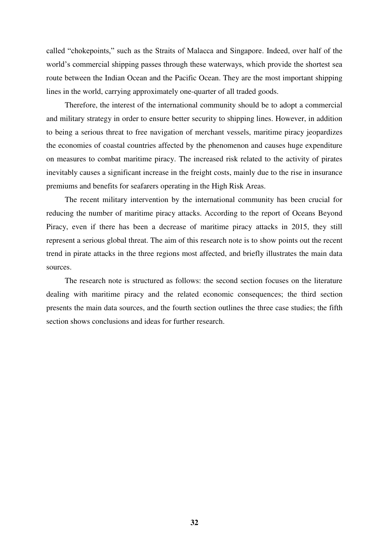called "chokepoints," such as the Straits of Malacca and Singapore. Indeed, over half of the world's commercial shipping passes through these waterways, which provide the shortest sea route between the Indian Ocean and the Pacific Ocean. They are the most important shipping lines in the world, carrying approximately one-quarter of all traded goods.

Therefore, the interest of the international community should be to adopt a commercial and military strategy in order to ensure better security to shipping lines. However, in addition to being a serious threat to free navigation of merchant vessels, maritime piracy jeopardizes the economies of coastal countries affected by the phenomenon and causes huge expenditure on measures to combat maritime piracy. The increased risk related to the activity of pirates inevitably causes a significant increase in the freight costs, mainly due to the rise in insurance premiums and benefits for seafarers operating in the High Risk Areas.

The recent military intervention by the international community has been crucial for reducing the number of maritime piracy attacks. According to the report of Oceans Beyond Piracy, even if there has been a decrease of maritime piracy attacks in 2015, they still represent a serious global threat. The aim of this research note is to show points out the recent trend in pirate attacks in the three regions most affected, and briefly illustrates the main data sources.

The research note is structured as follows: the second section focuses on the literature dealing with maritime piracy and the related economic consequences; the third section presents the main data sources, and the fourth section outlines the three case studies; the fifth section shows conclusions and ideas for further research.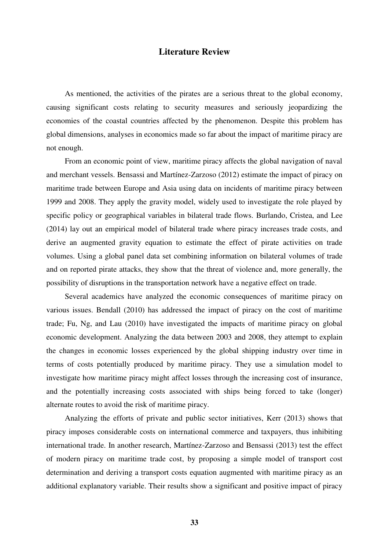## **Literature Review**

As mentioned, the activities of the pirates are a serious threat to the global economy, causing significant costs relating to security measures and seriously jeopardizing the economies of the coastal countries affected by the phenomenon. Despite this problem has global dimensions, analyses in economics made so far about the impact of maritime piracy are not enough.

From an economic point of view, maritime piracy affects the global navigation of naval and merchant vessels. Bensassi and Martínez-Zarzoso (2012) estimate the impact of piracy on maritime trade between Europe and Asia using data on incidents of maritime piracy between 1999 and 2008. They apply the gravity model, widely used to investigate the role played by specific policy or geographical variables in bilateral trade flows. Burlando, Cristea, and Lee (2014) lay out an empirical model of bilateral trade where piracy increases trade costs, and derive an augmented gravity equation to estimate the effect of pirate activities on trade volumes. Using a global panel data set combining information on bilateral volumes of trade and on reported pirate attacks, they show that the threat of violence and, more generally, the possibility of disruptions in the transportation network have a negative effect on trade.

Several academics have analyzed the economic consequences of maritime piracy on various issues. Bendall (2010) has addressed the impact of piracy on the cost of maritime trade; Fu, Ng, and Lau (2010) have investigated the impacts of maritime piracy on global economic development. Analyzing the data between 2003 and 2008, they attempt to explain the changes in economic losses experienced by the global shipping industry over time in terms of costs potentially produced by maritime piracy. They use a simulation model to investigate how maritime piracy might affect losses through the increasing cost of insurance, and the potentially increasing costs associated with ships being forced to take (longer) alternate routes to avoid the risk of maritime piracy.

Analyzing the efforts of private and public sector initiatives, Kerr (2013) shows that piracy imposes considerable costs on international commerce and taxpayers, thus inhibiting international trade. In another research, Martínez-Zarzoso and Bensassi (2013) test the effect of modern piracy on maritime trade cost, by proposing a simple model of transport cost determination and deriving a transport costs equation augmented with maritime piracy as an additional explanatory variable. Their results show a significant and positive impact of piracy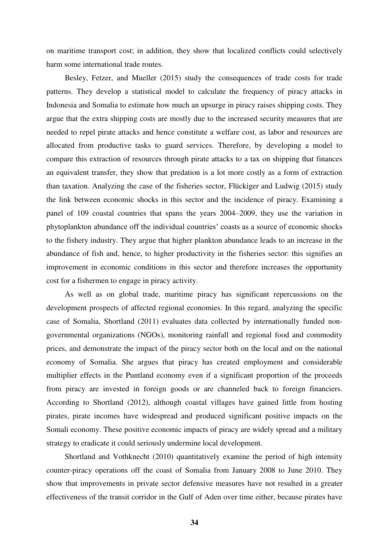on maritime transport cost; in addition, they show that localized conflicts could selectively harm some international trade routes.

Besley, Fetzer, and Mueller (2015) study the consequences of trade costs for trade patterns. They develop a statistical model to calculate the frequency of piracy attacks in Indonesia and Somalia to estimate how much an upsurge in piracy raises shipping costs. They argue that the extra shipping costs are mostly due to the increased security measures that are needed to repel pirate attacks and hence constitute a welfare cost, as labor and resources are allocated from productive tasks to guard services. Therefore, by developing a model to compare this extraction of resources through pirate attacks to a tax on shipping that finances an equivalent transfer, they show that predation is a lot more costly as a form of extraction than taxation. Analyzing the case of the fisheries sector, Flückiger and Ludwig (2015) study the link between economic shocks in this sector and the incidence of piracy. Examining a panel of 109 coastal countries that spans the years 2004–2009, they use the variation in phytoplankton abundance off the individual countries' coasts as a source of economic shocks to the fishery industry. They argue that higher plankton abundance leads to an increase in the abundance of fish and, hence, to higher productivity in the fisheries sector: this signifies an improvement in economic conditions in this sector and therefore increases the opportunity cost for a fishermen to engage in piracy activity.

As well as on global trade, maritime piracy has significant repercussions on the development prospects of affected regional economies. In this regard, analyzing the specific case of Somalia, Shortland (2011) evaluates data collected by internationally funded nongovernmental organizations (NGOs), monitoring rainfall and regional food and commodity prices, and demonstrate the impact of the piracy sector both on the local and on the national economy of Somalia. She argues that piracy has created employment and considerable multiplier effects in the Puntland economy even if a significant proportion of the proceeds from piracy are invested in foreign goods or are channeled back to foreign financiers. According to Shortland (2012), although coastal villages have gained little from hosting pirates, pirate incomes have widespread and produced significant positive impacts on the Somali economy. These positive economic impacts of piracy are widely spread and a military strategy to eradicate it could seriously undermine local development.

Shortland and Vothknecht (2010) quantitatively examine the period of high intensity counter-piracy operations off the coast of Somalia from January 2008 to June 2010. They show that improvements in private sector defensive measures have not resulted in a greater effectiveness of the transit corridor in the Gulf of Aden over time either, because pirates have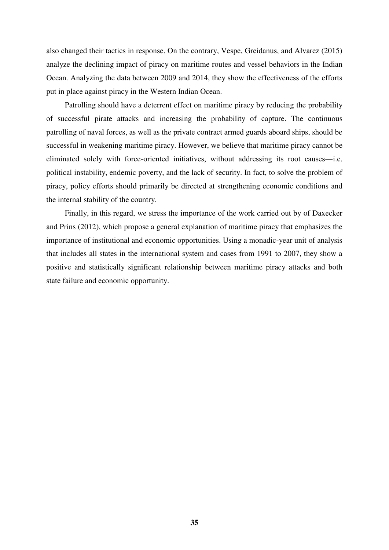also changed their tactics in response. On the contrary, Vespe, Greidanus, and Alvarez (2015) analyze the declining impact of piracy on maritime routes and vessel behaviors in the Indian Ocean. Analyzing the data between 2009 and 2014, they show the effectiveness of the efforts put in place against piracy in the Western Indian Ocean.

Patrolling should have a deterrent effect on maritime piracy by reducing the probability of successful pirate attacks and increasing the probability of capture. The continuous patrolling of naval forces, as well as the private contract armed guards aboard ships, should be successful in weakening maritime piracy. However, we believe that maritime piracy cannot be eliminated solely with force-oriented initiatives, without addressing its root causes―i.e. political instability, endemic poverty, and the lack of security. In fact, to solve the problem of piracy, policy efforts should primarily be directed at strengthening economic conditions and the internal stability of the country.

Finally, in this regard, we stress the importance of the work carried out by of Daxecker and Prins (2012), which propose a general explanation of maritime piracy that emphasizes the importance of institutional and economic opportunities. Using a monadic-year unit of analysis that includes all states in the international system and cases from 1991 to 2007, they show a positive and statistically significant relationship between maritime piracy attacks and both state failure and economic opportunity.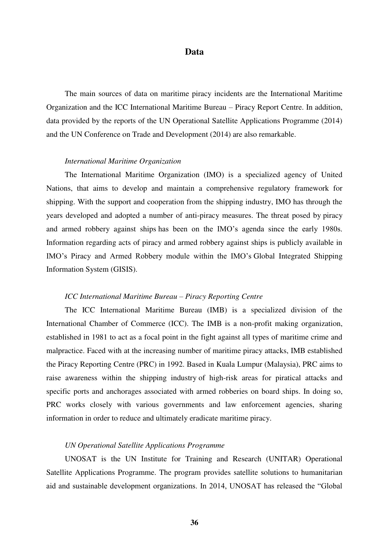#### **Data**

The main sources of data on maritime piracy incidents are the International Maritime Organization and the ICC International Maritime Bureau – Piracy Report Centre. In addition, data provided by the reports of the UN Operational Satellite Applications Programme (2014) and the UN Conference on Trade and Development (2014) are also remarkable.

#### *International Maritime Organization*

The International Maritime Organization (IMO) is a specialized agency of United Nations, that aims to develop and maintain a comprehensive regulatory framework for shipping. With the support and cooperation from the shipping industry, IMO has through the years developed and adopted a number of anti-piracy measures. The threat posed by piracy and armed robbery against ships has been on the IMO's agenda since the early 1980s. Information regarding acts of piracy and armed robbery against ships is publicly available in IMO's Piracy and Armed Robbery module within the IMO's Global Integrated Shipping Information System (GISIS).

#### *ICC International Maritime Bureau – Piracy Reporting Centre*

The ICC International Maritime Bureau (IMB) is a specialized division of the International Chamber of Commerce (ICC). The IMB is a non-profit making organization, established in 1981 to act as a focal point in the fight against all types of maritime crime and malpractice. Faced with at the increasing number of maritime piracy attacks, IMB established the Piracy Reporting Centre (PRC) in 1992. Based in Kuala Lumpur (Malaysia), PRC aims to raise awareness within the shipping industry of high-risk areas for piratical attacks and specific ports and anchorages associated with armed robberies on board ships. In doing so, PRC works closely with various governments and law enforcement agencies, sharing information in order to reduce and ultimately eradicate maritime piracy.

#### *UN Operational Satellite Applications Programme*

UNOSAT is the UN Institute for Training and Research (UNITAR) Operational Satellite Applications Programme. The program provides satellite solutions to humanitarian aid and sustainable development organizations. In 2014, UNOSAT has released the "Global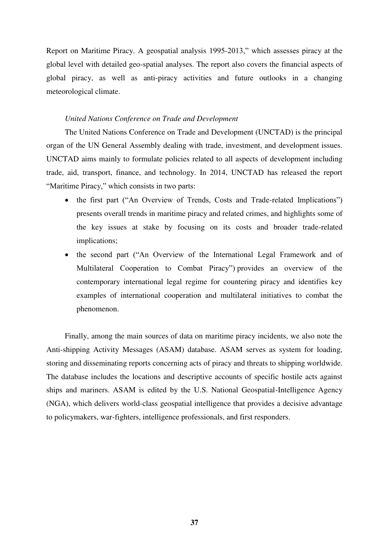Report on Maritime Piracy. A geospatial analysis 1995-2013," which assesses piracy at the global level with detailed geo-spatial analyses. The report also covers the financial aspects of global piracy, as well as anti-piracy activities and future outlooks in a changing meteorological climate.

## *United Nations Conference on Trade and Development*

The United Nations Conference on Trade and Development (UNCTAD) is the principal organ of the UN General Assembly dealing with trade, investment, and development issues. UNCTAD aims mainly to formulate policies related to all aspects of development including trade, aid, transport, finance, and technology. In 2014, UNCTAD has released the report "Maritime Piracy," which consists in two parts:

- the first part ("An Overview of Trends, Costs and Trade-related Implications") presents overall trends in maritime piracy and related crimes, and highlights some of the key issues at stake by focusing on its costs and broader trade-related implications;
- the second part ("An Overview of the International Legal Framework and of Multilateral Cooperation to Combat Piracy") provides an overview of the contemporary international legal regime for countering piracy and identifies key examples of international cooperation and multilateral initiatives to combat the phenomenon.

Finally, among the main sources of data on maritime piracy incidents, we also note the Anti-shipping Activity Messages (ASAM) database. ASAM serves as system for loading, storing and disseminating reports concerning acts of piracy and threats to shipping worldwide. The database includes the locations and descriptive accounts of specific hostile acts against ships and mariners. ASAM is edited by the U.S. National Geospatial-Intelligence Agency (NGA), which delivers world-class geospatial intelligence that provides a decisive advantage to policymakers, war-fighters, intelligence professionals, and first responders.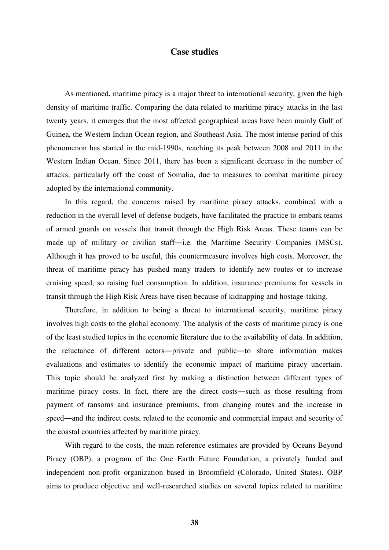# **Case studies**

As mentioned, maritime piracy is a major threat to international security, given the high density of maritime traffic. Comparing the data related to maritime piracy attacks in the last twenty years, it emerges that the most affected geographical areas have been mainly Gulf of Guinea, the Western Indian Ocean region, and Southeast Asia. The most intense period of this phenomenon has started in the mid-1990s, reaching its peak between 2008 and 2011 in the Western Indian Ocean. Since 2011, there has been a significant decrease in the number of attacks, particularly off the coast of Somalia, due to measures to combat maritime piracy adopted by the international community.

In this regard, the concerns raised by maritime piracy attacks, combined with a reduction in the overall level of defense budgets, have facilitated the practice to embark teams of armed guards on vessels that transit through the High Risk Areas. These teams can be made up of military or civilian staff―i.e. the Maritime Security Companies (MSCs). Although it has proved to be useful, this countermeasure involves high costs. Moreover, the threat of maritime piracy has pushed many traders to identify new routes or to increase cruising speed, so raising fuel consumption. In addition, insurance premiums for vessels in transit through the High Risk Areas have risen because of kidnapping and hostage-taking.

Therefore, in addition to being a threat to international security, maritime piracy involves high costs to the global economy. The analysis of the costs of maritime piracy is one of the least studied topics in the economic literature due to the availability of data. In addition, the reluctance of different actors―private and public―to share information makes evaluations and estimates to identify the economic impact of maritime piracy uncertain. This topic should be analyzed first by making a distinction between different types of maritime piracy costs. In fact, there are the direct costs―such as those resulting from payment of ransoms and insurance premiums, from changing routes and the increase in speed—and the indirect costs, related to the economic and commercial impact and security of the coastal countries affected by maritime piracy.

With regard to the costs, the main reference estimates are provided by Oceans Beyond Piracy (OBP), a program of the One Earth Future Foundation, a privately funded and independent non-profit organization based in Broomfield (Colorado, United States). OBP aims to produce objective and well-researched studies on several topics related to maritime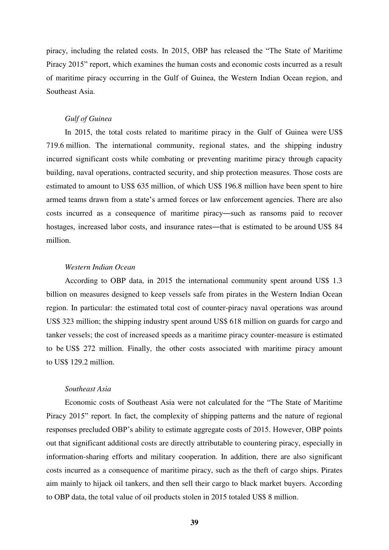piracy, including the related costs. In 2015, OBP has released the "The State of Maritime Piracy 2015" report, which examines the human costs and economic costs incurred as a result of maritime piracy occurring in the Gulf of Guinea, the Western Indian Ocean region, and Southeast Asia.

#### *Gulf of Guinea*

In 2015, the total costs related to maritime piracy in the Gulf of Guinea were US\$ 719.6 million. The international community, regional states, and the shipping industry incurred significant costs while combating or preventing maritime piracy through capacity building, naval operations, contracted security, and ship protection measures. Those costs are estimated to amount to US\$ 635 million, of which US\$ 196.8 million have been spent to hire armed teams drawn from a state's armed forces or law enforcement agencies. There are also costs incurred as a consequence of maritime piracy―such as ransoms paid to recover hostages, increased labor costs, and insurance rates—that is estimated to be around US\$ 84 million.

#### *Western Indian Ocean*

According to OBP data, in 2015 the international community spent around US\$ 1.3 billion on measures designed to keep vessels safe from pirates in the Western Indian Ocean region. In particular: the estimated total cost of counter-piracy naval operations was around US\$ 323 million; the shipping industry spent around US\$ 618 million on guards for cargo and tanker vessels; the cost of increased speeds as a maritime piracy counter-measure is estimated to be US\$ 272 million. Finally, the other costs associated with maritime piracy amount to US\$ 129.2 million.

#### *Southeast Asia*

Economic costs of Southeast Asia were not calculated for the "The State of Maritime Piracy 2015" report. In fact, the complexity of shipping patterns and the nature of regional responses precluded OBP's ability to estimate aggregate costs of 2015. However, OBP points out that significant additional costs are directly attributable to countering piracy, especially in information-sharing efforts and military cooperation. In addition, there are also significant costs incurred as a consequence of maritime piracy, such as the theft of cargo ships. Pirates aim mainly to hijack oil tankers, and then sell their cargo to black market buyers. According to OBP data, the total value of oil products stolen in 2015 totaled US\$ 8 million.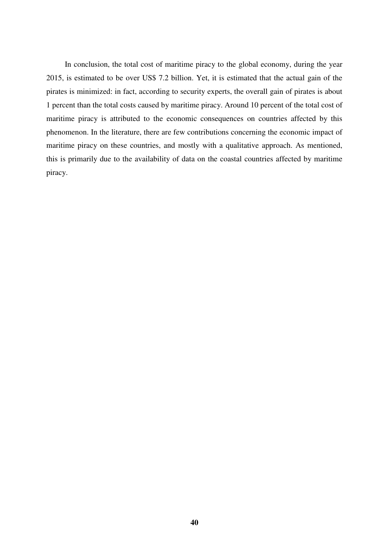In conclusion, the total cost of maritime piracy to the global economy, during the year 2015, is estimated to be over US\$ 7.2 billion. Yet, it is estimated that the actual gain of the pirates is minimized: in fact, according to security experts, the overall gain of pirates is about 1 percent than the total costs caused by maritime piracy. Around 10 percent of the total cost of maritime piracy is attributed to the economic consequences on countries affected by this phenomenon. In the literature, there are few contributions concerning the economic impact of maritime piracy on these countries, and mostly with a qualitative approach. As mentioned, this is primarily due to the availability of data on the coastal countries affected by maritime piracy.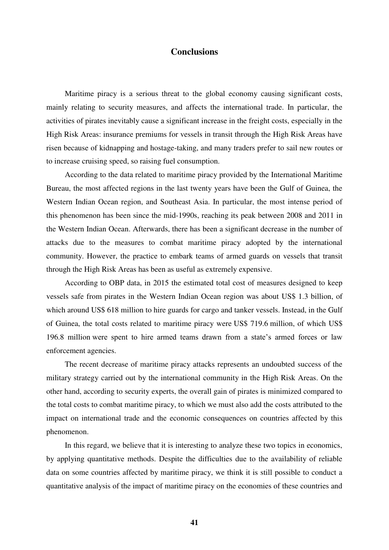# **Conclusions**

Maritime piracy is a serious threat to the global economy causing significant costs, mainly relating to security measures, and affects the international trade. In particular, the activities of pirates inevitably cause a significant increase in the freight costs, especially in the High Risk Areas: insurance premiums for vessels in transit through the High Risk Areas have risen because of kidnapping and hostage-taking, and many traders prefer to sail new routes or to increase cruising speed, so raising fuel consumption.

According to the data related to maritime piracy provided by the International Maritime Bureau, the most affected regions in the last twenty years have been the Gulf of Guinea, the Western Indian Ocean region, and Southeast Asia. In particular, the most intense period of this phenomenon has been since the mid-1990s, reaching its peak between 2008 and 2011 in the Western Indian Ocean. Afterwards, there has been a significant decrease in the number of attacks due to the measures to combat maritime piracy adopted by the international community. However, the practice to embark teams of armed guards on vessels that transit through the High Risk Areas has been as useful as extremely expensive.

According to OBP data, in 2015 the estimated total cost of measures designed to keep vessels safe from pirates in the Western Indian Ocean region was about US\$ 1.3 billion, of which around US\$ 618 million to hire guards for cargo and tanker vessels. Instead, in the Gulf of Guinea, the total costs related to maritime piracy were US\$ 719.6 million, of which US\$ 196.8 million were spent to hire armed teams drawn from a state's armed forces or law enforcement agencies.

The recent decrease of maritime piracy attacks represents an undoubted success of the military strategy carried out by the international community in the High Risk Areas. On the other hand, according to security experts, the overall gain of pirates is minimized compared to the total costs to combat maritime piracy, to which we must also add the costs attributed to the impact on international trade and the economic consequences on countries affected by this phenomenon.

In this regard, we believe that it is interesting to analyze these two topics in economics, by applying quantitative methods. Despite the difficulties due to the availability of reliable data on some countries affected by maritime piracy, we think it is still possible to conduct a quantitative analysis of the impact of maritime piracy on the economies of these countries and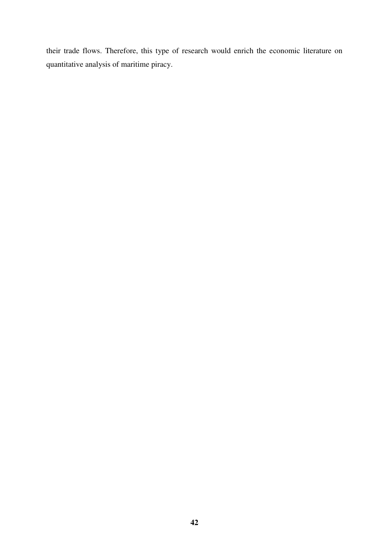their trade flows. Therefore, this type of research would enrich the economic literature on quantitative analysis of maritime piracy.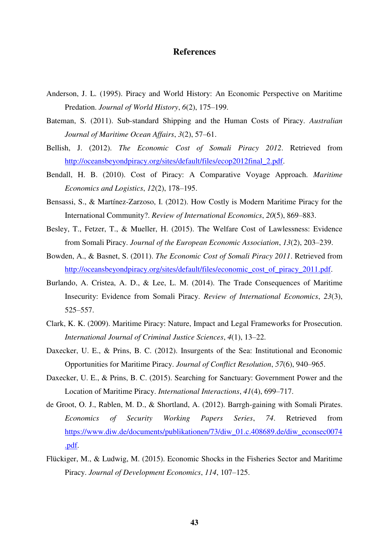# **References**

- Anderson, J. L. (1995). Piracy and World History: An Economic Perspective on Maritime Predation. *Journal of World History*, *6*(2), 175–199.
- Bateman, S. (2011). Sub-standard Shipping and the Human Costs of Piracy. *Australian Journal of Maritime Ocean Affairs*, *3*(2), 57–61.
- Bellish, J. (2012). *The Economic Cost of Somali Piracy 2012*. Retrieved from [http://oceansbeyondpiracy.org/sites/default/files/ecop2012final\\_2.pdf.](http://oceansbeyondpiracy.org/sites/default/files/ecop2012final_2.pdf)
- Bendall, H. B. (2010). Cost of Piracy: A Comparative Voyage Approach. *Maritime Economics and Logistics*, *12*(2), 178–195.
- Bensassi, S., & Martínez-Zarzoso, I. (2012). How Costly is Modern Maritime Piracy for the International Community?. *Review of International Economics*, *20*(5), 869–883.
- Besley, T., Fetzer, T., & Mueller, H. (2015). The Welfare Cost of Lawlessness: Evidence from Somali Piracy. *Journal of the European Economic Association*, *13*(2), 203–239.
- Bowden, A., & Basnet, S. (2011). *The Economic Cost of Somali Piracy 2011*. Retrieved from [http://oceansbeyondpiracy.org/sites/default/files/economic\\_cost\\_of\\_piracy\\_2011.pdf.](http://oceansbeyondpiracy.org/sites/default/files/economic_cost_of_piracy_2011.pdf)
- Burlando, A. Cristea, A. D., & Lee, L. M. (2014). The Trade Consequences of Maritime Insecurity: Evidence from Somali Piracy. *Review of International Economics*, *23*(3), 525–557.
- Clark, K. K. (2009). Maritime Piracy: Nature, Impact and Legal Frameworks for Prosecution. *International Journal of Criminal Justice Sciences*, *4*(1), 13–22.
- Daxecker, U. E., & Prins, B. C. (2012). Insurgents of the Sea: Institutional and Economic Opportunities for Maritime Piracy. *Journal of Conflict Resolution*, *57*(6), 940–965.
- Daxecker, U. E., & Prins, B. C. (2015). Searching for Sanctuary: Government Power and the Location of Maritime Piracy. *International Interactions*, *41*(4), 699–717.
- de Groot, O. J., Rablen, M. D., & Shortland, A. (2012). Barrgh-gaining with Somali Pirates. *Economics of Security Working Papers Series*, *74*. Retrieved from [https://www.diw.de/documents/publikationen/73/diw\\_01.c.408689.de/diw\\_econsec0074](https://www.diw.de/documents/publikationen/73/diw_01.c.408689.de/diw_econsec0074.pdf) [.pdf.](https://www.diw.de/documents/publikationen/73/diw_01.c.408689.de/diw_econsec0074.pdf)
- Flückiger, M., & Ludwig, M. (2015). Economic Shocks in the Fisheries Sector and Maritime Piracy. *Journal of Development Economics*, *114*, 107–125.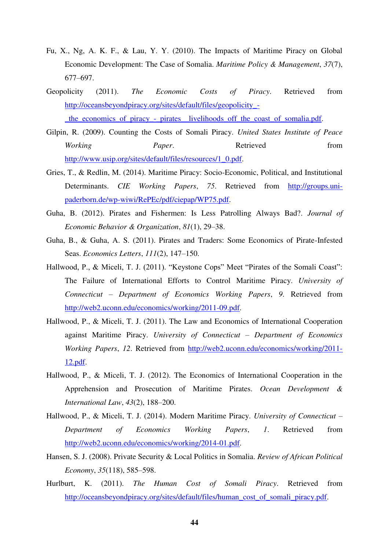- Fu, X., Ng, A. K. F., & Lau, Y. Y. (2010). The Impacts of Maritime Piracy on Global Economic Development: The Case of Somalia. *Maritime Policy & Management*, *37*(7), 677–697.
- Geopolicity (2011). *The Economic Costs of Piracy*. Retrieved from [http://oceansbeyondpiracy.org/sites/default/files/geopolicity\\_](http://oceansbeyondpiracy.org/sites/default/files/geopolicity_-_the_economics_of_piracy_-_pirates__livelihoods_off_the_coast_of_somalia.pdf) the economics of piracy - pirates—livelihoods off the coast of somalia.pdf.
- Gilpin, R. (2009). Counting the Costs of Somali Piracy. *United States Institute of Peace Working Paper*. Retrieved from [http://www.usip.org/sites/default/files/resources/1\\_0.pdf.](http://www.usip.org/sites/default/files/resources/1_0.pdf)
- Gries, T., & Redlin, M. (2014). Maritime Piracy: Socio-Economic, Political, and Institutional Determinants. *CIE Working Papers*, *75*. Retrieved from [http://groups.uni](http://groups.uni-paderborn.de/wp-wiwi/RePEc/pdf/ciepap/WP75.pdf)[paderborn.de/wp-wiwi/RePEc/pdf/ciepap/WP75.pdf.](http://groups.uni-paderborn.de/wp-wiwi/RePEc/pdf/ciepap/WP75.pdf)
- Guha, B. (2012). Pirates and Fishermen: Is Less Patrolling Always Bad?. *Journal of Economic Behavior & Organization*, *81*(1), 29–38.
- Guha, B., & Guha, A. S. (2011). Pirates and Traders: Some Economics of Pirate-Infested Seas. *Economics Letters*, *111*(2), 147–150.
- Hallwood, P., & Miceli, T. J. (2011). "Keystone Cops" Meet "Pirates of the Somali Coast": The Failure of International Efforts to Control Maritime Piracy. *University of Connecticut – Department of Economics Working Papers*, *9*. Retrieved from [http://web2.uconn.edu/economics/working/2011-09.pdf.](http://web2.uconn.edu/economics/working/2011-09.pdf)
- Hallwood, P., & Miceli, T. J. (2011). The Law and Economics of International Cooperation against Maritime Piracy. *University of Connecticut – Department of Economics Working Papers*, *12*. Retrieved from [http://web2.uconn.edu/economics/working/2011-](http://web2.uconn.edu/economics/working/2011-12.pdf) [12.pdf.](http://web2.uconn.edu/economics/working/2011-12.pdf)
- Hallwood, P., & Miceli, T. J. (2012). The Economics of International Cooperation in the Apprehension and Prosecution of Maritime Pirates. *Ocean Development & International Law*, *43*(2), 188–200.
- Hallwood, P., & Miceli, T. J. (2014). Modern Maritime Piracy. *University of Connecticut – Department of Economics Working Papers*, *1*. Retrieved from [http://web2.uconn.edu/economics/working/2014-01.pdf.](http://web2.uconn.edu/economics/working/2014-01.pdf)
- Hansen, S. J. (2008). Private Security & Local Politics in Somalia. *Review of African Political Economy*, *35*(118), 585–598.
- Hurlburt, K. (2011). *The Human Cost of Somali Piracy*. Retrieved from [http://oceansbeyondpiracy.org/sites/default/files/human\\_cost\\_of\\_somali\\_piracy.pdf.](http://oceansbeyondpiracy.org/sites/default/files/human_cost_of_somali_piracy.pdf)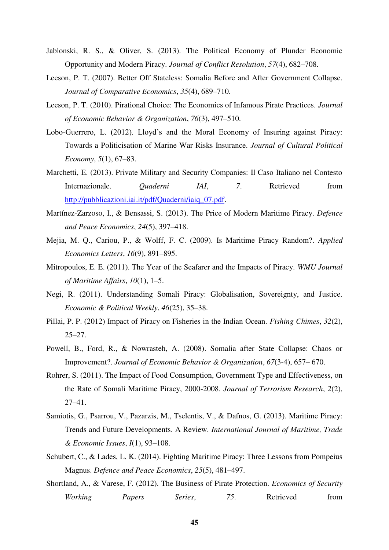- Jablonski, R. S., & Oliver, S. (2013). The Political Economy of Plunder Economic Opportunity and Modern Piracy. *Journal of Conflict Resolution*, *57*(4), 682–708.
- Leeson, P. T. (2007). Better Off Stateless: Somalia Before and After Government Collapse. *Journal of Comparative Economics*, *35*(4), 689–710.
- Leeson, P. T. (2010). Pirational Choice: The Economics of Infamous Pirate Practices. *Journal of Economic Behavior & Organization*, *76*(3), 497–510.
- Lobo-Guerrero, L. (2012). Lloyd's and the Moral Economy of Insuring against Piracy: Towards a Politicisation of Marine War Risks Insurance. *Journal of Cultural Political Economy*, *5*(1), 67–83.
- Marchetti, E. (2013). Private Military and Security Companies: Il Caso Italiano nel Contesto Internazionale. *Quaderni IAI*, *7*. Retrieved from [http://pubblicazioni.iai.it/pdf/Quaderni/iaiq\\_07.pdf.](http://pubblicazioni.iai.it/pdf/Quaderni/iaiq_07.pdf)
- Martínez-Zarzoso, I., & Bensassi, S. (2013). The Price of Modern Maritime Piracy. *Defence and Peace Economics*, *24*(5), 397–418.
- Mejia, M. Q., Cariou, P., & Wolff, F. C. (2009). Is Maritime Piracy Random?. *Applied Economics Letters*, *16*(9), 891–895.
- Mitropoulos, E. E. (2011). The Year of the Seafarer and the Impacts of Piracy. *WMU Journal of Maritime Affairs*, *10*(1), 1–5.
- Negi, R. (2011). Understanding Somali Piracy: Globalisation, Sovereignty, and Justice. *Economic & Political Weekly*, *46*(25), 35–38.
- Pillai, P. P. (2012) Impact of Piracy on Fisheries in the Indian Ocean. *Fishing Chimes*, *32*(2),  $25 - 27$ .
- Powell, B., Ford, R., & Nowrasteh, A. (2008). Somalia after State Collapse: Chaos or Improvement?. *Journal of Economic Behavior & Organization*, *67*(3-4), 657– 670.
- Rohrer, S. (2011). The Impact of Food Consumption, Government Type and Effectiveness, on the Rate of Somali Maritime Piracy, 2000-2008. *Journal of Terrorism Research*, *2*(2), 27–41.
- Samiotis, G., Psarrou, V., Pazarzis, M., Tselentis, V., & Dafnos, G. (2013). Maritime Piracy: Trends and Future Developments. A Review. *International Journal of Maritime, Trade & Economic Issues*, *I*(1), 93–108.
- Schubert, C., & Lades, L. K. (2014). Fighting Maritime Piracy: Three Lessons from Pompeius Magnus. *Defence and Peace Economics*, *25*(5), 481–497.
- Shortland, A., & Varese, F. (2012). The Business of Pirate Protection. *Economics of Security Working Papers Series*, *75*. Retrieved from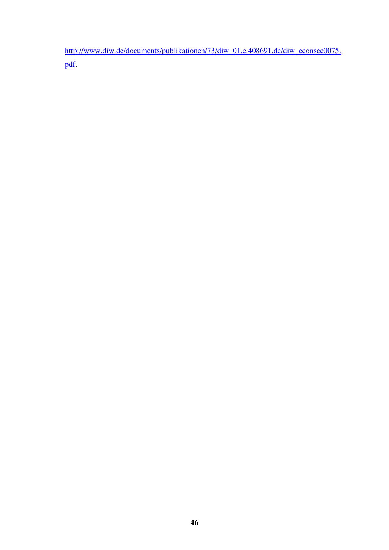[http://www.diw.de/documents/publikationen/73/diw\\_01.c.408691.de/diw\\_econsec0075.](http://www.diw.de/documents/publikationen/73/diw_01.c.408691.de/diw_econsec0075.pdf) [pdf.](http://www.diw.de/documents/publikationen/73/diw_01.c.408691.de/diw_econsec0075.pdf)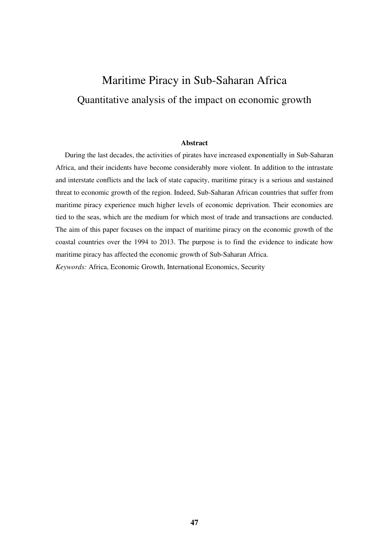# Maritime Piracy in Sub-Saharan Africa Quantitative analysis of the impact on economic growth

#### **Abstract**

During the last decades, the activities of pirates have increased exponentially in Sub-Saharan Africa, and their incidents have become considerably more violent. In addition to the intrastate and interstate conflicts and the lack of state capacity, maritime piracy is a serious and sustained threat to economic growth of the region. Indeed, Sub-Saharan African countries that suffer from maritime piracy experience much higher levels of economic deprivation. Their economies are tied to the seas, which are the medium for which most of trade and transactions are conducted. The aim of this paper focuses on the impact of maritime piracy on the economic growth of the coastal countries over the 1994 to 2013. The purpose is to find the evidence to indicate how maritime piracy has affected the economic growth of Sub-Saharan Africa.

*Keywords:* Africa, Economic Growth, International Economics, Security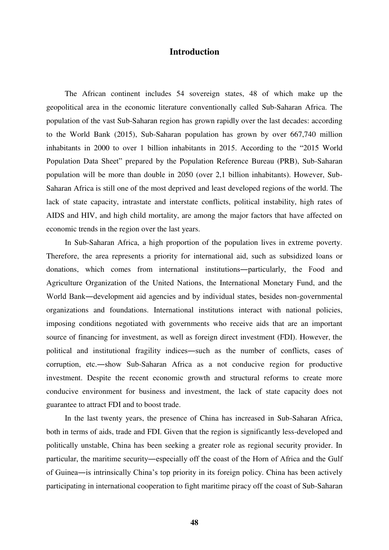# **Introduction**

The African continent includes 54 sovereign states, 48 of which make up the geopolitical area in the economic literature conventionally called Sub-Saharan Africa. The population of the vast Sub-Saharan region has grown rapidly over the last decades: according to the World Bank (2015), Sub-Saharan population has grown by over 667,740 million inhabitants in 2000 to over 1 billion inhabitants in 2015. According to the "2015 World Population Data Sheet" prepared by the Population Reference Bureau (PRB), Sub-Saharan population will be more than double in 2050 (over 2,1 billion inhabitants). However, Sub-Saharan Africa is still one of the most deprived and least developed regions of the world. The lack of state capacity, intrastate and interstate conflicts, political instability, high rates of AIDS and HIV, and high child mortality, are among the major factors that have affected on economic trends in the region over the last years.

In Sub-Saharan Africa, a high proportion of the population lives in extreme poverty. Therefore, the area represents a priority for international aid, such as subsidized loans or donations, which comes from international institutions―particularly, the Food and Agriculture Organization of the United Nations, the International Monetary Fund, and the World Bank―development aid agencies and by individual states, besides non-governmental organizations and foundations. International institutions interact with national policies, imposing conditions negotiated with governments who receive aids that are an important source of financing for investment, as well as foreign direct investment (FDI). However, the political and institutional fragility indices―such as the number of conflicts, cases of corruption, etc.―show Sub-Saharan Africa as a not conducive region for productive investment. Despite the recent economic growth and structural reforms to create more conducive environment for business and investment, the lack of state capacity does not guarantee to attract FDI and to boost trade.

In the last twenty years, the presence of China has increased in Sub-Saharan Africa, both in terms of aids, trade and FDI. Given that the region is significantly less-developed and politically unstable, China has been seeking a greater role as regional security provider. In particular, the maritime security―especially off the coast of the Horn of Africa and the Gulf of Guinea―is intrinsically China's top priority in its foreign policy. China has been actively participating in international cooperation to fight maritime piracy off the coast of Sub-Saharan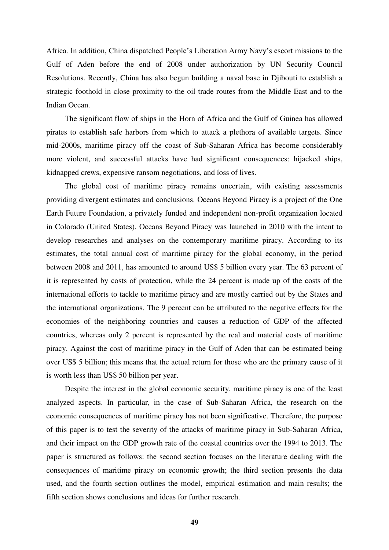Africa. In addition, China dispatched People's Liberation Army Navy's escort missions to the Gulf of Aden before the end of 2008 under authorization by UN Security Council Resolutions. Recently, China has also begun building a naval base in Djibouti to establish a strategic foothold in close proximity to the oil trade routes from the Middle East and to the Indian Ocean.

The significant flow of ships in the Horn of Africa and the Gulf of Guinea has allowed pirates to establish safe harbors from which to attack a plethora of available targets. Since mid-2000s, maritime piracy off the coast of Sub-Saharan Africa has become considerably more violent, and successful attacks have had significant consequences: hijacked ships, kidnapped crews, expensive ransom negotiations, and loss of lives.

The global cost of maritime piracy remains uncertain, with existing assessments providing divergent estimates and conclusions. Oceans Beyond Piracy is a project of the One Earth Future Foundation, a privately funded and independent non-profit organization located in Colorado (United States). Oceans Beyond Piracy was launched in 2010 with the intent to develop researches and analyses on the contemporary maritime piracy. According to its estimates, the total annual cost of maritime piracy for the global economy, in the period between 2008 and 2011, has amounted to around US\$ 5 billion every year. The 63 percent of it is represented by costs of protection, while the 24 percent is made up of the costs of the international efforts to tackle to maritime piracy and are mostly carried out by the States and the international organizations. The 9 percent can be attributed to the negative effects for the economies of the neighboring countries and causes a reduction of GDP of the affected countries, whereas only 2 percent is represented by the real and material costs of maritime piracy. Against the cost of maritime piracy in the Gulf of Aden that can be estimated being over US\$ 5 billion; this means that the actual return for those who are the primary cause of it is worth less than US\$ 50 billion per year.

Despite the interest in the global economic security, maritime piracy is one of the least analyzed aspects. In particular, in the case of Sub-Saharan Africa, the research on the economic consequences of maritime piracy has not been significative. Therefore, the purpose of this paper is to test the severity of the attacks of maritime piracy in Sub-Saharan Africa, and their impact on the GDP growth rate of the coastal countries over the 1994 to 2013. The paper is structured as follows: the second section focuses on the literature dealing with the consequences of maritime piracy on economic growth; the third section presents the data used, and the fourth section outlines the model, empirical estimation and main results; the fifth section shows conclusions and ideas for further research.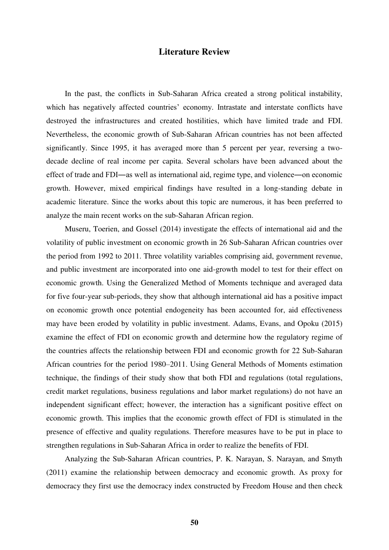## **Literature Review**

In the past, the conflicts in Sub-Saharan Africa created a strong political instability, which has negatively affected countries' economy. Intrastate and interstate conflicts have destroyed the infrastructures and created hostilities, which have limited trade and FDI. Nevertheless, the economic growth of Sub-Saharan African countries has not been affected significantly. Since 1995, it has averaged more than 5 percent per year, reversing a twodecade decline of real income per capita. Several scholars have been advanced about the effect of trade and FDI―as well as international aid, regime type, and violence―on economic growth. However, mixed empirical findings have resulted in a long-standing debate in academic literature. Since the works about this topic are numerous, it has been preferred to analyze the main recent works on the sub-Saharan African region.

Museru, Toerien, and Gossel (2014) investigate the effects of international aid and the volatility of public investment on economic growth in 26 Sub-Saharan African countries over the period from 1992 to 2011. Three volatility variables comprising aid, government revenue, and public investment are incorporated into one aid-growth model to test for their effect on economic growth. Using the Generalized Method of Moments technique and averaged data for five four-year sub-periods, they show that although international aid has a positive impact on economic growth once potential endogeneity has been accounted for, aid effectiveness may have been eroded by volatility in public investment. Adams, Evans, and Opoku (2015) examine the effect of FDI on economic growth and determine how the regulatory regime of the countries affects the relationship between FDI and economic growth for 22 Sub-Saharan African countries for the period 1980–2011. Using General Methods of Moments estimation technique, the findings of their study show that both FDI and regulations (total regulations, credit market regulations, business regulations and labor market regulations) do not have an independent significant effect; however, the interaction has a significant positive effect on economic growth. This implies that the economic growth effect of FDI is stimulated in the presence of effective and quality regulations. Therefore measures have to be put in place to strengthen regulations in Sub-Saharan Africa in order to realize the benefits of FDI.

Analyzing the Sub-Saharan African countries, P. K. Narayan, S. Narayan, and Smyth (2011) examine the relationship between democracy and economic growth. As proxy for democracy they first use the democracy index constructed by Freedom House and then check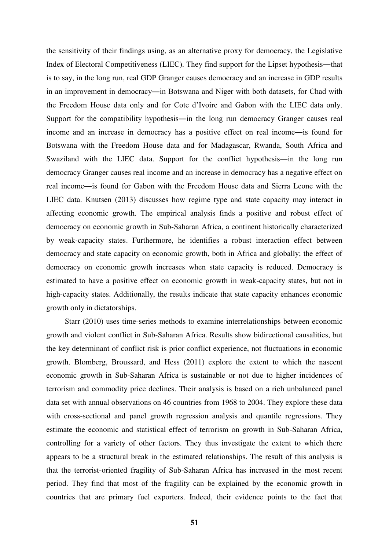the sensitivity of their findings using, as an alternative proxy for democracy, the Legislative Index of Electoral Competitiveness (LIEC). They find support for the Lipset hypothesis―that is to say, in the long run, real GDP Granger causes democracy and an increase in GDP results in an improvement in democracy―in Botswana and Niger with both datasets, for Chad with the Freedom House data only and for Cote d'Ivoire and Gabon with the LIEC data only. Support for the compatibility hypothesis—in the long run democracy Granger causes real income and an increase in democracy has a positive effect on real income―is found for Botswana with the Freedom House data and for Madagascar, Rwanda, South Africa and Swaziland with the LIEC data. Support for the conflict hypothesis―in the long run democracy Granger causes real income and an increase in democracy has a negative effect on real income―is found for Gabon with the Freedom House data and Sierra Leone with the LIEC data. Knutsen (2013) discusses how regime type and state capacity may interact in affecting economic growth. The empirical analysis finds a positive and robust effect of democracy on economic growth in Sub-Saharan Africa, a continent historically characterized by weak-capacity states. Furthermore, he identifies a robust interaction effect between democracy and state capacity on economic growth, both in Africa and globally; the effect of democracy on economic growth increases when state capacity is reduced. Democracy is estimated to have a positive effect on economic growth in weak-capacity states, but not in high-capacity states. Additionally, the results indicate that state capacity enhances economic growth only in dictatorships.

Starr (2010) uses time-series methods to examine interrelationships between economic growth and violent conflict in Sub-Saharan Africa. Results show bidirectional causalities, but the key determinant of conflict risk is prior conflict experience, not fluctuations in economic growth. Blomberg, Broussard, and Hess (2011) explore the extent to which the nascent economic growth in Sub-Saharan Africa is sustainable or not due to higher incidences of terrorism and commodity price declines. Their analysis is based on a rich unbalanced panel data set with annual observations on 46 countries from 1968 to 2004. They explore these data with cross-sectional and panel growth regression analysis and quantile regressions. They estimate the economic and statistical effect of terrorism on growth in Sub-Saharan Africa, controlling for a variety of other factors. They thus investigate the extent to which there appears to be a structural break in the estimated relationships. The result of this analysis is that the terrorist-oriented fragility of Sub-Saharan Africa has increased in the most recent period. They find that most of the fragility can be explained by the economic growth in countries that are primary fuel exporters. Indeed, their evidence points to the fact that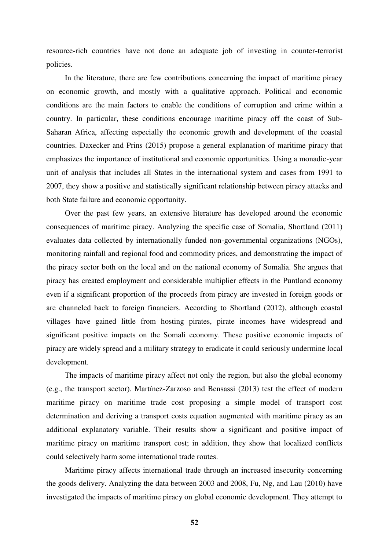resource-rich countries have not done an adequate job of investing in counter-terrorist policies.

In the literature, there are few contributions concerning the impact of maritime piracy on economic growth, and mostly with a qualitative approach. Political and economic conditions are the main factors to enable the conditions of corruption and crime within a country. In particular, these conditions encourage maritime piracy off the coast of Sub-Saharan Africa, affecting especially the economic growth and development of the coastal countries. Daxecker and Prins (2015) propose a general explanation of maritime piracy that emphasizes the importance of institutional and economic opportunities. Using a monadic-year unit of analysis that includes all States in the international system and cases from 1991 to 2007, they show a positive and statistically significant relationship between piracy attacks and both State failure and economic opportunity.

Over the past few years, an extensive literature has developed around the economic consequences of maritime piracy. Analyzing the specific case of Somalia, Shortland (2011) evaluates data collected by internationally funded non-governmental organizations (NGOs), monitoring rainfall and regional food and commodity prices, and demonstrating the impact of the piracy sector both on the local and on the national economy of Somalia. She argues that piracy has created employment and considerable multiplier effects in the Puntland economy even if a significant proportion of the proceeds from piracy are invested in foreign goods or are channeled back to foreign financiers. According to Shortland (2012), although coastal villages have gained little from hosting pirates, pirate incomes have widespread and significant positive impacts on the Somali economy. These positive economic impacts of piracy are widely spread and a military strategy to eradicate it could seriously undermine local development.

The impacts of maritime piracy affect not only the region, but also the global economy (e.g., the transport sector). Martínez-Zarzoso and Bensassi (2013) test the effect of modern maritime piracy on maritime trade cost proposing a simple model of transport cost determination and deriving a transport costs equation augmented with maritime piracy as an additional explanatory variable. Their results show a significant and positive impact of maritime piracy on maritime transport cost; in addition, they show that localized conflicts could selectively harm some international trade routes.

Maritime piracy affects international trade through an increased insecurity concerning the goods delivery. Analyzing the data between 2003 and 2008, Fu, Ng, and Lau (2010) have investigated the impacts of maritime piracy on global economic development. They attempt to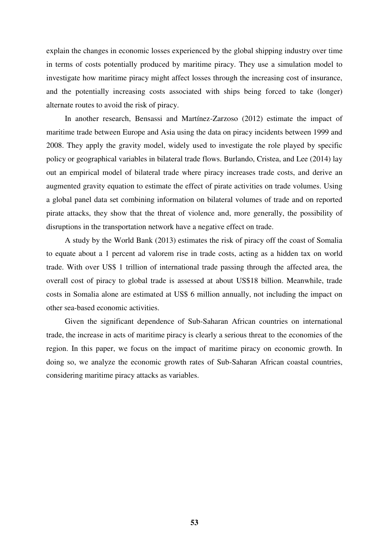explain the changes in economic losses experienced by the global shipping industry over time in terms of costs potentially produced by maritime piracy. They use a simulation model to investigate how maritime piracy might affect losses through the increasing cost of insurance, and the potentially increasing costs associated with ships being forced to take (longer) alternate routes to avoid the risk of piracy.

In another research, Bensassi and Martínez-Zarzoso (2012) estimate the impact of maritime trade between Europe and Asia using the data on piracy incidents between 1999 and 2008. They apply the gravity model, widely used to investigate the role played by specific policy or geographical variables in bilateral trade flows. Burlando, Cristea, and Lee (2014) lay out an empirical model of bilateral trade where piracy increases trade costs, and derive an augmented gravity equation to estimate the effect of pirate activities on trade volumes. Using a global panel data set combining information on bilateral volumes of trade and on reported pirate attacks, they show that the threat of violence and, more generally, the possibility of disruptions in the transportation network have a negative effect on trade.

A study by the World Bank (2013) estimates the risk of piracy off the coast of Somalia to equate about a 1 percent ad valorem rise in trade costs, acting as a hidden tax on world trade. With over US\$ 1 trillion of international trade passing through the affected area, the overall cost of piracy to global trade is assessed at about US\$18 billion. Meanwhile, trade costs in Somalia alone are estimated at US\$ 6 million annually, not including the impact on other sea-based economic activities.

Given the significant dependence of Sub-Saharan African countries on international trade, the increase in acts of maritime piracy is clearly a serious threat to the economies of the region. In this paper, we focus on the impact of maritime piracy on economic growth. In doing so, we analyze the economic growth rates of Sub-Saharan African coastal countries, considering maritime piracy attacks as variables.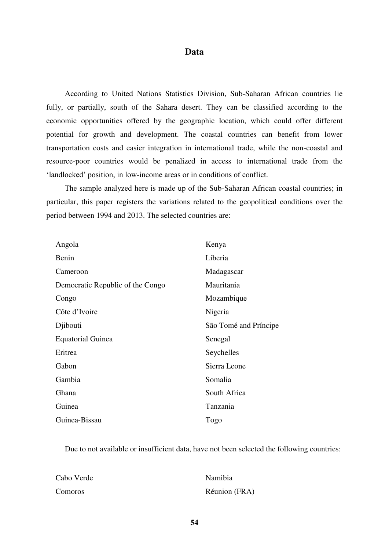# **Data**

According to United Nations Statistics Division, Sub-Saharan African countries lie fully, or partially, south of the Sahara desert. They can be classified according to the economic opportunities offered by the geographic location, which could offer different potential for growth and development. The coastal countries can benefit from lower transportation costs and easier integration in international trade, while the non-coastal and resource-poor countries would be penalized in access to international trade from the 'landlocked' position, in low-income areas or in conditions of conflict.

The sample analyzed here is made up of the Sub-Saharan African coastal countries; in particular, this paper registers the variations related to the geopolitical conditions over the period between 1994 and 2013. The selected countries are:

| Angola                           | Kenya                 |
|----------------------------------|-----------------------|
| Benin                            | Liberia               |
| Cameroon                         | Madagascar            |
| Democratic Republic of the Congo | Mauritania            |
| Congo                            | Mozambique            |
| Côte d'Ivoire                    | Nigeria               |
| Djibouti                         | São Tomé and Príncipe |
| <b>Equatorial Guinea</b>         | Senegal               |
| Eritrea                          | Seychelles            |
| Gabon                            | Sierra Leone          |
| Gambia                           | Somalia               |
| Ghana                            | South Africa          |
| Guinea                           | Tanzania              |
| Guinea-Bissau                    | Togo                  |

Due to not available or insufficient data, have not been selected the following countries:

| Cabo Verde | Namibia       |
|------------|---------------|
| Comoros    | Réunion (FRA) |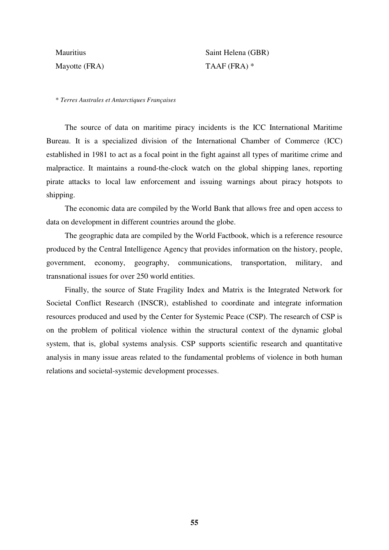**Mauritius** Mayotte (FRA) Saint Helena (GBR) TAAF (FRA) \*

\* *Terres Australes et Antarctiques Françaises*

The source of data on maritime piracy incidents is the ICC International Maritime Bureau. It is a specialized division of the International Chamber of Commerce (ICC) established in 1981 to act as a focal point in the fight against all types of maritime crime and malpractice. It maintains a round-the-clock watch on the global shipping lanes, reporting pirate attacks to local law enforcement and issuing warnings about piracy hotspots to shipping.

The economic data are compiled by the World Bank that allows free and open access to data on development in different countries around the globe.

The geographic data are compiled by the World Factbook, which is a reference resource produced by the Central Intelligence Agency that provides information on the history, people, government, economy, geography, communications, transportation, military, and transnational issues for over 250 world entities.

Finally, the source of State Fragility Index and Matrix is the Integrated Network for Societal Conflict Research (INSCR), established to coordinate and integrate information resources produced and used by the Center for Systemic Peace (CSP). The research of CSP is on the problem of political violence within the structural context of the dynamic global system, that is, global systems analysis. CSP supports scientific research and quantitative analysis in many issue areas related to the fundamental problems of violence in both human relations and societal-systemic development processes.

**55**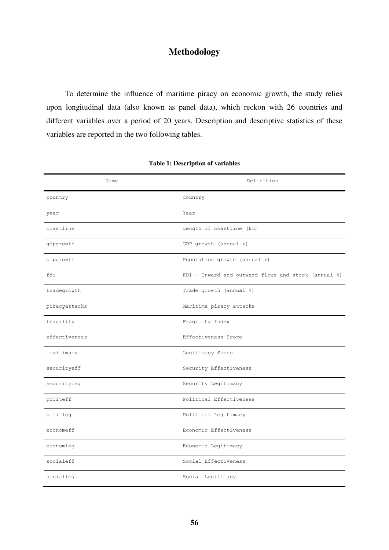# **Methodology**

To determine the influence of maritime piracy on economic growth, the study relies upon longitudinal data (also known as panel data), which reckon with 26 countries and different variables over a period of 20 years. Description and descriptive statistics of these variables are reported in the two following tables.

| Name          | Definition                                          |
|---------------|-----------------------------------------------------|
| country       | Country                                             |
| year          | Year                                                |
| coastline     | Length of coastline (km)                            |
| gdpgrowth     | GDP growth (annual %)                               |
| popgrowth     | Population growth (annual %)                        |
| fdi           | FDI - Inward and outward flows and stock (annual %) |
| tradegrowth   | Trade growth (annual %)                             |
| piracyattacks | Maritime piracy attacks                             |
| fragility     | Fragility Index                                     |
| effectiveness | Effectiveness Score                                 |
| legitimacy    | Legitimacy Score                                    |
| securityeff   | Security Effectiveness                              |
| securityleg   | Security Legitimacy                                 |
| politeff      | Political Effectiveness                             |
| politleg      | Political Legitimacy                                |
| economeff     | Economic Effectiveness                              |
| economleg     | Economic Legitimacy                                 |
| socialeff     | Social Effectiveness                                |
| socialleg     | Social Legitimacy                                   |

#### **Table 1: Description of variables**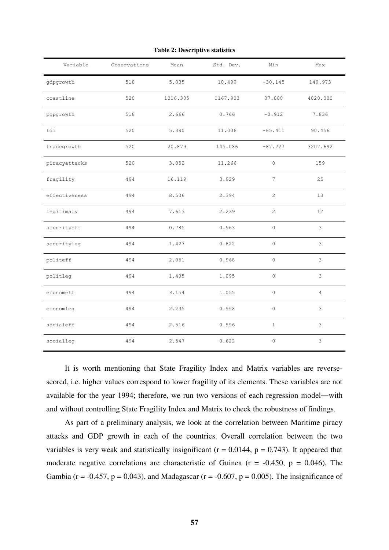| Variable      | Observations | Mean     | Std. Dev. | Min            | Max             |
|---------------|--------------|----------|-----------|----------------|-----------------|
| gdpgrowth     | 518          | 5.035    | 10.499    | $-30.145$      | 149.973         |
| coastline     | 520          | 1016.385 | 1167.903  | 37.000         | 4828.000        |
| popgrowth     | 518          | 2.666    | 0.766     | $-0.912$       | 7.836           |
| fdi           | 520          | 5.390    | 11.006    | $-65.411$      | 90.456          |
| tradegrowth   | 520          | 20.879   | 145.086   | $-87.227$      | 3207.692        |
| piracyattacks | 520          | 3.052    | 11.266    | $\circ$        | 159             |
| fragility     | 494          | 16.119   | 3.929     | $7^{\circ}$    | 25              |
| effectiveness | 494          | 8.506    | 2.394     | $\overline{c}$ | 13              |
| legitimacy    | 494          | 7.613    | 2.239     | $\overline{2}$ | 12 <sup>°</sup> |
| securityeff   | 494          | 0.785    | 0.963     | 0              | 3               |
| securityleg   | 494          | 1.427    | 0.822     | 0              | 3               |
| politeff      | 494          | 2.051    | 0.968     | $\circ$        | $\mathfrak{Z}$  |
| politleg      | 494          | 1.405    | 1.095     | $\circ$        | 3               |
| economeff     | 494          | 3.154    | 1.055     | $\circ$        | $\overline{4}$  |
| economleg     | 494          | 2.235    | 0.998     | $\circ$        | 3               |
| socialeff     | 494          | 2.516    | 0.596     | $\mathbf{1}$   | 3               |
| socialleg     | 494          | 2.547    | 0.622     | $\circ$        | 3               |

**Table 2: Descriptive statistics** 

It is worth mentioning that State Fragility Index and Matrix variables are reversescored, i.e. higher values correspond to lower fragility of its elements. These variables are not available for the year 1994; therefore, we run two versions of each regression model―with and without controlling State Fragility Index and Matrix to check the robustness of findings.

As part of a preliminary analysis, we look at the correlation between Maritime piracy attacks and GDP growth in each of the countries. Overall correlation between the two variables is very weak and statistically insignificant ( $r = 0.0144$ ,  $p = 0.743$ ). It appeared that moderate negative correlations are characteristic of Guinea ( $r = -0.450$ ,  $p = 0.046$ ), The Gambia ( $r = -0.457$ ,  $p = 0.043$ ), and Madagascar ( $r = -0.607$ ,  $p = 0.005$ ). The insignificance of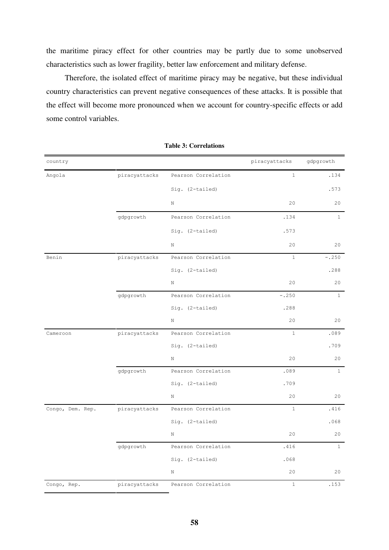the maritime piracy effect for other countries may be partly due to some unobserved characteristics such as lower fragility, better law enforcement and military defense.

Therefore, the isolated effect of maritime piracy may be negative, but these individual country characteristics can prevent negative consequences of these attacks. It is possible that the effect will become more pronounced when we account for country-specific effects or add some control variables.

| country          |               |                     | piracyattacks | gdpgrowth    |
|------------------|---------------|---------------------|---------------|--------------|
| Angola           | piracyattacks | Pearson Correlation | $\mathbf{1}$  | .134         |
|                  |               | Sig. (2-tailed)     |               | .573         |
|                  |               | $\rm N$             | 20            | 20           |
|                  | gdpgrowth     | Pearson Correlation | .134          | $\mathbf{1}$ |
|                  |               | Sig. (2-tailed)     | .573          |              |
|                  |               | $\rm N$             | 20            | 20           |
| Benin            | piracyattacks | Pearson Correlation | $\mathbf{1}$  | $-.250$      |
|                  |               | Sig. (2-tailed)     |               | .288         |
|                  |               | $\rm N$             | 20            | 20           |
|                  | gdpgrowth     | Pearson Correlation | $-.250$       | $\mathbf{1}$ |
|                  |               | Sig. (2-tailed)     | .288          |              |
|                  |               | $\rm N$             | 20            | 20           |
| Cameroon         | piracyattacks | Pearson Correlation | $\,1\,$       | .089         |
|                  |               | Sig. (2-tailed)     |               | .709         |
|                  |               | $\mathbf N$         | 20            | 20           |
|                  | gdpgrowth     | Pearson Correlation | .089          | $\mathbf{1}$ |
|                  |               | Sig. (2-tailed)     | .709          |              |
|                  |               | $\rm N$             | 20            | 20           |
| Congo, Dem. Rep. | piracyattacks | Pearson Correlation | $\mathbf{1}$  | .416         |
|                  |               | Sig. (2-tailed)     |               | .068         |
|                  |               | $\rm N$             | 20            | 20           |
|                  | gdpgrowth     | Pearson Correlation | .416          | $\mathbf{1}$ |
|                  |               | Sig. (2-tailed)     | .068          |              |
|                  |               | $\rm N$             | 20            | 20           |
| Congo, Rep.      | piracyattacks | Pearson Correlation | $1\,$         | .153         |

#### **Table 3: Correlations**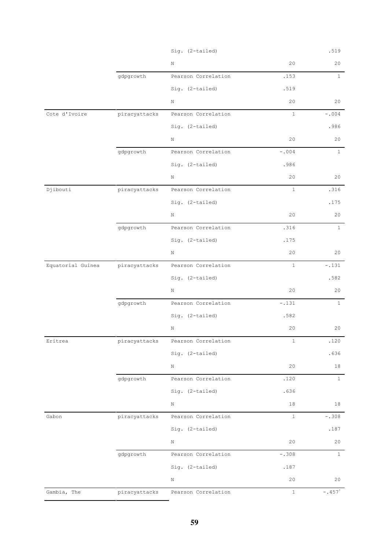|                   |               | Sig. (2-tailed)     |              | .519         |
|-------------------|---------------|---------------------|--------------|--------------|
|                   |               | Ν                   | 20           | 20           |
|                   | gdpgrowth     | Pearson Correlation | .153         | $\mathbf{1}$ |
|                   |               | Sig. (2-tailed)     | .519         |              |
|                   |               | Ν                   | 20           | 20           |
| Cote d'Ivoire     | piracyattacks | Pearson Correlation | $\mathbf{1}$ | $-0.04$      |
|                   |               | Sig. (2-tailed)     |              | .986         |
|                   |               | Ν                   | 20           | 20           |
|                   | gdpgrowth     | Pearson Correlation | $-.004$      | $\mathbf{1}$ |
|                   |               | Sig. (2-tailed)     | .986         |              |
|                   |               | Ν                   | 20           | 20           |
| Djibouti          | piracyattacks | Pearson Correlation | $\mathbf{1}$ | .316         |
|                   |               | Sig. (2-tailed)     |              | .175         |
|                   |               | N                   | 20           | 20           |
|                   | gdpgrowth     | Pearson Correlation | .316         | $1\,$        |
|                   |               | Sig. (2-tailed)     | .175         |              |
|                   |               | Ν                   | 20           | 20           |
| Equatorial Guinea | piracyattacks | Pearson Correlation | $\mathbf{1}$ | $-.131$      |
|                   |               | Sig. (2-tailed)     |              | .582         |
|                   |               | N                   | 20           | 20           |
|                   | gdpgrowth     | Pearson Correlation | $-.131$      | $\mathbf{1}$ |
|                   |               | Sig. (2-tailed)     | .582         |              |
|                   |               | Ν                   | 20           | 20           |
| Eritrea           | piracyattacks | Pearson Correlation | $\mathbf{1}$ | .120         |
|                   |               | Sig. (2-tailed)     |              | .636         |
|                   |               | N                   | 20           | 18           |
|                   | gdpgrowth     | Pearson Correlation | .120         | $\mathbf{1}$ |
|                   |               | Sig. (2-tailed)     | .636         |              |
|                   |               | N                   | 18           | 18           |
| Gabon             | piracyattacks | Pearson Correlation | $\mathbf 1$  | $-.308$      |
|                   |               | Sig. (2-tailed)     |              | .187         |
|                   |               | Ν                   | 20           | 20           |
|                   | gdpgrowth     | Pearson Correlation | $-.308$      | $\mathbf{1}$ |
|                   |               | Sig. (2-tailed)     | .187         |              |
|                   |               | Ν                   | 20           | 20           |
| Gambia, The       | piracyattacks | Pearson Correlation | $\mathbf{1}$ | $-.457$      |
|                   |               |                     |              |              |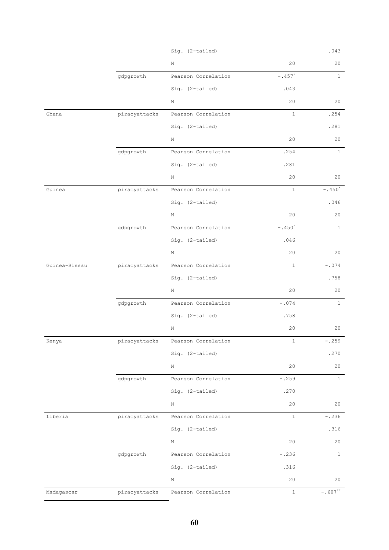|               |               | Sig. (2-tailed)     |              | .043         |
|---------------|---------------|---------------------|--------------|--------------|
|               |               | Ν                   | 20           | 20           |
|               | gdpgrowth     | Pearson Correlation | $- 0.457$    | $1\,$        |
|               |               | Sig. (2-tailed)     | .043         |              |
|               |               | Ν                   | 20           | 20           |
| Ghana         | piracyattacks | Pearson Correlation | $\,1\,$      | .254         |
|               |               | Sig. (2-tailed)     |              | .281         |
|               |               | Ν                   | 20           | 20           |
|               | gdpgrowth     | Pearson Correlation | .254         | $\mathbf{1}$ |
|               |               | Sig. (2-tailed)     | .281         |              |
|               |               | Ν                   | 20           | 20           |
| Guinea        | piracyattacks | Pearson Correlation | $\mathbf{1}$ | $-.450*$     |
|               |               | Sig. (2-tailed)     |              | .046         |
|               |               | Ν                   | 20           | 20           |
|               | gdpgrowth     | Pearson Correlation | $- 0.450^*$  | $\mathbf{1}$ |
|               |               | Sig. (2-tailed)     | .046         |              |
|               |               | $\rm N$             | 20           | 20           |
| Guinea-Bissau | piracyattacks | Pearson Correlation | $\mathbf{1}$ | $-0.74$      |
|               |               | Sig. (2-tailed)     |              | .758         |
|               |               | N                   | 20           | 20           |
|               | gdpgrowth     | Pearson Correlation | $-0.74$      | $\mathbf{1}$ |
|               |               | Sig. (2-tailed)     | .758         |              |
|               |               | Ν                   | 20           | 20           |
| Kenya         | piracyattacks | Pearson Correlation | $\mathbf{1}$ | $-.259$      |
|               |               | Sig. (2-tailed)     |              | .270         |
|               |               | N                   | 20           | 20           |
|               | gdpgrowth     | Pearson Correlation | $-.259$      | $\mathbf{1}$ |
|               |               | Sig. (2-tailed)     | .270         |              |
|               |               | N                   | $20$         | 20           |
| Liberia       | piracyattacks | Pearson Correlation | $\mathbf{1}$ | $-.236$      |
|               |               | Sig. (2-tailed)     |              | .316         |
|               |               | Ν                   | 20           | 20           |
|               | gdpgrowth     | Pearson Correlation | $-.236$      | $1\,$        |
|               |               | Sig. (2-tailed)     | .316         |              |
|               |               | Ν                   | 20           | 20           |
| Madagascar    | piracyattacks | Pearson Correlation | $\mathbf{1}$ | $- 0.607***$ |
|               |               |                     |              |              |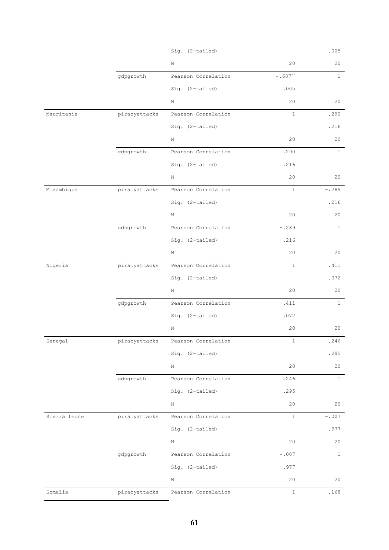|              |               | Sig. (2-tailed)     |              | .005         |
|--------------|---------------|---------------------|--------------|--------------|
|              |               | Ν                   | 20           | 20           |
|              | gdpgrowth     | Pearson Correlation | $- 0.607***$ | $\mathbf{1}$ |
|              |               | Sig. (2-tailed)     | .005         |              |
|              |               | Ν                   | 20           | 20           |
| Mauritania   | piracyattacks | Pearson Correlation | $\mathbf{1}$ | .290         |
|              |               | Sig. (2-tailed)     |              | .216         |
|              |               | Ν                   | 20           | 20           |
|              | gdpgrowth     | Pearson Correlation | .290         | $\mathbf{1}$ |
|              |               | Sig. (2-tailed)     | .216         |              |
|              |               | Ν                   | 20           | 20           |
| Mozambique   | piracyattacks | Pearson Correlation | $\mathbf{1}$ | $-.289$      |
|              |               | Sig. (2-tailed)     |              | .216         |
|              |               | Ν                   | 20           | 20           |
|              | gdpgrowth     | Pearson Correlation | $-.289$      | $\mathbf{1}$ |
|              |               | Sig. (2-tailed)     | .216         |              |
|              |               | Ν                   | 20           | 20           |
| Nigeria      | piracyattacks | Pearson Correlation | $\mathbf{1}$ | .411         |
|              |               | Sig. (2-tailed)     |              | .072         |
|              |               | $\rm N$             | 20           | 20           |
|              | gdpgrowth     | Pearson Correlation | .411         | $\mathbf{1}$ |
|              |               | Sig. (2-tailed)     | .072         |              |
|              |               | Ν                   | 20           | 20           |
| Senegal      | piracyattacks | Pearson Correlation | $\mathbf{1}$ | .246         |
|              |               | Sig. (2-tailed)     |              | .295         |
|              |               | N                   | $20$         | 20           |
|              | gdpgrowth     | Pearson Correlation | .246         | $\mathbf{1}$ |
|              |               | Sig. (2-tailed)     | .295         |              |
|              |               | N                   | 20           | 20           |
| Sierra Leone | piracyattacks | Pearson Correlation | $1\,$        | $-0.07$      |
|              |               | Sig. (2-tailed)     |              | .977         |
|              |               | Ν                   | 20           | 20           |
|              | gdpgrowth     | Pearson Correlation | $-0.07$      | $\mathbf{1}$ |
|              |               | Sig. (2-tailed)     | .977         |              |
|              |               | Ν                   | 20           | 20           |
| Somalia      | piracyattacks | Pearson Correlation | $\mathbf{1}$ | .168         |
|              |               |                     |              |              |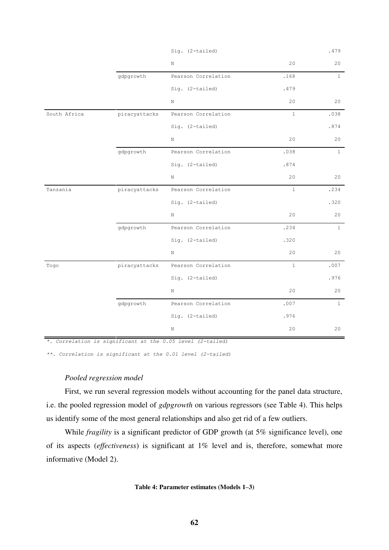|               | Sig. (2-tailed)     |              | .479         |
|---------------|---------------------|--------------|--------------|
|               | $\rm N$             | 20           | 20           |
| gdpgrowth     | Pearson Correlation | .168         | $\mathbf{1}$ |
|               | Sig. (2-tailed)     | .479         |              |
|               | Ν                   | 20           | 20           |
| piracyattacks | Pearson Correlation | $\mathbf{1}$ | .038         |
|               | Sig. (2-tailed)     |              | .874         |
|               | N                   | 20           | 20           |
| gdpgrowth     | Pearson Correlation | .038         | $\mathbf{1}$ |
|               | Sig. (2-tailed)     | .874         |              |
|               | Ν                   | 20           | 20           |
| piracyattacks | Pearson Correlation | $\mathbf{1}$ | .234         |
|               | Sig. (2-tailed)     |              | .320         |
|               | $\rm N$             | 20           | 20           |
| gdpgrowth     | Pearson Correlation | .234         | $\mathbf{1}$ |
|               | Sig. (2-tailed)     | .320         |              |
|               | $\rm N$             | 20           | 20           |
| piracyattacks | Pearson Correlation | $\mathbf{1}$ | .007         |
|               | Sig. (2-tailed)     |              | .976         |
|               | $\rm N$             | 20           | 20           |
| gdpgrowth     | Pearson Correlation | .007         | $\mathbf{1}$ |
|               | Sig. (2-tailed)     | .976         |              |
|               | N                   | 20           | 20           |
|               |                     |              |              |

*\*. Correlation is significant at the 0.05 level (2-tailed)*

*\*\*. Correlation is significant at the 0.01 level (2-tailed)*

#### *Pooled regression model*

First, we run several regression models without accounting for the panel data structure, i.e. the pooled regression model of *gdpgrowth* on various regressors (see Table 4). This helps us identify some of the most general relationships and also get rid of a few outliers.

While *fragility* is a significant predictor of GDP growth (at 5% significance level), one of its aspects (*effectiveness*) is significant at 1% level and is, therefore, somewhat more informative (Model 2).

#### **Table 4: Parameter estimates (Models 1–3)**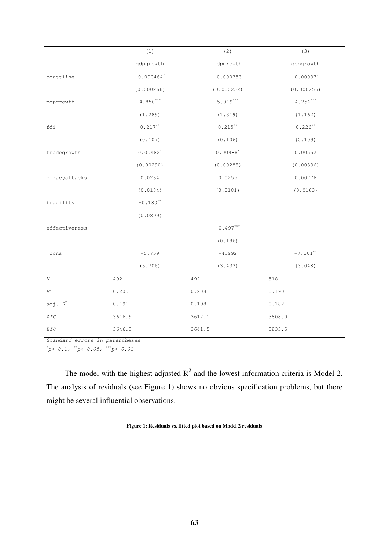|                              | (1)                      | (2)         | (3)         |
|------------------------------|--------------------------|-------------|-------------|
|                              | gdpgrowth                | gdpgrowth   | gdpgrowth   |
| coastline                    | $-0.000464$ <sup>*</sup> | $-0.000353$ | $-0.000371$ |
|                              | (0.000266)               | (0.000252)  | (0.000256)  |
| popgrowth                    | $4.850***$               | $5.019***$  | $4.256***$  |
|                              | (1.289)                  | (1.319)     | (1.162)     |
| fdi                          | $0.217***$               | $0.215***$  | $0.226***$  |
|                              | (0.107)                  | (0.106)     | (0.109)     |
| tradegrowth                  | $0.00482*$               | $0.00488*$  | 0.00552     |
|                              | (0.00290)                | (0.00288)   | (0.00336)   |
| piracyattacks                | 0.0234                   | 0.0259      | 0.00776     |
|                              | (0.0184)                 | (0.0181)    | (0.0163)    |
| fragility                    | $-0.180**$               |             |             |
|                              | (0.0899)                 |             |             |
| effectiveness                |                          | $-0.497***$ |             |
|                              |                          | (0.186)     |             |
| $\mathsf{L}^{\mathsf{cons}}$ | $-5.759$                 | $-4.992$    | $-7.301**$  |
|                              | (3.706)                  | (3.433)     | (3.048)     |
| $\cal N$                     | 492                      | 492         | 518         |
| $\boldsymbol{R}^2$           | 0.200                    | 0.208       | 0.190       |
| adj. $R^2$                   | 0.191                    | 0.198       | 0.182       |
| AIC                          | 3616.9                   | 3612.1      | 3808.0      |
| $_{BIC}$                     | 3646.3                   | 3641.5      | 3833.5      |

*Standard errors in parentheses*

*\*p< 0.1, \*\*p< 0.05, \*\*\*p< 0.01*

The model with the highest adjusted  $R^2$  and the lowest information criteria is Model 2. The analysis of residuals (see Figure 1) shows no obvious specification problems, but there might be several influential observations.

**Figure 1: Residuals vs. fitted plot based on Model 2 residuals**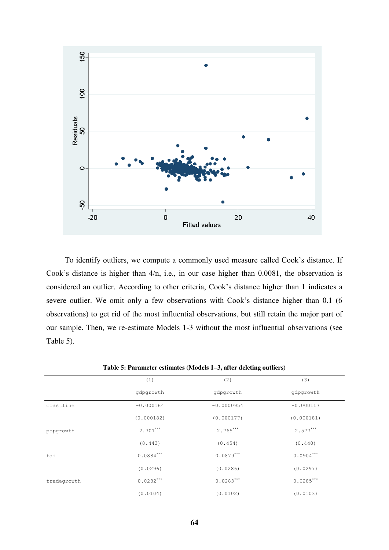

To identify outliers, we compute a commonly used measure called Cook's distance. If Cook's distance is higher than 4/n, i.e., in our case higher than 0.0081, the observation is considered an outlier. According to other criteria, Cook's distance higher than 1 indicates a severe outlier. We omit only a few observations with Cook's distance higher than 0.1 (6 observations) to get rid of the most influential observations, but still retain the major part of our sample. Then, we re-estimate Models 1-3 without the most influential observations (see Table 5).

|             | (1)         | (2)          | (3)         |
|-------------|-------------|--------------|-------------|
|             | gdpgrowth   | gdpgrowth    | gdpgrowth   |
| coastline   | $-0.000164$ | $-0.0000954$ | $-0.000117$ |
|             | (0.000182)  | (0.000177)   | (0.000181)  |
| popgrowth   | $2.701***$  | $2.765***$   | $2.577***$  |
|             | (0.443)     | (0.454)      | (0.440)     |
| fdi         | $0.0884***$ | $0.0879***$  | $0.0904***$ |
|             | (0.0296)    | (0.0286)     | (0.0297)    |
| tradegrowth | $0.0282***$ | $0.0283***$  | $0.0285***$ |
|             | (0.0104)    | (0.0102)     | (0.0103)    |

**Table 5: Parameter estimates (Models 1–3, after deleting outliers)**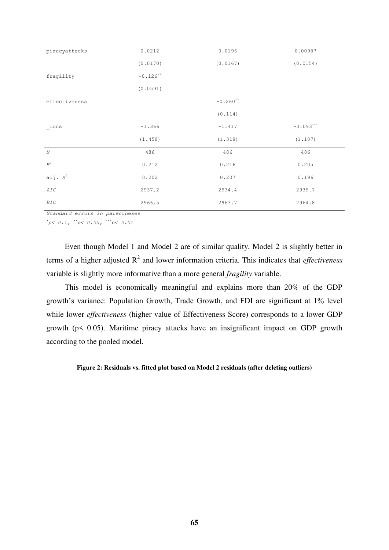| piracyattacks                | 0.0212      | 0.0196     | 0.00987     |
|------------------------------|-------------|------------|-------------|
|                              | (0.0170)    | (0.0167)   | (0.0154)    |
| fragility                    | $-0.126$ ** |            |             |
|                              | (0.0591)    |            |             |
| effectiveness                |             | $-0.260**$ |             |
|                              |             | (0.114)    |             |
| $\mathsf{L}^{\mathsf{cons}}$ | $-1.366$    | $-1.417$   | $-3.093***$ |
|                              | (1.458)     | (1.318)    | (1.107)     |
| ${\cal N}$                   | 486         | 486        | 486         |
| $\boldsymbol{R}^2$           | 0.212       | 0.216      | 0.205       |
| adj. $R^2$                   | 0.202       | 0.207      | 0.196       |
| $\mathit{AIC}$               | 2937.2      | 2934.4     | 2939.7      |
| $BIC$                        | 2966.5      | 2963.7     | 2964.8      |

*Standard errors in parentheses*

*\*p< 0.1, \*\*p< 0.05, \*\*\*p< 0.01*

Even though Model 1 and Model 2 are of similar quality, Model 2 is slightly better in terms of a higher adjusted R<sup>2</sup> and lower information criteria. This indicates that *effectiveness* variable is slightly more informative than a more general *fragility* variable.

This model is economically meaningful and explains more than 20% of the GDP growth's variance: Population Growth, Trade Growth, and FDI are significant at 1% level while lower *effectiveness* (higher value of Effectiveness Score) corresponds to a lower GDP growth ( $p$ < 0.05). Maritime piracy attacks have an insignificant impact on GDP growth according to the pooled model.

**Figure 2: Residuals vs. fitted plot based on Model 2 residuals (after deleting outliers)**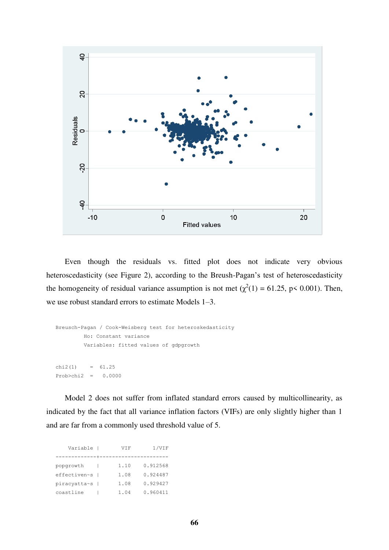

Even though the residuals vs. fitted plot does not indicate very obvious heteroscedasticity (see Figure 2), according to the Breush-Pagan's test of heteroscedasticity the homogeneity of residual variance assumption is not met  $(\chi^2(1) = 61.25, p \le 0.001)$ . Then, we use robust standard errors to estimate Models 1–3.

```
Breusch-Pagan / Cook-Weisberg test for heteroskedasticity
         Ho: Constant variance
         Variables: fitted values of gdpgrowth
chi2(1) = 61.25Prob>chi2 = 0.0000
```
Model 2 does not suffer from inflated standard errors caused by multicollinearity, as indicated by the fact that all variance inflation factors (VIFs) are only slightly higher than 1 and are far from a commonly used threshold value of 5.

| Variable     | VTF  | $1$ /VIF |
|--------------|------|----------|
|              |      |          |
| popgrowth    | 1.10 | 0.912568 |
| effectiven~s | 1.08 | 0.924487 |
| piracyatta~s | 1.08 | 0.929427 |
| coastline    | 1.04 | 0.960411 |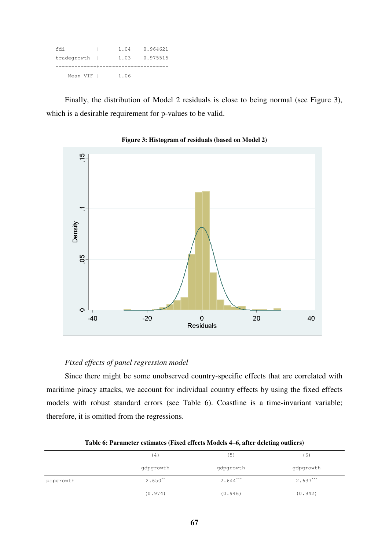| fdi         | 1.04 | 0.964621 |
|-------------|------|----------|
| tradegrowth | 1.03 | 0.975515 |
|             |      |          |
| Mean VIF    | 1.06 |          |

Finally, the distribution of Model 2 residuals is close to being normal (see Figure 3), which is a desirable requirement for p-values to be valid.



#### **Figure 3: Histogram of residuals (based on Model 2)**

## *Fixed effects of panel regression model*

Since there might be some unobserved country-specific effects that are correlated with maritime piracy attacks, we account for individual country effects by using the fixed effects models with robust standard errors (see Table 6). Coastline is a time-invariant variable; therefore, it is omitted from the regressions.

|           | (4)       | (5)        | (6)        |
|-----------|-----------|------------|------------|
|           | gdpgrowth | gdpgrowth  | gdpgrowth  |
| popgrowth | $2.650**$ | $2.644***$ | $2.637***$ |
|           | (0.974)   | (0.946)    | (0.942)    |

#### **Table 6: Parameter estimates (Fixed effects Models 4–6, after deleting outliers)**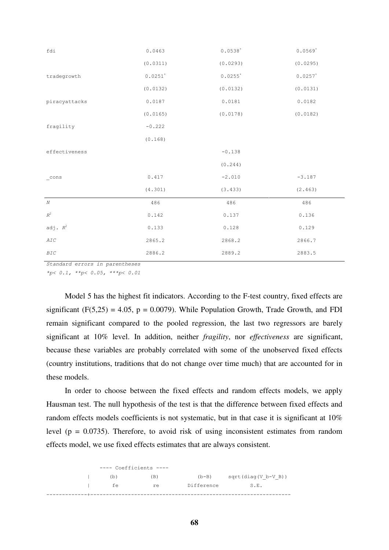| fdi                          | 0.0463    | $0.0538*$             | $0.0569*$             |
|------------------------------|-----------|-----------------------|-----------------------|
|                              | (0.0311)  | (0.0293)              | (0.0295)              |
| tradegrowth                  | $0.0251*$ | $0.0255$ <sup>*</sup> | $0.0257$ <sup>*</sup> |
|                              | (0.0132)  | (0.0132)              | (0.0131)              |
| piracyattacks                | 0.0187    | 0.0181                | 0.0182                |
|                              | (0.0165)  | (0.0178)              | (0.0182)              |
| fragility                    | $-0.222$  |                       |                       |
|                              | (0.168)   |                       |                       |
| effectiveness                |           | $-0.138$              |                       |
|                              |           | (0.244)               |                       |
| $\mathsf{L}^{\mathsf{cons}}$ | 0.417     | $-2.010$              | $-3.187$              |
|                              | (4.301)   | (3.433)               | (2.463)               |
| $\cal N$                     | 486       | 486                   | 486                   |
| $\boldsymbol{R}^2$           | 0.142     | 0.137                 | 0.136                 |
| adj. $R^2$                   | 0.133     | 0.128                 | 0.129                 |
| $\mathit{AIC}$               | 2865.2    | 2868.2                | 2866.7                |
| $B \, I \, C$                | 2886.2    | 2889.2                | 2883.5                |

*Standard errors in parentheses*

*\*p< 0.1, \*\*p< 0.05, \*\*\*p< 0.01*

Model 5 has the highest fit indicators. According to the F-test country, fixed effects are significant  $(F(5,25) = 4.05, p = 0.0079)$ . While Population Growth, Trade Growth, and FDI remain significant compared to the pooled regression, the last two regressors are barely significant at 10% level. In addition, neither *fragility*, nor *effectiveness* are significant, because these variables are probably correlated with some of the unobserved fixed effects (country institutions, traditions that do not change over time much) that are accounted for in these models.

In order to choose between the fixed effects and random effects models, we apply Hausman test. The null hypothesis of the test is that the difference between fixed effects and random effects models coefficients is not systematic, but in that case it is significant at 10% level ( $p = 0.0735$ ). Therefore, to avoid risk of using inconsistent estimates from random effects model, we use fixed effects estimates that are always consistent.

|  | ---- Coefficients ---- |            |                     |
|--|------------------------|------------|---------------------|
|  | 'B)<br>(b)             | $(b-B)$    | sqrt(diag(V b-V B)) |
|  | te.<br>re              | Difference | S.E.                |
|  |                        |            |                     |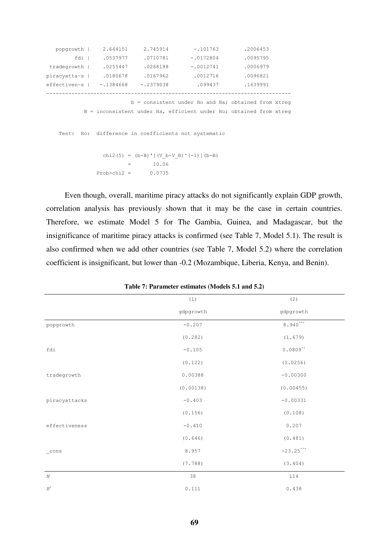```
popgrowth | 2.644151 2.745914 -.101763 .2006453
       fdi | .0537977 .0710781 -.0172804 .0095795
tradegrowth | .0255447 .0268188 -.0012741 .0006979
piracyatta~s | .0180678 .0167962 .0012716 .0096821
effectiven~s | -.1384668 -.2379038 .099437 .1639991
------------------------------------------------------------------------------
                       b = consistent under Ho and Ha; obtained from xtreg
          B = inconsistent under Ha, efficient under Ho; obtained from xtreg
    Test: Ho: difference in coefficients not systematic
               chi2(5) = (b-B)' [(V b-V B)^(-1)](b-B)
               = 10.06Prob > chi2 = 0.0735
```
Even though, overall, maritime piracy attacks do not significantly explain GDP growth, correlation analysis has previously shown that it may be the case in certain countries. Therefore, we estimate Model 5 for The Gambia, Guinea, and Madagascar, but the insignificance of maritime piracy attacks is confirmed (see Table 7, Model 5.1). The result is also confirmed when we add other countries (see Table 7, Model 5.2) where the correlation coefficient is insignificant, but lower than -0.2 (Mozambique, Liberia, Kenya, and Benin).

|                    | Table $\ell$ . I aralineter estimates (prodets $\ell$ . and $\ell$ . |             |
|--------------------|----------------------------------------------------------------------|-------------|
|                    | (1)                                                                  | (2)         |
|                    | gdpgrowth                                                            | gdpgrowth   |
| popgrowth          | $-0.207$                                                             | $8.940***$  |
|                    | (0.282)                                                              | (1.679)     |
| fdi                | $-0.105$                                                             | $0.0809***$ |
|                    | (0.122)                                                              | (0.0256)    |
| tradegrowth        | 0.00388                                                              | $-0.00300$  |
|                    | (0.00138)                                                            | (0.00455)   |
| piracyattacks      | $-0.403$                                                             | $-0.00331$  |
|                    | (0.156)                                                              | (0.108)     |
| effectiveness      | $-0.410$                                                             | 0.207       |
|                    | (0.646)                                                              | (0.481)     |
| $_{\rm cons}$      | 8.957                                                                | $-23.25***$ |
|                    | (7.788)                                                              | (3.404)     |
| ${\cal N}$         | 38                                                                   | 114         |
| $\boldsymbol{R}^2$ | 0.111                                                                | 0.438       |

**Table 7: Parameter estimates (Models 5.1 and 5.2)**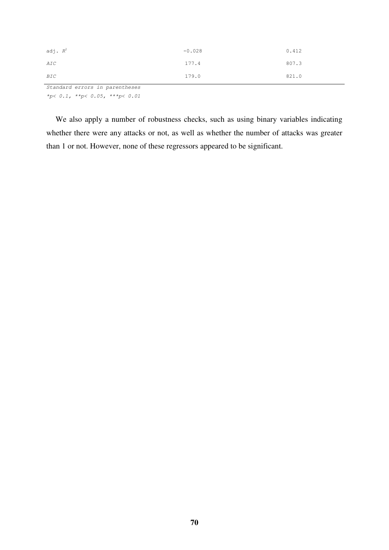| adj. $R^2$ | $-0.028$ | 0.412 |
|------------|----------|-------|
| AIC        | 177.4    | 807.3 |
| BIC        | 179.0    | 821.0 |

*Standard errors in parentheses*

*\*p< 0.1, \*\*p< 0.05, \*\*\*p< 0.01*

We also apply a number of robustness checks, such as using binary variables indicating whether there were any attacks or not, as well as whether the number of attacks was greater than 1 or not. However, none of these regressors appeared to be significant.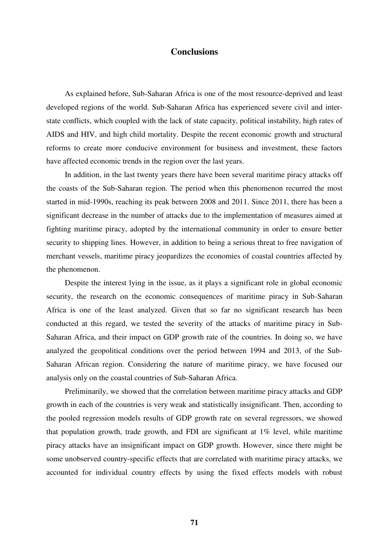# **Conclusions**

As explained before, Sub-Saharan Africa is one of the most resource-deprived and least developed regions of the world. Sub-Saharan Africa has experienced severe civil and interstate conflicts, which coupled with the lack of state capacity, political instability, high rates of AIDS and HIV, and high child mortality. Despite the recent economic growth and structural reforms to create more conducive environment for business and investment, these factors have affected economic trends in the region over the last years.

In addition, in the last twenty years there have been several maritime piracy attacks off the coasts of the Sub-Saharan region. The period when this phenomenon recurred the most started in mid-1990s, reaching its peak between 2008 and 2011. Since 2011, there has been a significant decrease in the number of attacks due to the implementation of measures aimed at fighting maritime piracy, adopted by the international community in order to ensure better security to shipping lines. However, in addition to being a serious threat to free navigation of merchant vessels, maritime piracy jeopardizes the economies of coastal countries affected by the phenomenon.

Despite the interest lying in the issue, as it plays a significant role in global economic security, the research on the economic consequences of maritime piracy in Sub-Saharan Africa is one of the least analyzed. Given that so far no significant research has been conducted at this regard, we tested the severity of the attacks of maritime piracy in Sub-Saharan Africa, and their impact on GDP growth rate of the countries. In doing so, we have analyzed the geopolitical conditions over the period between 1994 and 2013, of the Sub-Saharan African region. Considering the nature of maritime piracy, we have focused our analysis only on the coastal countries of Sub-Saharan Africa.

Preliminarily, we showed that the correlation between maritime piracy attacks and GDP growth in each of the countries is very weak and statistically insignificant. Then, according to the pooled regression models results of GDP growth rate on several regressors, we showed that population growth, trade growth, and FDI are significant at 1% level, while maritime piracy attacks have an insignificant impact on GDP growth. However, since there might be some unobserved country-specific effects that are correlated with maritime piracy attacks, we accounted for individual country effects by using the fixed effects models with robust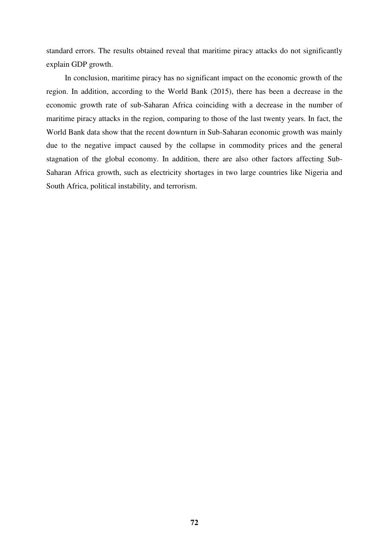standard errors. The results obtained reveal that maritime piracy attacks do not significantly explain GDP growth.

In conclusion, maritime piracy has no significant impact on the economic growth of the region. In addition, according to the World Bank (2015), there has been a decrease in the economic growth rate of sub-Saharan Africa coinciding with a decrease in the number of maritime piracy attacks in the region, comparing to those of the last twenty years. In fact, the World Bank data show that the recent downturn in Sub-Saharan economic growth was mainly due to the negative impact caused by the collapse in commodity prices and the general stagnation of the global economy. In addition, there are also other factors affecting Sub-Saharan Africa growth, such as electricity shortages in two large countries like Nigeria and South Africa, political instability, and terrorism.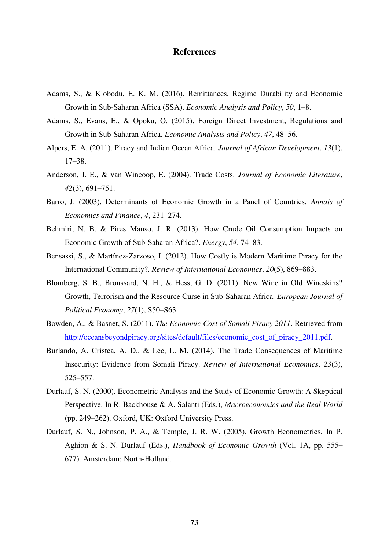## **References**

- Adams, S., & Klobodu, E. K. M. (2016). Remittances, Regime Durability and Economic Growth in Sub-Saharan Africa (SSA). *Economic Analysis and Policy*, *50*, 1–8.
- Adams, S., Evans, E., & Opoku, O. (2015). Foreign Direct Investment, Regulations and Growth in Sub-Saharan Africa. *Economic Analysis and Policy*, *47*, 48–56.
- Alpers, E. A. (2011). Piracy and Indian Ocean Africa. *Journal of African Development*, *13*(1), 17–38.
- Anderson, J. E., & van Wincoop, E. (2004). Trade Costs. *Journal of Economic Literature*, *42*(3), 691–751.
- Barro, J. (2003). Determinants of Economic Growth in a Panel of Countries. *Annals of Economics and Finance*, *4*, 231–274.
- Behmiri, N. B. & Pires Manso, J. R. (2013). How Crude Oil Consumption Impacts on Economic Growth of Sub-Saharan Africa?. *Energy*, *54*, 74–83.
- Bensassi, S., & Martínez-Zarzoso, I. (2012). How Costly is Modern Maritime Piracy for the International Community?. *Review of International Economics*, *20*(5), 869–883.
- Blomberg, S. B., Broussard, N. H., & Hess, G. D. (2011). New Wine in Old Wineskins? Growth, Terrorism and the Resource Curse in Sub-Saharan Africa. *European Journal of Political Economy*, *27*(1), S50–S63.
- Bowden, A., & Basnet, S. (2011). *The Economic Cost of Somali Piracy 2011*. Retrieved from [http://oceansbeyondpiracy.org/sites/default/files/economic\\_cost\\_of\\_piracy\\_2011.pdf.](http://oceansbeyondpiracy.org/sites/default/files/economic_cost_of_piracy_2011.pdf)
- Burlando, A. Cristea, A. D., & Lee, L. M. (2014). The Trade Consequences of Maritime Insecurity: Evidence from Somali Piracy. *Review of International Economics*, *23*(3), 525–557.
- Durlauf, S. N. (2000). Econometric Analysis and the Study of Economic Growth: A Skeptical Perspective. In R. Backhouse & A. Salanti (Eds.), *Macroeconomics and the Real World* (pp. 249–262). Oxford, UK: Oxford University Press.
- Durlauf, S. N., Johnson, P. A., & Temple, J. R. W. (2005). Growth Econometrics. In P. Aghion & S. N. Durlauf (Eds.), *Handbook of Economic Growth* (Vol. 1A, pp. 555– 677). Amsterdam: North-Holland.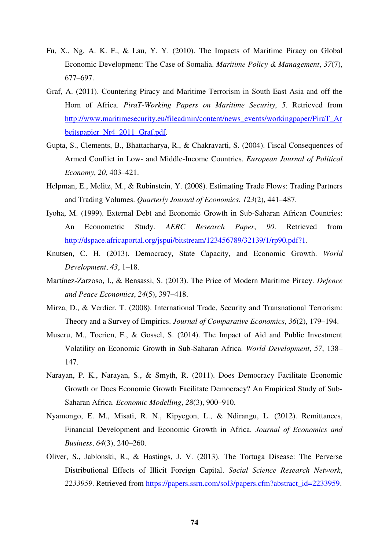- Fu, X., Ng, A. K. F., & Lau, Y. Y. (2010). The Impacts of Maritime Piracy on Global Economic Development: The Case of Somalia. *Maritime Policy & Management*, *37*(7), 677–697.
- Graf, A. (2011). Countering Piracy and Maritime Terrorism in South East Asia and off the Horn of Africa. *PiraT-Working Papers on Maritime Security*, *5*. Retrieved from [http://www.maritimesecurity.eu/fileadmin/content/news\\_events/workingpaper/PiraT\\_Ar](http://www.maritimesecurity.eu/fileadmin/content/news_events/workingpaper/PiraT_Arbeitspapier_Nr4_2011_Graf.pdf) [beitspapier\\_Nr4\\_2011\\_Graf.pdf.](http://www.maritimesecurity.eu/fileadmin/content/news_events/workingpaper/PiraT_Arbeitspapier_Nr4_2011_Graf.pdf)
- Gupta, S., Clements, B., Bhattacharya, R., & Chakravarti, S. (2004). Fiscal Consequences of Armed Conflict in Low- and Middle-Income Countries. *European Journal of Political Economy*, *20*, 403–421.
- Helpman, E., Melitz, M., & Rubinstein, Y. (2008). Estimating Trade Flows: Trading Partners and Trading Volumes. *Quarterly Journal of Economics*, *123*(2), 441–487.
- Iyoha, M. (1999). External Debt and Economic Growth in Sub-Saharan African Countries: An Econometric Study. *AERC Research Paper*, *90*. Retrieved from [http://dspace.africaportal.org/jspui/bitstream/123456789/32139/1/rp90.pdf?1.](http://dspace.africaportal.org/jspui/bitstream/123456789/32139/1/rp90.pdf?1)
- Knutsen, C. H. (2013). Democracy, State Capacity, and Economic Growth. *World Development*, *43*, 1–18.
- Martínez-Zarzoso, I., & Bensassi, S. (2013). The Price of Modern Maritime Piracy. *Defence and Peace Economics*, *24*(5), 397–418.
- Mirza, D., & Verdier, T. (2008). International Trade, Security and Transnational Terrorism: Theory and a Survey of Empirics. *Journal of Comparative Economics*, *36*(2), 179–194.
- Museru, M., Toerien, F., & Gossel, S. (2014). The Impact of Aid and Public Investment Volatility on Economic Growth in Sub-Saharan Africa. *World Development*, *57*, 138– 147.
- Narayan, P. K., Narayan, S., & Smyth, R. (2011). Does Democracy Facilitate Economic Growth or Does Economic Growth Facilitate Democracy? An Empirical Study of Sub-Saharan Africa. *Economic Modelling*, *28*(3), 900–910.
- Nyamongo, E. M., Misati, R. N., Kipyegon, L., & Ndirangu, L. (2012). Remittances, Financial Development and Economic Growth in Africa. *Journal of Economics and Business*, *64*(3), 240–260.
- Oliver, S., Jablonski, R., & Hastings, J. V. (2013). The Tortuga Disease: The Perverse Distributional Effects of Illicit Foreign Capital. *Social Science Research Network*, *2233959*. Retrieved from [https://papers.ssrn.com/sol3/papers.cfm?abstract\\_id=2233959.](https://papers.ssrn.com/sol3/papers.cfm?abstract_id=2233959)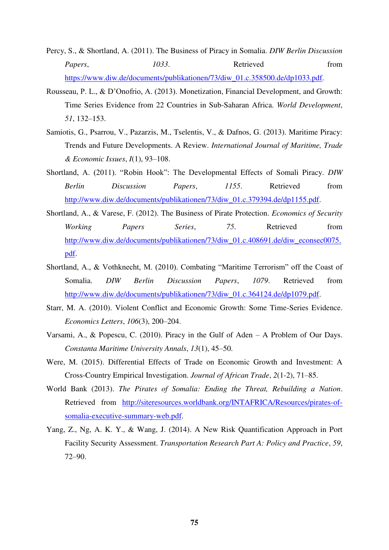- Percy, S., & Shortland, A. (2011). The Business of Piracy in Somalia. *DIW Berlin Discussion Papers*, *1033*. Retrieved from [https://www.diw.de/documents/publikationen/73/diw\\_01.c.358500.de/dp1033.pdf.](https://www.diw.de/documents/publikationen/73/diw_01.c.358500.de/dp1033.pdf)
- Rousseau, P. L., & D'Onofrio, A. (2013). Monetization, Financial Development, and Growth: Time Series Evidence from 22 Countries in Sub-Saharan Africa. *World Development*, *51*, 132–153.
- Samiotis, G., Psarrou, V., Pazarzis, M., Tselentis, V., & Dafnos, G. (2013). Maritime Piracy: Trends and Future Developments. A Review. *International Journal of Maritime, Trade & Economic Issues*, *I*(1), 93–108.
- Shortland, A. (2011). "Robin Hook": The Developmental Effects of Somali Piracy. *DIW Berlin Discussion Papers*, *1155*. Retrieved from [http://www.diw.de/documents/publikationen/73/diw\\_01.c.379394.de/dp1155.pdf.](http://www.diw.de/documents/publikationen/73/diw_01.c.379394.de/dp1155.pdf)
- Shortland, A., & Varese, F. (2012). The Business of Pirate Protection. *Economics of Security Working Papers Series*, *75*. Retrieved from [http://www.diw.de/documents/publikationen/73/diw\\_01.c.408691.de/diw\\_econsec0075.](http://www.diw.de/documents/publikationen/73/diw_01.c.408691.de/diw_econsec0075.pdf) [pdf.](http://www.diw.de/documents/publikationen/73/diw_01.c.408691.de/diw_econsec0075.pdf)
- Shortland, A., & Vothknecht, M. (2010). Combating "Maritime Terrorism" off the Coast of Somalia. *DIW Berlin Discussion Papers*, *1079*. Retrieved from [http://www.diw.de/documents/publikationen/73/diw\\_01.c.364124.de/dp1079.pdf.](http://www.diw.de/documents/publikationen/73/diw_01.c.364124.de/dp1079.pdf)
- Starr, M. A. (2010). Violent Conflict and Economic Growth: Some Time-Series Evidence. *Economics Letters*, *106*(3), 200–204.
- Varsami, A., & Popescu, C. (2010). Piracy in the Gulf of Aden A Problem of Our Days. *Constanta Maritime University Annals*, *13*(1), 45–50.
- Were, M. (2015). Differential Effects of Trade on Economic Growth and Investment: A Cross-Country Empirical Investigation. *Journal of African Trade*, *2*(1-2), 71–85.
- World Bank (2013). *The Pirates of Somalia: Ending the Threat, Rebuilding a Nation*. Retrieved from [http://siteresources.worldbank.org/INTAFRICA/Resources/pirates-of](http://siteresources.worldbank.org/INTAFRICA/Resources/pirates-of-somalia-executive-summary-web.pdf)[somalia-executive-summary-web.pdf.](http://siteresources.worldbank.org/INTAFRICA/Resources/pirates-of-somalia-executive-summary-web.pdf)
- Yang, Z., Ng, A. K. Y., & Wang, J. (2014). A New Risk Quantification Approach in Port Facility Security Assessment. *Transportation Research Part A: Policy and Practice*, *59*, 72–90.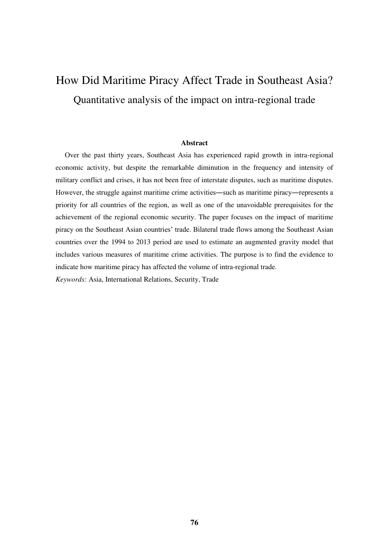# How Did Maritime Piracy Affect Trade in Southeast Asia? Quantitative analysis of the impact on intra-regional trade

#### **Abstract**

Over the past thirty years, Southeast Asia has experienced rapid growth in intra-regional economic activity, but despite the remarkable diminution in the frequency and intensity of military conflict and crises, it has not been free of interstate disputes, such as maritime disputes. However, the struggle against maritime crime activities―such as maritime piracy―represents a priority for all countries of the region, as well as one of the unavoidable prerequisites for the achievement of the regional economic security. The paper focuses on the impact of maritime piracy on the Southeast Asian countries' trade. Bilateral trade flows among the Southeast Asian countries over the 1994 to 2013 period are used to estimate an augmented gravity model that includes various measures of maritime crime activities. The purpose is to find the evidence to indicate how maritime piracy has affected the volume of intra-regional trade.

*Keywords:* Asia, International Relations, Security, Trade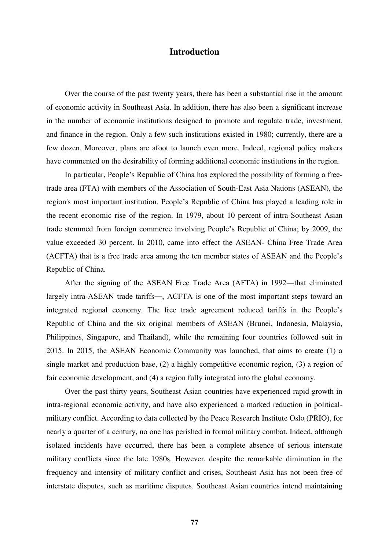# **Introduction**

Over the course of the past twenty years, there has been a substantial rise in the amount of economic activity in Southeast Asia. In addition, there has also been a significant increase in the number of economic institutions designed to promote and regulate trade, investment, and finance in the region. Only a few such institutions existed in 1980; currently, there are a few dozen. Moreover, plans are afoot to launch even more. Indeed, regional policy makers have commented on the desirability of forming additional economic institutions in the region.

In particular, People's Republic of China has explored the possibility of forming a freetrade area (FTA) with members of the Association of South-East Asia Nations (ASEAN), the region's most important institution. People's Republic of China has played a leading role in the recent economic rise of the region. In 1979, about 10 percent of intra-Southeast Asian trade stemmed from foreign commerce involving People's Republic of China; by 2009, the value exceeded 30 percent. In 2010, came into effect the ASEAN- China Free Trade Area (ACFTA) that is a free trade area among the ten member states of ASEAN and the People's Republic of China.

After the signing of the ASEAN Free Trade Area (AFTA) in 1992―that eliminated largely intra-ASEAN trade tariffs―, ACFTA is one of the most important steps toward an integrated regional economy. The free trade agreement reduced tariffs in the People's Republic of China and the six original members of ASEAN (Brunei, Indonesia, Malaysia, Philippines, Singapore, and Thailand), while the remaining four countries followed suit in 2015. In 2015, the ASEAN Economic Community was launched, that aims to create (1) a single market and production base, (2) a highly competitive economic region, (3) a region of fair economic development, and (4) a region fully integrated into the global economy.

Over the past thirty years, Southeast Asian countries have experienced rapid growth in intra-regional economic activity, and have also experienced a marked reduction in politicalmilitary conflict. According to data collected by the Peace Research Institute Oslo (PRIO), for nearly a quarter of a century, no one has perished in formal military combat. Indeed, although isolated incidents have occurred, there has been a complete absence of serious interstate military conflicts since the late 1980s. However, despite the remarkable diminution in the frequency and intensity of military conflict and crises, Southeast Asia has not been free of interstate disputes, such as maritime disputes. Southeast Asian countries intend maintaining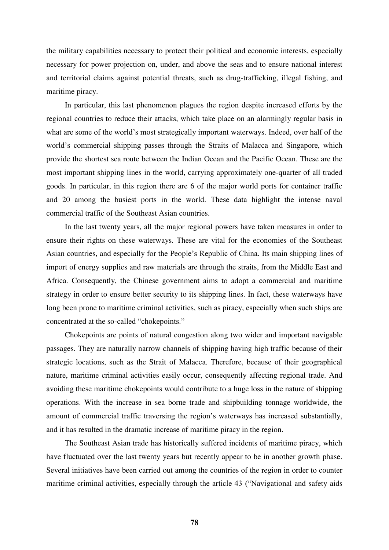the military capabilities necessary to protect their political and economic interests, especially necessary for power projection on, under, and above the seas and to ensure national interest and territorial claims against potential threats, such as drug-trafficking, illegal fishing, and maritime piracy.

In particular, this last phenomenon plagues the region despite increased efforts by the regional countries to reduce their attacks, which take place on an alarmingly regular basis in what are some of the world's most strategically important waterways. Indeed, over half of the world's commercial shipping passes through the Straits of Malacca and Singapore, which provide the shortest sea route between the Indian Ocean and the Pacific Ocean. These are the most important shipping lines in the world, carrying approximately one-quarter of all traded goods. In particular, in this region there are 6 of the major world ports for container traffic and 20 among the busiest ports in the world. These data highlight the intense naval commercial traffic of the Southeast Asian countries.

In the last twenty years, all the major regional powers have taken measures in order to ensure their rights on these waterways. These are vital for the economies of the Southeast Asian countries, and especially for the People's Republic of China. Its main shipping lines of import of energy supplies and raw materials are through the straits, from the Middle East and Africa. Consequently, the Chinese government aims to adopt a commercial and maritime strategy in order to ensure better security to its shipping lines. In fact, these waterways have long been prone to maritime criminal activities, such as piracy, especially when such ships are concentrated at the so-called "chokepoints."

Chokepoints are points of natural congestion along two wider and important navigable passages. They are naturally narrow channels of shipping having high traffic because of their strategic locations, such as the Strait of Malacca. Therefore, because of their geographical nature, maritime criminal activities easily occur, consequently affecting regional trade. And avoiding these maritime chokepoints would contribute to a huge loss in the nature of shipping operations. With the increase in sea borne trade and shipbuilding tonnage worldwide, the amount of commercial traffic traversing the region's waterways has increased substantially, and it has resulted in the dramatic increase of maritime piracy in the region.

The Southeast Asian trade has historically suffered incidents of maritime piracy, which have fluctuated over the last twenty years but recently appear to be in another growth phase. Several initiatives have been carried out among the countries of the region in order to counter maritime criminal activities, especially through the article 43 ("Navigational and safety aids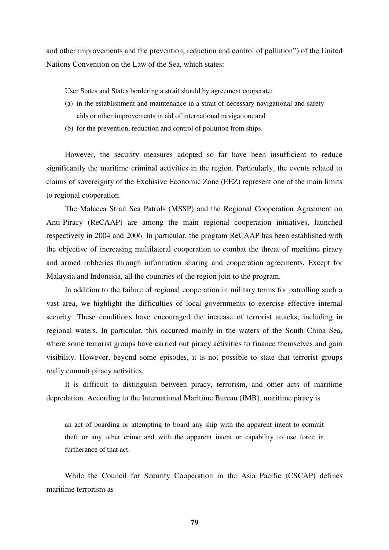and other improvements and the prevention, reduction and control of pollution") of the United Nations Convention on the Law of the Sea, which states:

User States and States bordering a strait should by agreement cooperate:

- (a) in the establishment and maintenance in a strait of necessary navigational and safety aids or other improvements in aid of international navigation; and
- (b) for the prevention, reduction and control of pollution from ships.

However, the security measures adopted so far have been insufficient to reduce significantly the maritime criminal activities in the region. Particularly, the events related to claims of sovereignty of the Exclusive Economic Zone (EEZ) represent one of the main limits to regional cooperation.

The Malacca Strait Sea Patrols (MSSP) and the Regional Cooperation Agreement on Anti-Piracy (ReCAAP) are among the main regional cooperation initiatives, launched respectively in 2004 and 2006. In particular, the program ReCAAP has been established with the objective of increasing multilateral cooperation to combat the threat of maritime piracy and armed robberies through information sharing and cooperation agreements. Except for Malaysia and Indonesia, all the countries of the region join to the program.

In addition to the failure of regional cooperation in military terms for patrolling such a vast area, we highlight the difficulties of local governments to exercise effective internal security. These conditions have encouraged the increase of terrorist attacks, including in regional waters. In particular, this occurred mainly in the waters of the South China Sea, where some terrorist groups have carried out piracy activities to finance themselves and gain visibility. However, beyond some episodes, it is not possible to state that terrorist groups really commit piracy activities.

It is difficult to distinguish between piracy, terrorism, and other acts of maritime depredation. According to the International Maritime Bureau (IMB), maritime piracy is

an act of boarding or attempting to board any ship with the apparent intent to commit theft or any other crime and with the apparent intent or capability to use force in furtherance of that act.

While the Council for Security Cooperation in the Asia Pacific (CSCAP) defines maritime terrorism as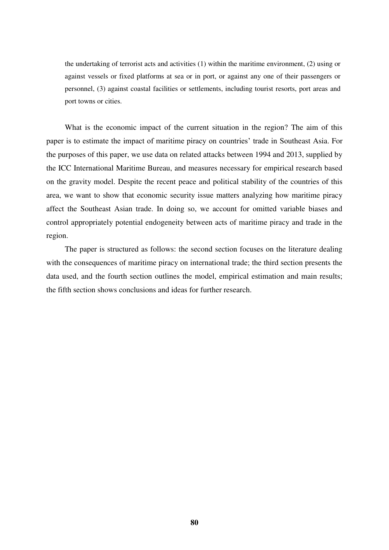the undertaking of terrorist acts and activities (1) within the maritime environment, (2) using or against vessels or fixed platforms at sea or in port, or against any one of their passengers or personnel, (3) against coastal facilities or settlements, including tourist resorts, port areas and port towns or cities.

What is the economic impact of the current situation in the region? The aim of this paper is to estimate the impact of maritime piracy on countries' trade in Southeast Asia. For the purposes of this paper, we use data on related attacks between 1994 and 2013, supplied by the ICC International Maritime Bureau, and measures necessary for empirical research based on the gravity model. Despite the recent peace and political stability of the countries of this area, we want to show that economic security issue matters analyzing how maritime piracy affect the Southeast Asian trade. In doing so, we account for omitted variable biases and control appropriately potential endogeneity between acts of maritime piracy and trade in the region.

The paper is structured as follows: the second section focuses on the literature dealing with the consequences of maritime piracy on international trade; the third section presents the data used, and the fourth section outlines the model, empirical estimation and main results; the fifth section shows conclusions and ideas for further research.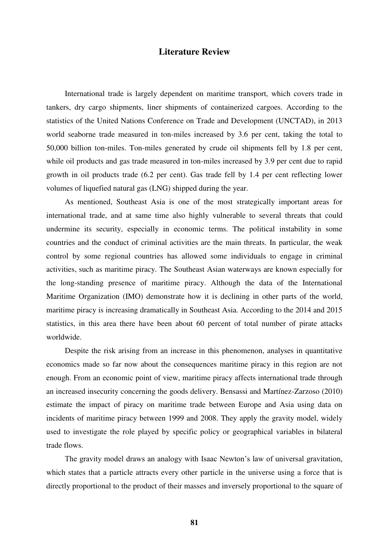## **Literature Review**

International trade is largely dependent on maritime transport, which covers trade in tankers, dry cargo shipments, liner shipments of containerized cargoes. According to the statistics of the United Nations Conference on Trade and Development (UNCTAD), in 2013 world seaborne trade measured in ton-miles increased by 3.6 per cent, taking the total to 50,000 billion ton-miles. Ton-miles generated by crude oil shipments fell by 1.8 per cent, while oil products and gas trade measured in ton-miles increased by 3.9 per cent due to rapid growth in oil products trade (6.2 per cent). Gas trade fell by 1.4 per cent reflecting lower volumes of liquefied natural gas (LNG) shipped during the year.

As mentioned, Southeast Asia is one of the most strategically important areas for international trade, and at same time also highly vulnerable to several threats that could undermine its security, especially in economic terms. The political instability in some countries and the conduct of criminal activities are the main threats. In particular, the weak control by some regional countries has allowed some individuals to engage in criminal activities, such as maritime piracy. The Southeast Asian waterways are known especially for the long-standing presence of maritime piracy. Although the data of the International Maritime Organization (IMO) demonstrate how it is declining in other parts of the world, maritime piracy is increasing dramatically in Southeast Asia. According to the 2014 and 2015 statistics, in this area there have been about 60 percent of total number of pirate attacks worldwide.

Despite the risk arising from an increase in this phenomenon, analyses in quantitative economics made so far now about the consequences maritime piracy in this region are not enough. From an economic point of view, maritime piracy affects international trade through an increased insecurity concerning the goods delivery. Bensassi and Martínez-Zarzoso (2010) estimate the impact of piracy on maritime trade between Europe and Asia using data on incidents of maritime piracy between 1999 and 2008. They apply the gravity model, widely used to investigate the role played by specific policy or geographical variables in bilateral trade flows.

The gravity model draws an analogy with Isaac Newton's law of universal gravitation, which states that a particle attracts every other particle in the universe using a force that is directly proportional to the product of their masses and inversely proportional to the square of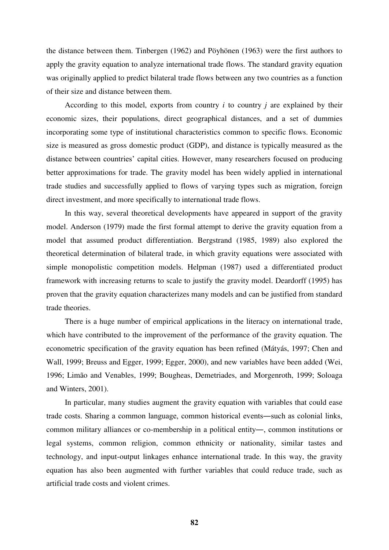the distance between them. Tinbergen (1962) and Pöyhönen (1963) were the first authors to apply the gravity equation to analyze international trade flows. The standard gravity equation was originally applied to predict bilateral trade flows between any two countries as a function of their size and distance between them.

According to this model, exports from country *i* to country *j* are explained by their economic sizes, their populations, direct geographical distances, and a set of dummies incorporating some type of institutional characteristics common to specific flows. Economic size is measured as gross domestic product (GDP), and distance is typically measured as the distance between countries' capital cities. However, many researchers focused on producing better approximations for trade. The gravity model has been widely applied in international trade studies and successfully applied to flows of varying types such as migration, foreign direct investment, and more specifically to international trade flows.

In this way, several theoretical developments have appeared in support of the gravity model. Anderson (1979) made the first formal attempt to derive the gravity equation from a model that assumed product differentiation. Bergstrand (1985, 1989) also explored the theoretical determination of bilateral trade, in which gravity equations were associated with simple monopolistic competition models. Helpman (1987) used a differentiated product framework with increasing returns to scale to justify the gravity model. Deardorff (1995) has proven that the gravity equation characterizes many models and can be justified from standard trade theories.

There is a huge number of empirical applications in the literacy on international trade, which have contributed to the improvement of the performance of the gravity equation. The econometric specification of the gravity equation has been refined (Mátyás, 1997; Chen and Wall, 1999; Breuss and Egger, 1999; Egger, 2000), and new variables have been added (Wei, 1996; Limão and Venables, 1999; Bougheas, Demetriades, and Morgenroth, 1999; Soloaga and Winters, 2001).

In particular, many studies augment the gravity equation with variables that could ease trade costs. Sharing a common language, common historical events―such as colonial links, common military alliances or co-membership in a political entity―, common institutions or legal systems, common religion, common ethnicity or nationality, similar tastes and technology, and input-output linkages enhance international trade. In this way, the gravity equation has also been augmented with further variables that could reduce trade, such as artificial trade costs and violent crimes.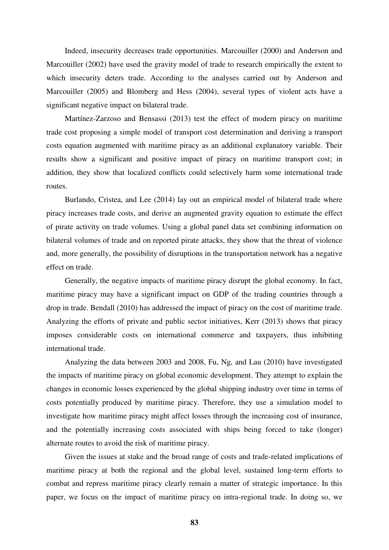Indeed, insecurity decreases trade opportunities. Marcouiller (2000) and Anderson and Marcouiller (2002) have used the gravity model of trade to research empirically the extent to which insecurity deters trade. According to the analyses carried out by Anderson and Marcouiller (2005) and Blomberg and Hess (2004), several types of violent acts have a significant negative impact on bilateral trade.

Martínez-Zarzoso and Bensassi (2013) test the effect of modern piracy on maritime trade cost proposing a simple model of transport cost determination and deriving a transport costs equation augmented with maritime piracy as an additional explanatory variable. Their results show a significant and positive impact of piracy on maritime transport cost; in addition, they show that localized conflicts could selectively harm some international trade routes.

Burlando, Cristea, and Lee (2014) lay out an empirical model of bilateral trade where piracy increases trade costs, and derive an augmented gravity equation to estimate the effect of pirate activity on trade volumes. Using a global panel data set combining information on bilateral volumes of trade and on reported pirate attacks, they show that the threat of violence and, more generally, the possibility of disruptions in the transportation network has a negative effect on trade.

Generally, the negative impacts of maritime piracy disrupt the global economy. In fact, maritime piracy may have a significant impact on GDP of the trading countries through a drop in trade. Bendall (2010) has addressed the impact of piracy on the cost of maritime trade. Analyzing the efforts of private and public sector initiatives, Kerr (2013) shows that piracy imposes considerable costs on international commerce and taxpayers, thus inhibiting international trade.

Analyzing the data between 2003 and 2008, Fu, Ng, and Lau (2010) have investigated the impacts of maritime piracy on global economic development. They attempt to explain the changes in economic losses experienced by the global shipping industry over time in terms of costs potentially produced by maritime piracy. Therefore, they use a simulation model to investigate how maritime piracy might affect losses through the increasing cost of insurance, and the potentially increasing costs associated with ships being forced to take (longer) alternate routes to avoid the risk of maritime piracy.

Given the issues at stake and the broad range of costs and trade-related implications of maritime piracy at both the regional and the global level, sustained long-term efforts to combat and repress maritime piracy clearly remain a matter of strategic importance. In this paper, we focus on the impact of maritime piracy on intra-regional trade. In doing so, we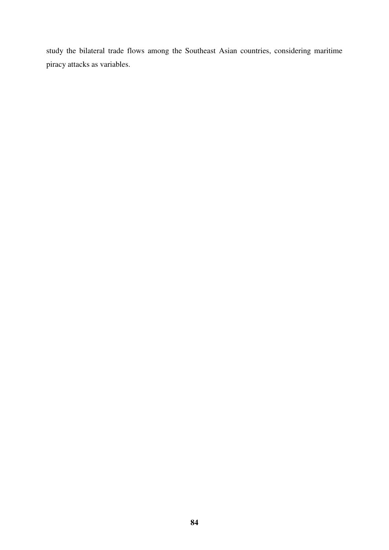study the bilateral trade flows among the Southeast Asian countries, considering maritime piracy attacks as variables.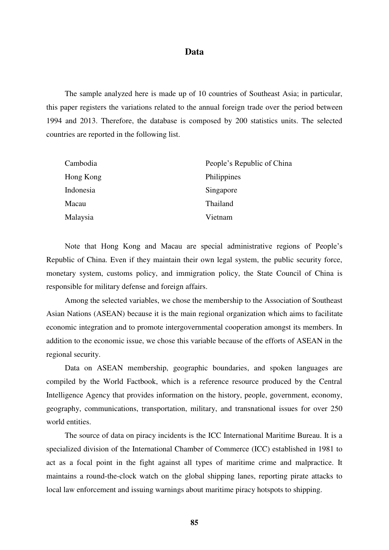## **Data**

The sample analyzed here is made up of 10 countries of Southeast Asia; in particular, this paper registers the variations related to the annual foreign trade over the period between 1994 and 2013. Therefore, the database is composed by 200 statistics units. The selected countries are reported in the following list.

| Cambodia  | People's Republic of China |
|-----------|----------------------------|
| Hong Kong | Philippines                |
| Indonesia | Singapore                  |
| Macau     | Thailand                   |
| Malaysia  | Vietnam                    |

Note that Hong Kong and Macau are special administrative regions of People's Republic of China. Even if they maintain their own legal system, the public security force, monetary system, customs policy, and immigration policy, the State Council of China is responsible for military defense and foreign affairs.

Among the selected variables, we chose the membership to the Association of Southeast Asian Nations (ASEAN) because it is the main regional organization which aims to facilitate economic integration and to promote intergovernmental cooperation amongst its members. In addition to the economic issue, we chose this variable because of the efforts of ASEAN in the regional security.

Data on ASEAN membership, geographic boundaries, and spoken languages are compiled by the World Factbook, which is a reference resource produced by the Central Intelligence Agency that provides information on the history, people, government, economy, geography, communications, transportation, military, and transnational issues for over 250 world entities.

The source of data on piracy incidents is the ICC International Maritime Bureau. It is a specialized division of the International Chamber of Commerce (ICC) established in 1981 to act as a focal point in the fight against all types of maritime crime and malpractice. It maintains a round-the-clock watch on the global shipping lanes, reporting pirate attacks to local law enforcement and issuing warnings about maritime piracy hotspots to shipping.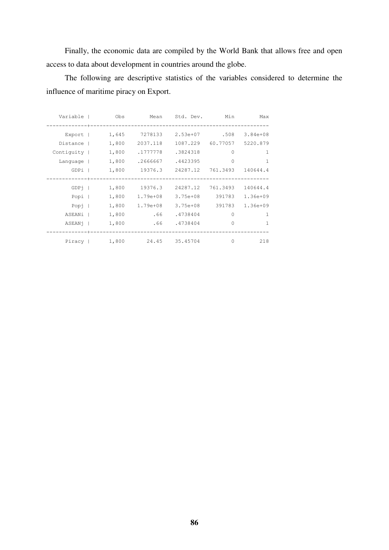Finally, the economic data are compiled by the World Bank that allows free and open access to data about development in countries around the globe.

The following are descriptive statistics of the variables considered to determine the influence of maritime piracy on Export.

| Variable   | Obs   | Mean     | Std. Dev.    | Min      | Max          |
|------------|-------|----------|--------------|----------|--------------|
|            |       |          |              |          |              |
| Export     | 1,645 | 7278133  | $2.53e+07$   | .508     | $3.84e + 08$ |
| Distance   | 1,800 | 2037.118 | 1087.229     | 60.77057 | 5220.879     |
| Contiguity | 1,800 | .1777778 | .3824318     | $\circ$  | 1            |
| Language   | 1,800 | .2666667 | .4423395     | $\Omega$ | $\mathbf{1}$ |
| GDPi       | 1,800 | 19376.3  | 24287.12     | 761.3493 | 140644.4     |
|            |       |          |              |          |              |
| GDPi       | 1,800 | 19376.3  | 24287.12     | 761.3493 | 140644.4     |
| Popi       | 1,800 | 1.79e+08 | $3.75e + 08$ | 391783   | 1.36e+09     |
| Popi       | 1,800 | 1.79e+08 | $3.75e + 08$ | 391783   | 1.36e+09     |
| ASEANi     | 1,800 | .66      | .4738404     | $\Omega$ | 1            |
| ASEANi     | 1,800 | .66      | .4738404     | $\Omega$ | 1            |
|            |       |          |              |          |              |
| Piracy     | 1,800 | 24.45    | 35.45704     | 0        | 218          |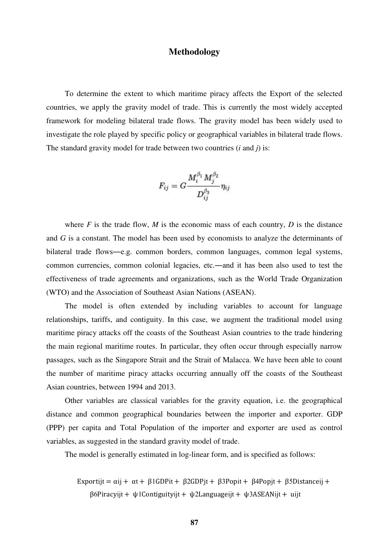## **Methodology**

To determine the extent to which maritime piracy affects the Export of the selected countries, we apply the gravity model of trade. This is currently the most widely accepted framework for modeling bilateral trade flows. The gravity model has been widely used to investigate the role played by specific policy or geographical variables in bilateral trade flows. The standard gravity model for trade between two countries (*i* and *j*) is:

$$
F_{ij}=G\frac{M_i^{\beta_1}M_j^{\beta_2}}{D_{ij}^{\beta_3}}\eta_{ij}
$$

where  $F$  is the trade flow,  $M$  is the economic mass of each country,  $D$  is the distance and *G* is a constant. The model has been used by economists to analyze the determinants of bilateral trade flows―e.g. common borders, common languages, common legal systems, common currencies, common colonial legacies, etc.―and it has been also used to test the effectiveness of trade agreements and organizations, such as the World Trade Organization (WTO) and the Association of Southeast Asian Nations (ASEAN).

The model is often extended by including variables to account for language relationships, tariffs, and contiguity. In this case, we augment the traditional model using maritime piracy attacks off the coasts of the Southeast Asian countries to the trade hindering the main regional maritime routes. In particular, they often occur through especially narrow passages, such as the Singapore Strait and the Strait of Malacca. We have been able to count the number of maritime piracy attacks occurring annually off the coasts of the Southeast Asian countries, between 1994 and 2013.

Other variables are classical variables for the gravity equation, i.e. the geographical distance and common geographical boundaries between the importer and exporter. GDP (PPP) per capita and Total Population of the importer and exporter are used as control variables, as suggested in the standard gravity model of trade.

The model is generally estimated in log-linear form, and is specified as follows:

Exportijt =  $\alpha i$ j +  $\alpha t$  +  $\beta$ 1GDPit +  $\beta$ 2GDPjt +  $\beta$ 3Popit +  $\beta$ 4Popjt +  $\beta$ 5Distanceij + Ⱦ6Piracyijt + ψ1Contiguityijt + ψ2Languageijt + ψ3ASEANijt + uijt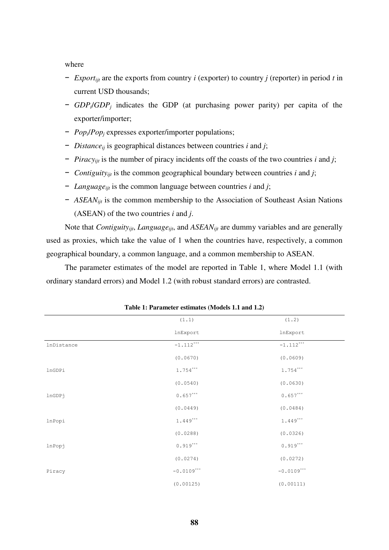where

- − *Exportijt* are the exports from country *i* (exporter) to country *j* (reporter) in period *t* in current USD thousands;
- − *GDPi*/*GDP<sup>j</sup>* indicates the GDP (at purchasing power parity) per capita of the exporter/importer;
- − *Popi*/*Pop<sup>j</sup>* expresses exporter/importer populations;
- − *Distanceij* is geographical distances between countries *i* and *j*;
- − *Piracyijt* is the number of piracy incidents off the coasts of the two countries *i* and *j*;
- − *Contiguityijt* is the common geographical boundary between countries *i* and *j*;
- − *Languageijt* is the common language between countries *i* and *j*;
- − *ASEANijt* is the common membership to the Association of Southeast Asian Nations (ASEAN) of the two countries *i* and *j*.

Note that *Contiguity<sub>iit</sub>*, *Language*<sub>iit</sub>, and *ASEAN*<sub>iit</sub> are dummy variables and are generally used as proxies, which take the value of 1 when the countries have, respectively, a common geographical boundary, a common language, and a common membership to ASEAN.

The parameter estimates of the model are reported in Table 1, where Model 1.1 (with ordinary standard errors) and Model 1.2 (with robust standard errors) are contrasted.

|            | (1.1)        | (1.2)        |
|------------|--------------|--------------|
|            | lnExport     | lnExport     |
| lnDistance | $-1.112***$  | $-1.112***$  |
|            | (0.0670)     | (0.0609)     |
| lnGDPi     | $1.754***$   | $1.754***$   |
|            | (0.0540)     | (0.0630)     |
| lnGDPj     | $0.657***$   | $0.657***$   |
|            | (0.0449)     | (0.0484)     |
| lnPopi     | $1.449***$   | $1.449***$   |
|            | (0.0288)     | (0.0326)     |
| lnPopj     | $0.919***$   | $0.919***$   |
|            | (0.0274)     | (0.0272)     |
| Piracy     | $-0.0109***$ | $-0.0109***$ |
|            | (0.00125)    | (0.00111)    |

**Table 1: Parameter estimates (Models 1.1 and 1.2)**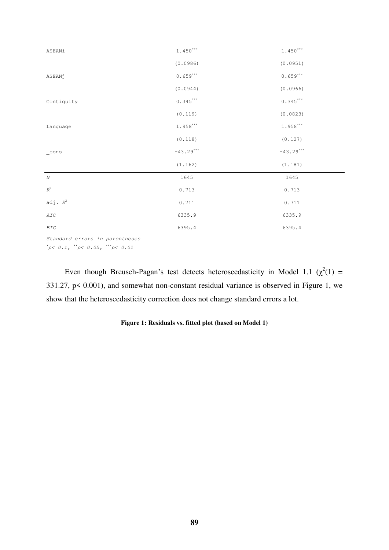| ASEANi             | $1.450***$  | $1.450***$  |
|--------------------|-------------|-------------|
|                    | (0.0986)    | (0.0951)    |
| ASEANj             | $0.659***$  | $0.659***$  |
|                    | (0.0944)    | (0.0966)    |
| Contiguity         | $0.345***$  | $0.345***$  |
|                    | (0.119)     | (0.0823)    |
| Language           | $1.958***$  | $1.958***$  |
|                    | (0.118)     | (0.127)     |
| $\_cons$           | $-43.29***$ | $-43.29***$ |
|                    | (1.162)     | (1.181)     |
| $\cal N$           | 1645        | 1645        |
| $\boldsymbol{R}^2$ | 0.713       | 0.713       |
| adj. $R^2$         | 0.711       | 0.711       |
| $\mathit{AIC}$     | 6335.9      | 6335.9      |
| $BIC$              | 6395.4      | 6395.4      |

*Standard errors in parentheses*

*\*p< 0.1, \*\*p< 0.05, \*\*\*p< 0.01*

Even though Breusch-Pagan's test detects heteroscedasticity in Model 1.1  $(\chi^2(1) =$ 331.27, p< 0.001), and somewhat non-constant residual variance is observed in Figure 1, we show that the heteroscedasticity correction does not change standard errors a lot.

#### **Figure 1: Residuals vs. fitted plot (based on Model 1)**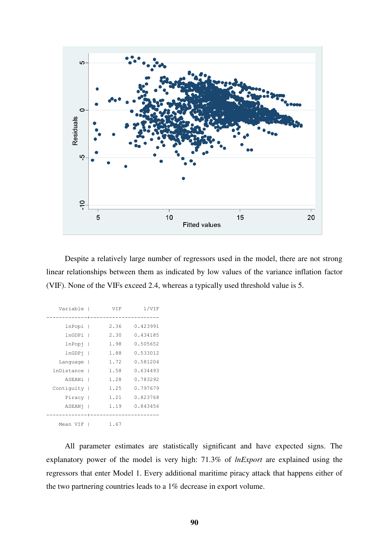

Despite a relatively large number of regressors used in the model, there are not strong linear relationships between them as indicated by low values of the variance inflation factor (VIF). None of the VIFs exceed 2.4, whereas a typically used threshold value is 5.

| Variable                            | VTF  | $1$ /VIF |
|-------------------------------------|------|----------|
|                                     |      |          |
| lnPopi                              | 2.36 | 0.423991 |
| lnGDPi                              | 2.30 | 0.434185 |
| lnPopj                              | 1.98 | 0.505652 |
| lnGDPi                              | 1.88 | 0.533012 |
| Language                            | 1.72 | 0.581204 |
| lnDistance                          | 1.58 | 0.634493 |
| ASEANi I                            | 1.28 | 0.783292 |
| Contiquity                          | 1.25 | 0.797679 |
| Piracy                              | 1.21 | 0.823768 |
| ASEAN <sup>i</sup>                  | 1.19 | 0.843456 |
| ------------+---------------------- |      |          |
| Mean VTF I                          | 1.67 |          |

All parameter estimates are statistically significant and have expected signs. The explanatory power of the model is very high: 71.3% of *lnExport* are explained using the regressors that enter Model 1. Every additional maritime piracy attack that happens either of the two partnering countries leads to a 1% decrease in export volume.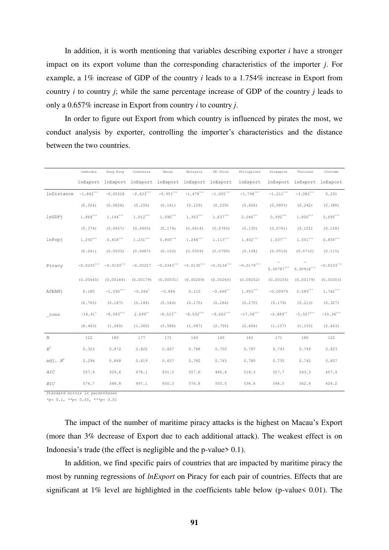In addition, it is worth mentioning that variables describing exporter *i* have a stronger impact on its export volume than the corresponding characteristics of the importer *j*. For example, a 1% increase of GDP of the country *i* leads to a 1.754% increase in Export from country *i* to country *j*; while the same percentage increase of GDP of the country *j* leads to only a 0.657% increase in Export from country *i* to country *j*.

In order to figure out Export from which country is influenced by pirates the most, we conduct analysis by exporter, controlling the importer's characteristics and the distance between the two countries.

|                                | Cambodia              | Hong Kong    | Indonesia             | Macau                    | Malaysia                 | PR China               | Philippines  | Singapore              | Thailand     | Vietnam      |
|--------------------------------|-----------------------|--------------|-----------------------|--------------------------|--------------------------|------------------------|--------------|------------------------|--------------|--------------|
|                                | lnExport              | lnExport     | lnExport              | lnExport                 | lnExport                 | lnExport               | lnExport     | lnExport               | lnExport     | lnExport     |
| lnDistance                     | $-1.862***$           | $-0.00228$   | $-2.433***$           | $-0.953***$              | $-1\,.\,479^{***}$       | $-1.005***$            | $-1.798***$  | $-1.211***$            | $-3.083***$  | 0.231        |
|                                | (0.524)               | (0.0826)     | (0.206)               | (0.161)                  | (0.129)                  | (0.259)                | (0.606)      | (0.0805)               | (0.242)      | (0.388)      |
| lnGDPj                         | 1.889***              | $1.144***$   | $1.012***$            | $1.090***$               | $1.363***$               | $1.637***$             | $2.046***$   | $0.992***$             | $1.800***$   | $0.695***$   |
|                                | (0.374)               | (0.0657)     | (0.0493)              | (0.174)                  | (0.0614)                 | (0.0765)               | (0.130)      | (0.0791)               | (0.102)      | (0.156)      |
| lnPopj                         | $1.250***$            | $0.818***$   | $1.231***$            | $0.865***$               | $1.246***$               | $1.113***$             | $1.402***$   | $1.037***$             | $1.501***$   | $0.859***$   |
|                                | (0.241)               | (0.0503)     | (0.0467)              | (0.153)                  | (0.0509)                 | (0.0760)               | (0.108)      | (0.0510)               | (0.0712)     | (0.115)      |
| Piracy                         | $-0.0235***$          | $-0.0193***$ | $-0.00257$            | $-0.0343$ <sup>***</sup> | $-0.0130$ <sup>***</sup> | $-0.0134***$           | $-0.0179***$ | $0.00787***$           | $0.00918***$ | $-0.0233***$ |
|                                | (0.00445)             | (0.00164)    | (0.00179)             | (0.00531)                | (0.00209)                | (0.00260)              | (0.00252)    | (0.00155)              | (0.00179)    | (0.00303)    |
| ASEANi                         | 0.180                 | $-1.090***$  | $-0.266$ <sup>*</sup> | $-0.886$                 | 0.115                    | $-0.649$ <sup>**</sup> | $1.955***$   | $-0.00979$             | $0.589***$   | $1.782***$   |
|                                | (0.763)               | (0.187)      | (0.148)               | (0.544)                  | (0.170)                  | (0.264)                | (0.270)      | (0.179)                | (0.213)      | (0.327)      |
| $\mathsf{\_cons}$              | $-16.41$ <sup>*</sup> | $-8.583***$  | $2.699**$             | $-8.523$ <sup>**</sup>   | $-8.502***$              | $-9.622***$            | $-17.58***$  | $-2.689$ <sup>**</sup> | $-5.527***$  | $-10.36***$  |
|                                | (8.443)               | (1.080)      | (1.360)               | (3.588)                  | (1.087)                  | (2.750)                | (2.666)      | (1.157)                | (1.155)      | (2.643)      |
| $\boldsymbol{N}$               | 122                   | 180          | 177                   | 171                      | 180                      | 180                    | 162          | 171                    | 180          | 122          |
| $R^2$                          | 0.323                 | 0.872        | 0.825                 | 0.667                    | 0.788                    | 0.750                  | 0.787        | 0.743                  | 0.749        | 0.623        |
| adj. $R^2$                     | 0.294                 | 0.868        | 0.819                 | 0.657                    | 0.782                    | 0.743                  | 0.780        | 0.735                  | 0.742        | 0.607        |
| AIC                            | 557.9                 | 329.6        | 478.1                 | 631.5                    | 557.6                    | 486.4                  | 518.3        | 527.7                  | 543.3        | 407.4        |
| BIC                            | 574.7                 | 348.8        | 497.1                 | 650.3                    | 576.8                    | 505.5                  | 536.8        | 546.5                  | 562.4        | 424.2        |
| Standard errors in parentheses |                       |              |                       |                          |                          |                        |              |                        |              |              |

*\*p< 0.1, \*\*p< 0.05, \*\*\*p< 0.01* 

The impact of the number of maritime piracy attacks is the highest on Macau's Export (more than 3% decrease of Export due to each additional attack). The weakest effect is on Indonesia's trade (the effect is negligible and the p-value> 0.1).

In addition, we find specific pairs of countries that are impacted by maritime piracy the most by running regressions of *lnExport* on Piracy for each pair of countries. Effects that are significant at 1% level are highlighted in the coefficients table below (p-value< 0.01). The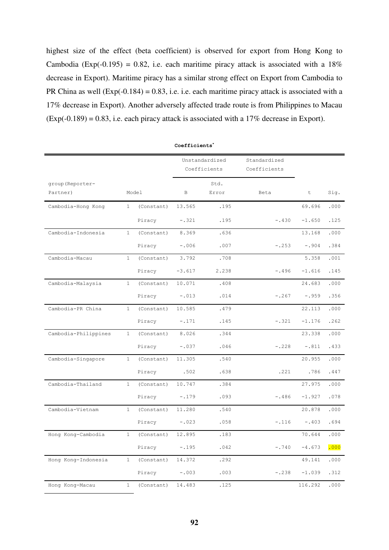highest size of the effect (beta coefficient) is observed for export from Hong Kong to Cambodia (Exp(-0.195) = 0.82, i.e. each maritime piracy attack is associated with a  $18\%$ decrease in Export). Maritime piracy has a similar strong effect on Export from Cambodia to PR China as well  $(Exp(-0.184) = 0.83$ , i.e. i.e. each maritime piracy attack is associated with a 17% decrease in Export). Another adversely affected trade route is from Philippines to Macau  $(Exp(-0.189) = 0.83$ , i.e. each piracy attack is associated with a 17% decrease in Export).

|                      |              |              | Coefficients <sup>*</sup> |                                |                              |          |      |
|----------------------|--------------|--------------|---------------------------|--------------------------------|------------------------------|----------|------|
|                      |              |              |                           | Unstandardized<br>Coefficients | Standardized<br>Coefficients |          |      |
| group (Reporter-     |              |              |                           | Std.                           |                              |          |      |
| Partner)             |              | Model        | B                         | Error                          | Beta                         | t        | Sig. |
| Cambodia-Hong Kong   | $\mathbf{1}$ | (Constant)   | 13.565                    | .195                           |                              | 69.696   | .000 |
|                      |              | Piracy       | $-.321$                   | .195                           | $-.430$                      | $-1.650$ | .125 |
| Cambodia-Indonesia   | $\mathbf{1}$ | (Constant)   | 8.369                     | .636                           |                              | 13.168   | .000 |
|                      |              | Piracy       | $-.006$                   | .007                           | $-.253$                      | $-.904$  | .384 |
| Cambodia-Macau       | $\mathbf{1}$ | (Constant)   | 3.792                     | .708                           |                              | 5.358    | .001 |
|                      |              | Piracy       | $-3.617$                  | 2.238                          | $-.496$                      | $-1.616$ | .145 |
| Cambodia-Malaysia    | $\mathbf{1}$ | (Constant)   | 10.071                    | .408                           |                              | 24.683   | .000 |
|                      |              | Piracy       | $-.013$                   | .014                           | $-.267$                      | $-.959$  | .356 |
| Cambodia-PR China    | $\mathbf{1}$ | (Constant)   | 10.585                    | .479                           |                              | 22.113   | .000 |
|                      |              | Piracy       | $-.171$                   | .145                           | $-.321$                      | $-1.176$ | .262 |
| Cambodia-Philippines | 1            | (Constant)   | 8.026                     | .344                           |                              | 23.338   | .000 |
|                      |              | Piracy       | $-0.37$                   | .046                           | $-.228$                      | $-.811$  | .433 |
| Cambodia-Singapore   | 1            | (Constant)   | 11.305                    | .540                           |                              | 20.955   | .000 |
|                      |              | Piracy       | .502                      | .638                           | .221                         | .786     | .447 |
| Cambodia-Thailand    | $\mathbf{1}$ | (Constant)   | 10.747                    | .384                           |                              | 27.975   | .000 |
|                      |              | Piracy       | $-.179$                   | .093                           | $-.486$                      | $-1.927$ | .078 |
| Cambodia-Vietnam     | $\mathbf{1}$ | (Constant)   | 11.280                    | .540                           |                              | 20.878   | .000 |
|                      |              | Piracy       | $-.023$                   | .058                           | $-.116$                      | $-.403$  | .694 |
| Hong Kong-Cambodia   |              | 1 (Constant) | 12.895                    | .183                           |                              | 70.644   | .000 |
|                      |              | Piracy       | $-.195$                   | .042                           | $-.740$                      | $-4.673$ | .000 |
| Hong Kong-Indonesia  | $\mathbf{1}$ | (Constant)   | 14.372                    | .292                           |                              | 49.141   | .000 |
|                      |              | Piracy       | $-.003$                   | .003                           | $-.238$                      | $-1.039$ | .312 |
| Hong Kong-Macau      | $\mathbf{1}$ | (Constant)   | 14.483                    | .125                           |                              | 116.292  | .000 |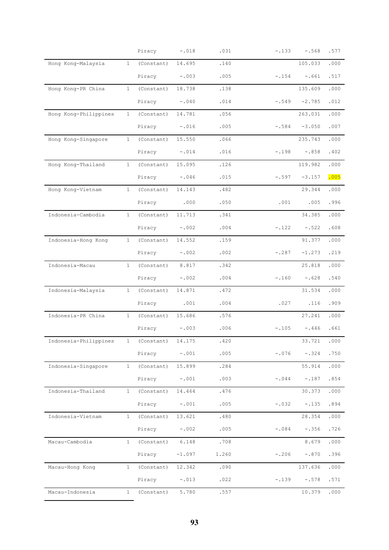|                       |              | Piracy              | $-.018$  | .031  | $-.133$ | $-1.568$ | .577 |
|-----------------------|--------------|---------------------|----------|-------|---------|----------|------|
| Hong Kong-Malaysia    | $\mathbf{1}$ | (Constant)          | 14.695   | .140  |         | 105.033  | .000 |
|                       |              | Piracy              | $-.003$  | .005  | $-.154$ | $-.661$  | .517 |
| Hong Kong-PR China    | $\mathbf{1}$ | (Constant)          | 18.738   | .138  |         | 135.609  | .000 |
|                       |              | Piracy              | $-.040$  | .014  | $-1549$ | $-2.785$ | .012 |
| Hong Kong-Philippines | $\mathbf{1}$ | (Constant)          | 14.781   | .056  |         | 263.031  | .000 |
|                       |              | Piracy              | $-.016$  | .005  | $-1584$ | $-3.050$ | .007 |
| Hong Kong-Singapore   | $\mathbf{1}$ | (Constant)          | 15.550   | .066  |         | 235.743  | .000 |
|                       |              | Piracy              | $-.014$  | .016  | $-.198$ | $-.858$  | .402 |
| Hong Kong-Thailand    | $\mathbf{1}$ | (Constant)          | 15.095   | .126  |         | 119.982  | .000 |
|                       |              | Piracy              | $-.046$  | .015  | $-1597$ | $-3.157$ | .005 |
| Hong Kong-Vietnam     | $\mathbf{1}$ | (Constant)          | 14.143   | .482  |         | 29.344   | .000 |
|                       |              | Piracy              | .000     | .050  | .001    | .005     | .996 |
| Indonesia-Cambodia    | $\mathbf{1}$ | (Constant)          | 11.713   | .341  |         | 34.385   | .000 |
|                       |              | Piracy              | $-.002$  | .004  | $-.122$ | $-.522$  | .608 |
| Indonesia-Hong Kong   | $\mathbf{1}$ | (Constant)          | 14.552   | .159  |         | 91.377   | .000 |
|                       |              | Piracy              | $-.002$  | .002  | $-.287$ | $-1.273$ | .219 |
| Indonesia-Macau       | $\mathbf{1}$ | (Constant)          | 8.817    | .342  |         | 25.818   | .000 |
|                       |              | Piracy              | $-.002$  | .004  | $-.160$ | $-.628$  | .540 |
| Indonesia-Malaysia    | $\mathbf{1}$ | (Constant)          | 14.871   | .472  |         | 31.534   | .000 |
|                       |              | Piracy              | .001     | .004  | .027    | .116     | .909 |
| Indonesia-PR China    | $\mathbf{1}$ | (Constant)          | 15.686   | .576  |         | 27.241   | .000 |
|                       |              | Piracy              | $-.003$  | .006  | $-.105$ | $-.446$  | .661 |
| Indonesia-Philippines |              | 1 (Constant) 14.175 |          | .420  |         | 33.721   | .000 |
|                       |              | Piracy              | $-.001$  | .005  | $-.076$ | $-.324$  | .750 |
| Indonesia-Singapore   | $\mathbf{1}$ | (Constant)          | 15.899   | .284  |         | 55.914   | .000 |
|                       |              | Piracy              | $-.001$  | .003  | $-.044$ | $-.187$  | .854 |
| Indonesia-Thailand    | $\mathbf{1}$ | (Constant)          | 14.464   | .476  |         | 30.373   | .000 |
|                       |              | Piracy              | $-.001$  | .005  | $-.032$ | $-.135$  | .894 |
| Indonesia-Vietnam     | $\mathbf{1}$ | (Constant)          | 13.621   | .480  |         | 28.354   | .000 |
|                       |              | Piracy              | $-.002$  | .005  | $-.084$ | $-.356$  | .726 |
| Macau-Cambodia        | $\mathbf{1}$ | (Constant)          | 6.148    | .708  |         | 8.679    | .000 |
|                       |              | Piracy              | $-1.097$ | 1.260 | $-.206$ | $-.870$  | .396 |
| Macau-Hong Kong       | $\mathbf{1}$ | (Constant)          | 12.342   | .090  |         | 137.636  | .000 |
|                       |              | Piracy              | $-.013$  | .022  | $-.139$ | $-.578$  | .571 |
| Macau-Indonesia       | $\mathbf{1}$ | (Constant)          | 5.780    | .557  |         | 10.379   | .000 |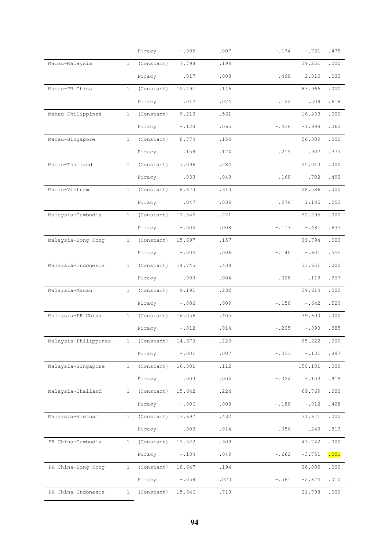|                      |              | Piracy              | $-.005$ | .007 | $-.174$ | $-.731$  | .475 |
|----------------------|--------------|---------------------|---------|------|---------|----------|------|
| Macau-Malaysia       | $\mathbf{1}$ | (Constant)          | 7.798   | .199 |         | 39.251   | .000 |
|                      |              | Piracy              | .017    | .008 | .490    | 2.315    | .033 |
| Macau-PR China       | $\mathbf{1}$ | (Constant)          | 12.291  | .146 |         | 83.966   | .000 |
|                      |              | Piracy              | .012    | .024 | .122    | .508     | .618 |
| Macau-Philippines    | 1            | (Constant)          | 9.213   | .561 |         | 16.433   | .000 |
|                      |              | Piracy              | $-.129$ | .065 | $-.436$ | $-1.999$ | .062 |
| Macau-Singapore      | $\mathbf{1}$ | (Constant)          | 8.774   | .154 |         | 56.809   | .000 |
|                      |              | Piracy              | .158    | .174 | .215    | .907     | .377 |
| Macau-Thailand       | $\mathbf{1}$ | (Constant)          | 7.096   | .284 |         | 25.013   | .000 |
|                      |              | Piracy              | .033    | .048 | .168    | .702     | .492 |
| Macau-Vietnam        | $\mathbf{1}$ | (Constant)          | 8.870   | .310 |         | 28.586   | .000 |
|                      |              | Piracy              | .047    | .039 | .276    | 1.185    | .252 |
| Malaysia-Cambodia    | $\mathbf{1}$ | (Constant)          | 11.546  | .221 |         | 52.295   | .000 |
|                      |              | Piracy              | $-.004$ | .008 | $-.113$ | $-.481$  | .637 |
| Malaysia-Hong Kong   | $\mathbf{1}$ | (Constant)          | 15.697  | .157 |         | 99.794   | .000 |
|                      |              | Piracy              | $-.004$ | .006 | $-.140$ | $-.601$  | .555 |
| Malaysia-Indonesia   | $\mathbf{1}$ | (Constant)          | 14.745  | .438 |         | 33.651   | .000 |
|                      |              | Piracy              | .000    | .004 | .028    | .119     | .907 |
| Malaysia-Macau       | $\mathbf{1}$ | (Constant)          | 9.191   | .232 |         | 39.614   | .000 |
|                      |              | Piracy              | $-.006$ | .009 | $-.150$ | $-.642$  | .529 |
| Malaysia-PR China    | $\mathbf{1}$ | (Constant)          | 16.056  | .405 |         | 39.690   | .000 |
|                      |              | Piracy              | $-.012$ | .014 | $-.205$ | $-.890$  | .385 |
| Malaysia-Philippines |              | 1 (Constant) 14.370 |         | .220 |         | 65.222   | .000 |
|                      |              | Piracy              | $-.001$ | .007 | $-.031$ | $-.131$  | .897 |
| Malaysia-Singapore   | $\mathbf{1}$ | (Constant)          | 16.801  | .112 |         | 150.181  | .000 |
|                      |              | Piracy              | .000    | .004 | $-.024$ | $-.103$  | .919 |
| Malaysia-Thailand    | $\mathbf{1}$ | (Constant)          | 15.642  | .224 |         | 69.769   | .000 |
|                      |              | Piracy              | $-.006$ | .008 | $-.188$ | $-.812$  | .428 |
| Malaysia-Vietnam     | $\mathbf{1}$ | (Constant)          | 13.697  | .432 |         | 31.671   | .000 |
|                      |              | Piracy              | .003    | .014 | .056    | .240     | .813 |
| PR China-Cambodia    | $\mathbf{1}$ | (Constant)          | 13.522  | .309 |         | 43.742   | .000 |
|                      |              | Piracy              | $-.184$ | .049 | $-.662$ | $-3.751$ | .001 |
| PR China-Hong Kong   | $\mathbf{1}$ | (Constant)          | 18.647  | .194 |         | 96.005   | .000 |
|                      |              | Piracy              | $-.058$ | .020 | $-.561$ | $-2.874$ | .010 |
| PR China-Indonesia   | $\mathbf{1}$ | (Constant)          | 15.646  | .718 |         | 21.798   | .000 |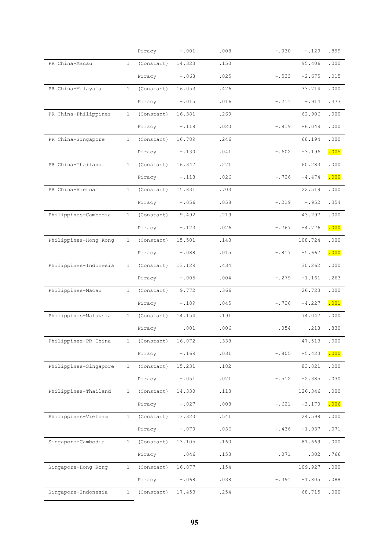|                       |              | Piracy       | $-.001$ | .008 | $-.030$ | $-.129$  | .899 |
|-----------------------|--------------|--------------|---------|------|---------|----------|------|
| PR China-Macau        | $\mathbf{1}$ | (Constant)   | 14.323  | .150 |         | 95.406   | .000 |
|                       |              | Piracy       | $-.068$ | .025 | $-.533$ | $-2.675$ | .015 |
| PR China-Malaysia     | $\mathbf{1}$ | (Constant)   | 16.053  | .476 |         | 33.714   | .000 |
|                       |              | Piracy       | $-.015$ | .016 | $-.211$ | $-.914$  | .373 |
| PR China-Philippines  | $\mathbf{1}$ | (Constant)   | 16.381  | .260 |         | 62.906   | .000 |
|                       |              | Piracy       | $-.118$ | .020 | $-.819$ | $-6.049$ | .000 |
| PR China-Singapore    | $\mathbf{1}$ | (Constant)   | 16.789  | .246 |         | 68.194   | .000 |
|                       |              | Piracy       | $-.130$ | .041 | $-.602$ | $-3.196$ | .005 |
| PR China-Thailand     | $\mathbf{1}$ | (Constant)   | 16.347  | .271 |         | 60.283   | .000 |
|                       |              | Piracy       | $-.118$ | .026 | $-.726$ | $-4.474$ | .000 |
| PR China-Vietnam      | $\mathbf{1}$ | (Constant)   | 15.831  | .703 |         | 22.519   | .000 |
|                       |              | Piracy       | $-.056$ | .058 | $-.219$ | $-.952$  | .354 |
| Philippines-Cambodia  | $\mathbf{1}$ | (Constant)   | 9.492   | .219 |         | 43.297   | .000 |
|                       |              | Piracy       | $-.123$ | .026 | $-.767$ | $-4.776$ | .000 |
| Philippines-Hong Kong | $\mathbf{1}$ | (Constant)   | 15.501  | .143 |         | 108.724  | .000 |
|                       |              | Piracy       | $-.088$ | .015 | $-.817$ | $-5.667$ | .000 |
| Philippines-Indonesia | $\mathbf{1}$ | (Constant)   | 13.129  | .434 |         | 30.262   | .000 |
|                       |              | Piracy       | $-.005$ | .004 | $-.279$ | $-1.161$ | .263 |
| Philippines-Macau     | $\mathbf{1}$ | (Constant)   | 9.772   | .366 |         | 26.723   | .000 |
|                       |              | Piracy       | $-.189$ | .045 | $-.726$ | $-4.227$ | .001 |
| Philippines-Malaysia  | $\mathbf{1}$ | (Constant)   | 14.154  | .191 |         | 74.047   | .000 |
|                       |              | Piracy       | .001    | .006 | .054    | .218     | .830 |
| Philippines-PR China  |              | 1 (Constant) | 16.072  | .338 |         | 47.513   | .000 |
|                       |              | Piracy       | $-.169$ | .031 | $-.805$ | $-5.423$ | .000 |
| Philippines-Singapore | $\mathbf{1}$ | (Constant)   | 15.231  | .182 |         | 83.821   | .000 |
|                       |              | Piracy       | $-.051$ | .021 | $-.512$ | $-2.385$ | .030 |
| Philippines-Thailand  | $\mathbf{1}$ | (Constant)   | 14.330  | .113 |         | 126.346  | .000 |
|                       |              | Piracy       | $-.027$ | .008 | $-.621$ | $-3.170$ | .006 |
| Philippines-Vietnam   | $\mathbf{1}$ | (Constant)   | 13.320  | .541 |         | 24.598   | .000 |
|                       |              | Piracy       | $-.070$ | .036 | $-.436$ | $-1.937$ | .071 |
| Singapore-Cambodia    | $\mathbf{1}$ | (Constant)   | 13.105  | .160 |         | 81.669   | .000 |
|                       |              | Piracy       | .046    | .153 | .071    | .302     | .766 |
| Singapore-Hong Kong   | $\mathbf{1}$ | (Constant)   | 16.877  | .154 |         | 109.927  | .000 |
|                       |              | Piracy       | $-.068$ | .038 | $-.391$ | $-1.805$ | .088 |
| Singapore-Indonesia   | $\mathbf{1}$ | (Constant)   | 17.453  | .254 |         | 68.715   | .000 |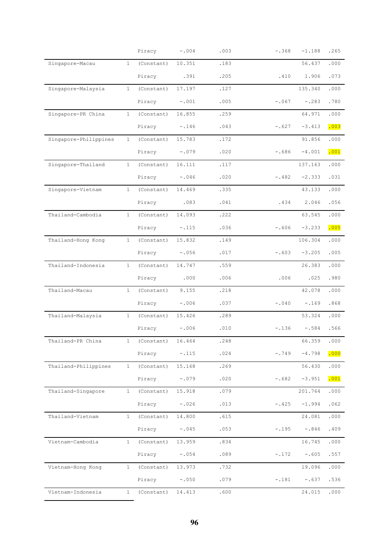|                       |              | Piracy              | $-.004$ | .003 | $-.368$  | $-1.188$ | .265 |
|-----------------------|--------------|---------------------|---------|------|----------|----------|------|
| Singapore-Macau       | $\mathbf{1}$ | (Constant)          | 10.351  | .183 |          | 56.437   | .000 |
|                       |              | Piracy              | .391    | .205 | .410     | 1.906    | .073 |
| Singapore-Malaysia    | $\mathbf{1}$ | (Constant)          | 17.197  | .127 |          | 135.340  | .000 |
|                       |              | Piracy              | $-.001$ | .005 | $-.067$  | $-.283$  | .780 |
| Singapore-PR China    | 1            | (Constant)          | 16.855  | .259 |          | 64.971   | .000 |
|                       |              | Piracy              | $-.146$ | .043 | $-0.627$ | $-3.413$ | .003 |
| Singapore-Philippines | $\mathbf{1}$ | (Constant)          | 15.783  | .172 |          | 91.856   | .000 |
|                       |              | Piracy              | $-.079$ | .020 | $-0.686$ | $-4.001$ | .001 |
| Singapore-Thailand    | $\mathbf{1}$ | (Constant)          | 16.111  | .117 |          | 137.163  | .000 |
|                       |              | Piracy              | $-.046$ | .020 | $-.482$  | $-2.333$ | .031 |
| Singapore-Vietnam     | $\mathbf{1}$ | (Constant)          | 14.469  | .335 |          | 43.133   | .000 |
|                       |              | Piracy              | .083    | .041 | .434     | 2.046    | .056 |
| Thailand-Cambodia     | $\mathbf{1}$ | (Constant)          | 14.093  | .222 |          | 63.545   | .000 |
|                       |              | Piracy              | $-.115$ | .036 | $-.606$  | $-3.233$ | .005 |
| Thailand-Hong Kong    | $\mathbf{1}$ | (Constant)          | 15.832  | .149 |          | 106.304  | .000 |
|                       |              | Piracy              | $-.056$ | .017 | $-.603$  | $-3.205$ | .005 |
| Thailand-Indonesia    | $\mathbf{1}$ | (Constant)          | 14.747  | .559 |          | 26.383   | .000 |
|                       |              | Piracy              | .000    | .006 | .006     | .025     | .980 |
| Thailand-Macau        | $\mathbf{1}$ | (Constant)          | 9.155   | .218 |          | 42.078   | .000 |
|                       |              | Piracy              | $-.006$ | .037 | $-.040$  | $-.169$  | .868 |
| Thailand-Malaysia     | $\mathbf{1}$ | (Constant)          | 15.426  | .289 |          | 53.324   | .000 |
|                       |              | Piracy              | $-.006$ | .010 | $-.136$  | $-.584$  | .566 |
| Thailand-PR China     |              | 1 (Constant) 16.464 |         | .248 |          | 66.359   | .000 |
|                       |              | Piracy              | $-.115$ | .024 | $-.749$  | $-4.798$ | .000 |
| Thailand-Philippines  | $\mathbf{1}$ | (Constant)          | 15.168  | .269 |          | 56.430   | .000 |
|                       |              | Piracy              | $-.079$ | .020 | $-.682$  | $-3.951$ | .001 |
| Thailand-Singapore    | $\mathbf{1}$ | (Constant)          | 15.918  | .079 |          | 201.764  | .000 |
|                       |              | Piracy              | $-.026$ | .013 | $-.425$  | $-1.994$ | .062 |
| Thailand-Vietnam      | $\mathbf{1}$ | (Constant)          | 14.800  | .615 |          | 24.081   | .000 |
|                       |              | Piracy              | $-.045$ | .053 | $-.195$  | $-.846$  | .409 |
| Vietnam-Cambodia      | $\mathbf{1}$ | (Constant)          | 13.959  | .834 |          | 16.745   | .000 |
|                       |              | Piracy              | $-.054$ | .089 | $-.172$  | $-.605$  | .557 |
| Vietnam-Hong Kong     | $\mathbf{1}$ | (Constant)          | 13.973  | .732 |          | 19.096   | .000 |
|                       |              | Piracy              | $-.050$ | .079 | $-.181$  | $-.637$  | .536 |
| Vietnam-Indonesia     | $\mathbf{1}$ | (Constant)          | 14.413  | .600 |          | 24.015   | .000 |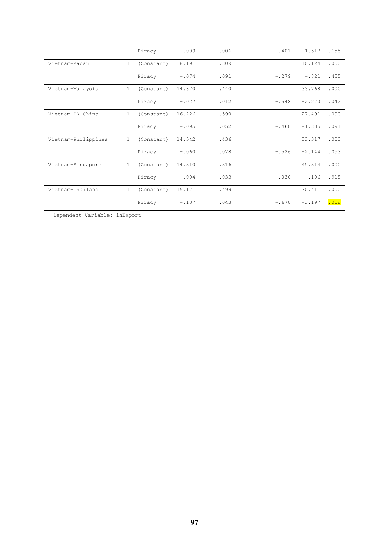|                     |              | Piracy     | $-.009$ | .006 | $-1401$ | $-1.517$ | .155 |
|---------------------|--------------|------------|---------|------|---------|----------|------|
| Vietnam-Macau       | $\mathbf{1}$ | (Constant) | 8.191   | .809 |         | 10.124   | .000 |
|                     |              | Piracy     | $-.074$ | .091 | $-.279$ | $-.821$  | .435 |
| Vietnam-Malaysia    | $\mathbf{1}$ | (Constant) | 14.870  | .440 |         | 33.768   | .000 |
|                     |              | Piracy     | $-.027$ | .012 | $-1548$ | $-2.270$ | .042 |
| Vietnam-PR China    | 1            | (Constant) | 16.226  | .590 |         | 27.491   | .000 |
|                     |              | Piracy     | $-.095$ | .052 | $-.468$ | $-1.835$ | .091 |
| Vietnam-Philippines | $\mathbf{1}$ | (Constant) | 14.542  | .436 |         | 33.317   | .000 |
|                     |              | Piracy     | $-.060$ | .028 | $-.526$ | $-2.144$ | .053 |
| Vietnam-Singapore   | $\mathbf{1}$ | (Constant) | 14.310  | .316 |         | 45.314   | .000 |
|                     |              | Piracy     | .004    | .033 | .030    | .106     | .918 |
| Vietnam-Thailand    | $\mathbf{1}$ | (Constant) | 15.171  | .499 |         | 30.411   | .000 |
|                     |              | Piracy     | $-.137$ | .043 | $-.678$ | $-3.197$ | .008 |

\* Dependent Variable: lnExport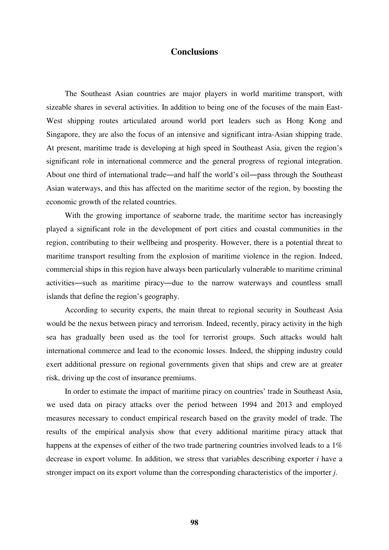# **Conclusions**

The Southeast Asian countries are major players in world maritime transport, with sizeable shares in several activities. In addition to being one of the focuses of the main East-West shipping routes articulated around world port leaders such as Hong Kong and Singapore, they are also the focus of an intensive and significant intra-Asian shipping trade. At present, maritime trade is developing at high speed in Southeast Asia, given the region's significant role in international commerce and the general progress of regional integration. About one third of international trade―and half the world's oil―pass through the Southeast Asian waterways, and this has affected on the maritime sector of the region, by boosting the economic growth of the related countries.

With the growing importance of seaborne trade, the maritime sector has increasingly played a significant role in the development of port cities and coastal communities in the region, contributing to their wellbeing and prosperity. However, there is a potential threat to maritime transport resulting from the explosion of maritime violence in the region. Indeed, commercial ships in this region have always been particularly vulnerable to maritime criminal activities―such as maritime piracy―due to the narrow waterways and countless small islands that define the region's geography.

According to security experts, the main threat to regional security in Southeast Asia would be the nexus between piracy and terrorism. Indeed, recently, piracy activity in the high sea has gradually been used as the tool for terrorist groups. Such attacks would halt international commerce and lead to the economic losses. Indeed, the shipping industry could exert additional pressure on regional governments given that ships and crew are at greater risk, driving up the cost of insurance premiums.

In order to estimate the impact of maritime piracy on countries' trade in Southeast Asia, we used data on piracy attacks over the period between 1994 and 2013 and employed measures necessary to conduct empirical research based on the gravity model of trade. The results of the empirical analysis show that every additional maritime piracy attack that happens at the expenses of either of the two trade partnering countries involved leads to a 1% decrease in export volume. In addition, we stress that variables describing exporter *i* have a stronger impact on its export volume than the corresponding characteristics of the importer *j*.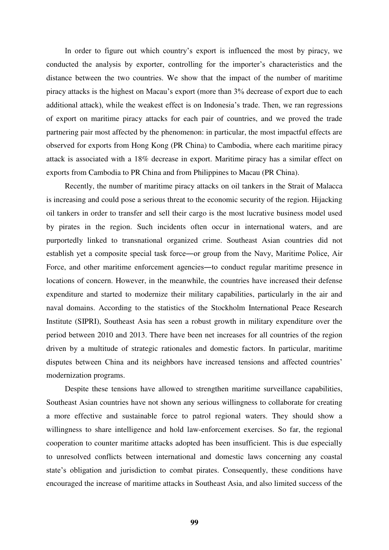In order to figure out which country's export is influenced the most by piracy, we conducted the analysis by exporter, controlling for the importer's characteristics and the distance between the two countries. We show that the impact of the number of maritime piracy attacks is the highest on Macau's export (more than 3% decrease of export due to each additional attack), while the weakest effect is on Indonesia's trade. Then, we ran regressions of export on maritime piracy attacks for each pair of countries, and we proved the trade partnering pair most affected by the phenomenon: in particular, the most impactful effects are observed for exports from Hong Kong (PR China) to Cambodia, where each maritime piracy attack is associated with a 18% decrease in export. Maritime piracy has a similar effect on exports from Cambodia to PR China and from Philippines to Macau (PR China).

Recently, the number of maritime piracy attacks on oil tankers in the Strait of Malacca is increasing and could pose a serious threat to the economic security of the region. Hijacking oil tankers in order to transfer and sell their cargo is the most lucrative business model used by pirates in the region. Such incidents often occur in international waters, and are purportedly linked to transnational organized crime. Southeast Asian countries did not establish yet a composite special task force―or group from the Navy, Maritime Police, Air Force, and other maritime enforcement agencies―to conduct regular maritime presence in locations of concern. However, in the meanwhile, the countries have increased their defense expenditure and started to modernize their military capabilities, particularly in the air and naval domains. According to the statistics of the Stockholm International Peace Research Institute (SIPRI), Southeast Asia has seen a robust growth in military expenditure over the period between 2010 and 2013. There have been net increases for all countries of the region driven by a multitude of strategic rationales and domestic factors. In particular, maritime disputes between China and its neighbors have increased tensions and affected countries' modernization programs.

Despite these tensions have allowed to strengthen maritime surveillance capabilities, Southeast Asian countries have not shown any serious willingness to collaborate for creating a more effective and sustainable force to patrol regional waters. They should show a willingness to share intelligence and hold law-enforcement exercises. So far, the regional cooperation to counter maritime attacks adopted has been insufficient. This is due especially to unresolved conflicts between international and domestic laws concerning any coastal state's obligation and jurisdiction to combat pirates. Consequently, these conditions have encouraged the increase of maritime attacks in Southeast Asia, and also limited success of the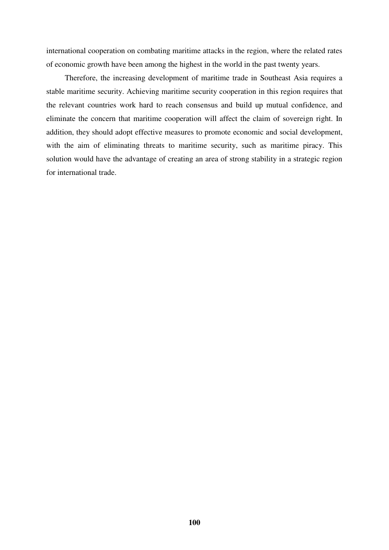international cooperation on combating maritime attacks in the region, where the related rates of economic growth have been among the highest in the world in the past twenty years.

Therefore, the increasing development of maritime trade in Southeast Asia requires a stable maritime security. Achieving maritime security cooperation in this region requires that the relevant countries work hard to reach consensus and build up mutual confidence, and eliminate the concern that maritime cooperation will affect the claim of sovereign right. In addition, they should adopt effective measures to promote economic and social development, with the aim of eliminating threats to maritime security, such as maritime piracy. This solution would have the advantage of creating an area of strong stability in a strategic region for international trade.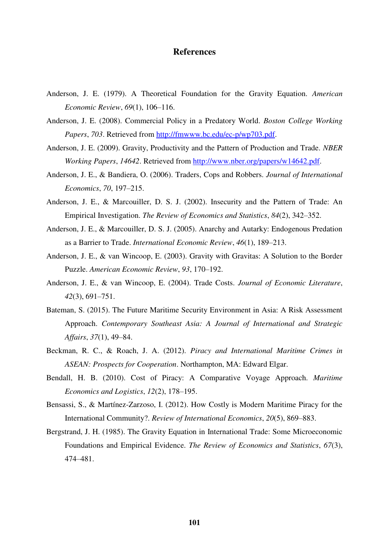## **References**

- Anderson, J. E. (1979). A Theoretical Foundation for the Gravity Equation. *American Economic Review*, *69*(1), 106–116.
- Anderson, J. E. (2008). Commercial Policy in a Predatory World. *Boston College Working Papers*, *703*. Retrieved from [http://fmwww.bc.edu/ec-p/wp703.pdf.](http://fmwww.bc.edu/ec-p/wp703.pdf)
- Anderson, J. E. (2009). Gravity, Productivity and the Pattern of Production and Trade. *NBER Working Papers*, *14642*. Retrieved from [http://www.nber.org/papers/w14642.pdf.](http://www.nber.org/papers/w14642.pdf)
- Anderson, J. E., & Bandiera, O. (2006). Traders, Cops and Robbers. *Journal of International Economics*, *70*, 197–215.
- Anderson, J. E., & Marcouiller, D. S. J. (2002). Insecurity and the Pattern of Trade: An Empirical Investigation. *The Review of Economics and Statistics*, *84*(2), 342–352.
- Anderson, J. E., & Marcouiller, D. S. J. (2005). Anarchy and Autarky: Endogenous Predation as a Barrier to Trade. *International Economic Review*, *46*(1), 189–213.
- Anderson, J. E., & van Wincoop, E. (2003). Gravity with Gravitas: A Solution to the Border Puzzle. *American Economic Review*, *93*, 170–192.
- Anderson, J. E., & van Wincoop, E. (2004). Trade Costs. *Journal of Economic Literature*, *42*(3), 691–751.
- Bateman, S. (2015). The Future Maritime Security Environment in Asia: A Risk Assessment Approach. *Contemporary Southeast Asia: A Journal of International and Strategic Affairs*, *37*(1), 49–84.
- Beckman, R. C., & Roach, J. A. (2012). *Piracy and International Maritime Crimes in ASEAN: Prospects for Cooperation*. Northampton, MA: Edward Elgar.
- Bendall, H. B. (2010). Cost of Piracy: A Comparative Voyage Approach. *Maritime Economics and Logistics*, *12*(2), 178–195.
- Bensassi, S., & Martínez-Zarzoso, I. (2012). How Costly is Modern Maritime Piracy for the International Community?. *Review of International Economics*, *20*(5), 869–883.
- Bergstrand, J. H. (1985). The Gravity Equation in International Trade: Some Microeconomic Foundations and Empirical Evidence. *The Review of Economics and Statistics*, *67*(3), 474–481.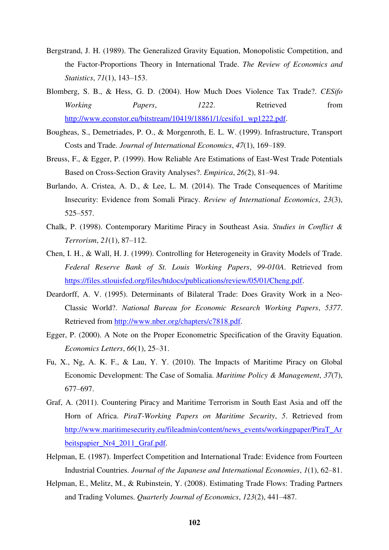- Bergstrand, J. H. (1989). The Generalized Gravity Equation, Monopolistic Competition, and the Factor-Proportions Theory in International Trade. *The Review of Economics and Statistics*, *71*(1), 143–153.
- Blomberg, S. B., & Hess, G. D. (2004). How Much Does Violence Tax Trade?. *CESifo Working Papers*, *1222*. Retrieved from [http://www.econstor.eu/bitstream/10419/18861/1/cesifo1\\_wp1222.pdf.](http://www.econstor.eu/bitstream/10419/18861/1/cesifo1_wp1222.pdf)
- Bougheas, S., Demetriades, P. O., & Morgenroth, E. L. W. (1999). Infrastructure, Transport Costs and Trade. *Journal of International Economics*, *47*(1), 169–189.
- Breuss, F., & Egger, P. (1999). How Reliable Are Estimations of East-West Trade Potentials Based on Cross-Section Gravity Analyses?. *Empirica*, *26*(2), 81–94.
- Burlando, A. Cristea, A. D., & Lee, L. M. (2014). The Trade Consequences of Maritime Insecurity: Evidence from Somali Piracy. *Review of International Economics*, *23*(3), 525–557.
- Chalk, P. (1998). Contemporary Maritime Piracy in Southeast Asia. *Studies in Conflict & Terrorism*, *21*(1), 87–112.
- Chen, I. H., & Wall, H. J. (1999). Controlling for Heterogeneity in Gravity Models of Trade. *Federal Reserve Bank of St. Louis Working Papers*, *99-010A*. Retrieved from [https://files.stlouisfed.org/files/htdocs/publications/review/05/01/Cheng.pdf.](https://files.stlouisfed.org/files/htdocs/publications/review/05/01/Cheng.pdf)
- Deardorff, A. V. (1995). Determinants of Bilateral Trade: Does Gravity Work in a Neo-Classic World?. *National Bureau for Economic Research Working Papers*, *5377*. Retrieved from [http://www.nber.org/chapters/c7818.pdf.](http://www.nber.org/chapters/c7818.pdf)
- Egger, P. (2000). A Note on the Proper Econometric Specification of the Gravity Equation. *Economics Letters*, *66*(1), 25–31.
- Fu, X., Ng, A. K. F., & Lau, Y. Y. (2010). The Impacts of Maritime Piracy on Global Economic Development: The Case of Somalia. *Maritime Policy & Management*, *37*(7), 677–697.
- Graf, A. (2011). Countering Piracy and Maritime Terrorism in South East Asia and off the Horn of Africa. *PiraT-Working Papers on Maritime Security*, *5*. Retrieved from [http://www.maritimesecurity.eu/fileadmin/content/news\\_events/workingpaper/PiraT\\_Ar](http://www.maritimesecurity.eu/fileadmin/content/news_events/workingpaper/PiraT_Arbeitspapier_Nr4_2011_Graf.pdf) [beitspapier\\_Nr4\\_2011\\_Graf.pdf.](http://www.maritimesecurity.eu/fileadmin/content/news_events/workingpaper/PiraT_Arbeitspapier_Nr4_2011_Graf.pdf)
- Helpman, E. (1987). Imperfect Competition and International Trade: Evidence from Fourteen Industrial Countries. *Journal of the Japanese and International Economies*, *1*(1), 62–81.
- Helpman, E., Melitz, M., & Rubinstein, Y. (2008). Estimating Trade Flows: Trading Partners and Trading Volumes. *Quarterly Journal of Economics*, *123*(2), 441–487.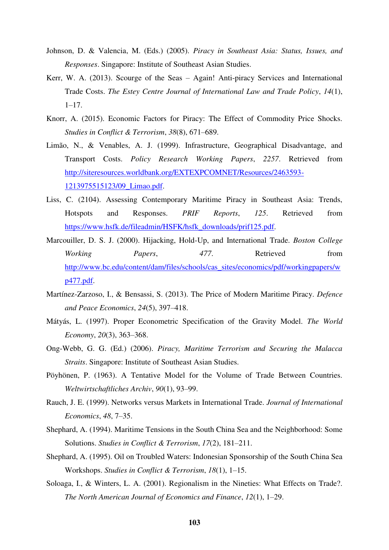- Johnson, D. & Valencia, M. (Eds.) (2005). *Piracy in Southeast Asia: Status, Issues, and Responses*. Singapore: Institute of Southeast Asian Studies.
- Kerr, W. A. (2013). Scourge of the Seas Again! Anti-piracy Services and International Trade Costs. *The Estey Centre Journal of International Law and Trade Policy*, *14*(1), 1–17.
- Knorr, A. (2015). Economic Factors for Piracy: The Effect of Commodity Price Shocks. *Studies in Conflict & Terrorism*, *38*(8), 671–689.
- Limão, N., & Venables, A. J. (1999). Infrastructure, Geographical Disadvantage, and Transport Costs. *Policy Research Working Papers*, *2257*. Retrieved from [http://siteresources.worldbank.org/EXTEXPCOMNET/Resources/2463593-](http://siteresources.worldbank.org/EXTEXPCOMNET/Resources/2463593-1213975515123/09_Limao.pdf) [1213975515123/09\\_Limao.pdf.](http://siteresources.worldbank.org/EXTEXPCOMNET/Resources/2463593-1213975515123/09_Limao.pdf)
- Liss, C. (2104). Assessing Contemporary Maritime Piracy in Southeast Asia: Trends, Hotspots and Responses. *PRIF Reports*, *125*. Retrieved from [https://www.hsfk.de/fileadmin/HSFK/hsfk\\_downloads/prif125.pdf.](https://www.hsfk.de/fileadmin/HSFK/hsfk_downloads/prif125.pdf)
- Marcouiller, D. S. J. (2000). Hijacking, Hold-Up, and International Trade. *Boston College Working Papers*, *477*. Retrieved from [http://www.bc.edu/content/dam/files/schools/cas\\_sites/economics/pdf/workingpapers/w](http://www.bc.edu/content/dam/files/schools/cas_sites/economics/pdf/workingpapers/wp477.pdf) [p477.pdf.](http://www.bc.edu/content/dam/files/schools/cas_sites/economics/pdf/workingpapers/wp477.pdf)
- Martínez-Zarzoso, I., & Bensassi, S. (2013). The Price of Modern Maritime Piracy. *Defence and Peace Economics*, *24*(5), 397–418.
- Mátyás, L. (1997). Proper Econometric Specification of the Gravity Model. *The World Economy*, *20*(3), 363–368.
- Ong-Webb, G. G. (Ed.) (2006). *Piracy, Maritime Terrorism and Securing the Malacca Straits*. Singapore: Institute of Southeast Asian Studies.
- Pöyhönen, P. (1963). A Tentative Model for the Volume of Trade Between Countries. *Weltwirtschaftliches Archiv*, *90*(1), 93–99.
- Rauch, J. E. (1999). Networks versus Markets in International Trade. *Journal of International Economics*, *48*, 7–35.
- Shephard, A. (1994). Maritime Tensions in the South China Sea and the Neighborhood: Some Solutions. *Studies in Conflict & Terrorism*, *17*(2), 181–211.
- Shephard, A. (1995). Oil on Troubled Waters: Indonesian Sponsorship of the South China Sea Workshops. *Studies in Conflict & Terrorism*, *18*(1), 1–15.
- Soloaga, I., & Winters, L. A. (2001). Regionalism in the Nineties: What Effects on Trade?. *The North American Journal of Economics and Finance*, *12*(1), 1–29.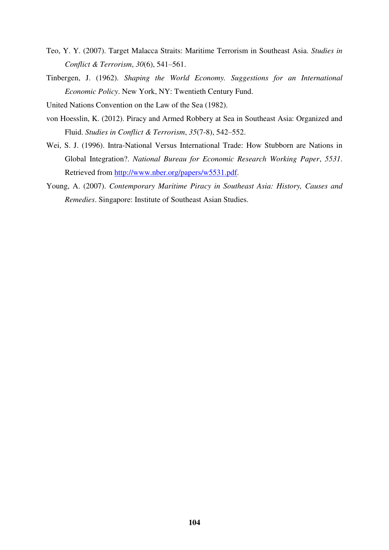- Teo, Y. Y. (2007). Target Malacca Straits: Maritime Terrorism in Southeast Asia. *Studies in Conflict & Terrorism*, *30*(6), 541–561.
- Tinbergen, J. (1962). *Shaping the World Economy. Suggestions for an International Economic Policy*. New York, NY: Twentieth Century Fund.

United Nations Convention on the Law of the Sea (1982).

- von Hoesslin, K. (2012). Piracy and Armed Robbery at Sea in Southeast Asia: Organized and Fluid. *Studies in Conflict & Terrorism*, *35*(7-8), 542–552.
- Wei, S. J. (1996). Intra-National Versus International Trade: How Stubborn are Nations in Global Integration?. *National Bureau for Economic Research Working Paper*, *5531*. Retrieved from [http://www.nber.org/papers/w5531.pdf.](http://www.nber.org/papers/w5531.pdf)
- Young, A. (2007). *Contemporary Maritime Piracy in Southeast Asia: History, Causes and Remedies*. Singapore: Institute of Southeast Asian Studies.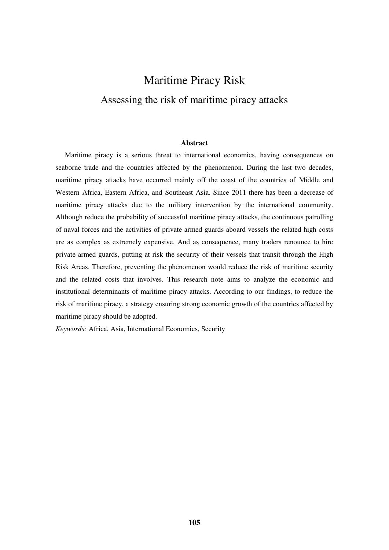# Maritime Piracy Risk Assessing the risk of maritime piracy attacks

#### **Abstract**

Maritime piracy is a serious threat to international economics, having consequences on seaborne trade and the countries affected by the phenomenon. During the last two decades, maritime piracy attacks have occurred mainly off the coast of the countries of Middle and Western Africa, Eastern Africa, and Southeast Asia. Since 2011 there has been a decrease of maritime piracy attacks due to the military intervention by the international community. Although reduce the probability of successful maritime piracy attacks, the continuous patrolling of naval forces and the activities of private armed guards aboard vessels the related high costs are as complex as extremely expensive. And as consequence, many traders renounce to hire private armed guards, putting at risk the security of their vessels that transit through the High Risk Areas. Therefore, preventing the phenomenon would reduce the risk of maritime security and the related costs that involves. This research note aims to analyze the economic and institutional determinants of maritime piracy attacks. According to our findings, to reduce the risk of maritime piracy, a strategy ensuring strong economic growth of the countries affected by maritime piracy should be adopted.

*Keywords:* Africa, Asia, International Economics, Security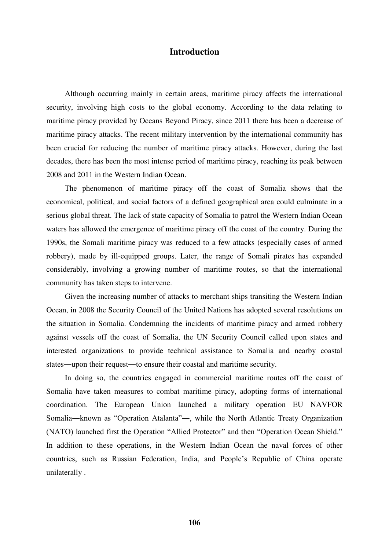# **Introduction**

Although occurring mainly in certain areas, maritime piracy affects the international security, involving high costs to the global economy. According to the data relating to maritime piracy provided by Oceans Beyond Piracy, since 2011 there has been a decrease of maritime piracy attacks. The recent military intervention by the international community has been crucial for reducing the number of maritime piracy attacks. However, during the last decades, there has been the most intense period of maritime piracy, reaching its peak between 2008 and 2011 in the Western Indian Ocean.

The phenomenon of maritime piracy off the coast of Somalia shows that the economical, political, and social factors of a defined geographical area could culminate in a serious global threat. The lack of state capacity of Somalia to patrol the Western Indian Ocean waters has allowed the emergence of maritime piracy off the coast of the country. During the 1990s, the Somali maritime piracy was reduced to a few attacks (especially cases of armed robbery), made by ill-equipped groups. Later, the range of Somali pirates has expanded considerably, involving a growing number of maritime routes, so that the international community has taken steps to intervene.

Given the increasing number of attacks to merchant ships transiting the Western Indian Ocean, in 2008 the Security Council of the United Nations has adopted several resolutions on the situation in Somalia. Condemning the incidents of maritime piracy and armed robbery against vessels off the coast of Somalia, the UN Security Council called upon states and interested organizations to provide technical assistance to Somalia and nearby coastal states—upon their request—to ensure their coastal and maritime security.

In doing so, the countries engaged in commercial maritime routes off the coast of Somalia have taken measures to combat maritime piracy, adopting forms of international coordination. The European Union launched a military operation EU NAVFOR Somalia―known as "Operation Atalanta"―, while the North Atlantic Treaty Organization (NATO) launched first the Operation "Allied Protector" and then "Operation Ocean Shield." In addition to these operations, in the Western Indian Ocean the naval forces of other countries, such as Russian Federation, India, and People's Republic of China operate unilaterally .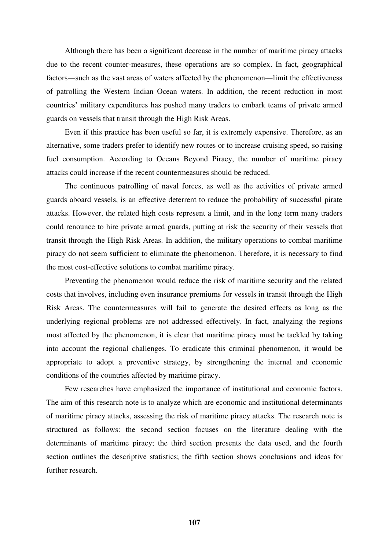Although there has been a significant decrease in the number of maritime piracy attacks due to the recent counter-measures, these operations are so complex. In fact, geographical factors―such as the vast areas of waters affected by the phenomenon―limit the effectiveness of patrolling the Western Indian Ocean waters. In addition, the recent reduction in most countries' military expenditures has pushed many traders to embark teams of private armed guards on vessels that transit through the High Risk Areas.

Even if this practice has been useful so far, it is extremely expensive. Therefore, as an alternative, some traders prefer to identify new routes or to increase cruising speed, so raising fuel consumption. According to Oceans Beyond Piracy, the number of maritime piracy attacks could increase if the recent countermeasures should be reduced.

The continuous patrolling of naval forces, as well as the activities of private armed guards aboard vessels, is an effective deterrent to reduce the probability of successful pirate attacks. However, the related high costs represent a limit, and in the long term many traders could renounce to hire private armed guards, putting at risk the security of their vessels that transit through the High Risk Areas. In addition, the military operations to combat maritime piracy do not seem sufficient to eliminate the phenomenon. Therefore, it is necessary to find the most cost-effective solutions to combat maritime piracy.

Preventing the phenomenon would reduce the risk of maritime security and the related costs that involves, including even insurance premiums for vessels in transit through the High Risk Areas. The countermeasures will fail to generate the desired effects as long as the underlying regional problems are not addressed effectively. In fact, analyzing the regions most affected by the phenomenon, it is clear that maritime piracy must be tackled by taking into account the regional challenges. To eradicate this criminal phenomenon, it would be appropriate to adopt a preventive strategy, by strengthening the internal and economic conditions of the countries affected by maritime piracy.

Few researches have emphasized the importance of institutional and economic factors. The aim of this research note is to analyze which are economic and institutional determinants of maritime piracy attacks, assessing the risk of maritime piracy attacks. The research note is structured as follows: the second section focuses on the literature dealing with the determinants of maritime piracy; the third section presents the data used, and the fourth section outlines the descriptive statistics; the fifth section shows conclusions and ideas for further research.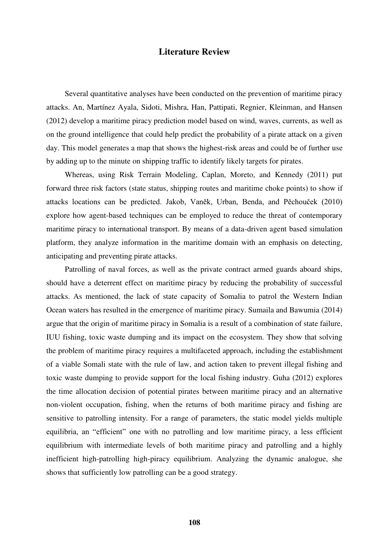### **Literature Review**

Several quantitative analyses have been conducted on the prevention of maritime piracy attacks. An, Martínez Ayala, Sidoti, Mishra, Han, Pattipati, Regnier, Kleinman, and Hansen (2012) develop a maritime piracy prediction model based on wind, waves, currents, as well as on the ground intelligence that could help predict the probability of a pirate attack on a given day. This model generates a map that shows the highest-risk areas and could be of further use by adding up to the minute on shipping traffic to identify likely targets for pirates.

Whereas, using Risk Terrain Modeling, Caplan, Moreto, and Kennedy (2011) put forward three risk factors (state status, shipping routes and maritime choke points) to show if attacks locations can be predicted. Jakob, Vaněk, Urban, Benda, and Pěchouček (2010) explore how agent-based techniques can be employed to reduce the threat of contemporary maritime piracy to international transport. By means of a data-driven agent based simulation platform, they analyze information in the maritime domain with an emphasis on detecting, anticipating and preventing pirate attacks.

Patrolling of naval forces, as well as the private contract armed guards aboard ships, should have a deterrent effect on maritime piracy by reducing the probability of successful attacks. As mentioned, the lack of state capacity of Somalia to patrol the Western Indian Ocean waters has resulted in the emergence of maritime piracy. Sumaila and Bawumia (2014) argue that the origin of maritime piracy in Somalia is a result of a combination of state failure, IUU fishing, toxic waste dumping and its impact on the ecosystem. They show that solving the problem of maritime piracy requires a multifaceted approach, including the establishment of a viable Somali state with the rule of law, and action taken to prevent illegal fishing and toxic waste dumping to provide support for the local fishing industry. Guha (2012) explores the time allocation decision of potential pirates between maritime piracy and an alternative non-violent occupation, fishing, when the returns of both maritime piracy and fishing are sensitive to patrolling intensity. For a range of parameters, the static model yields multiple equilibria, an "efficient" one with no patrolling and low maritime piracy, a less efficient equilibrium with intermediate levels of both maritime piracy and patrolling and a highly inefficient high-patrolling high-piracy equilibrium. Analyzing the dynamic analogue, she shows that sufficiently low patrolling can be a good strategy.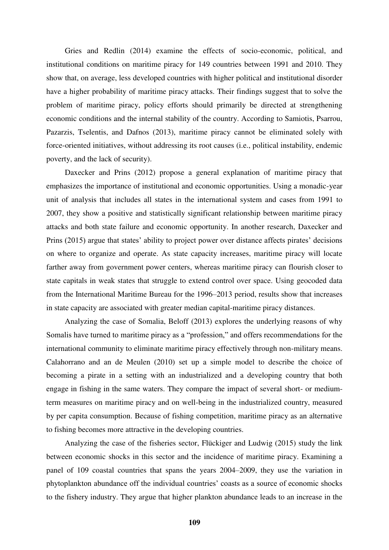Gries and Redlin (2014) examine the effects of socio-economic, political, and institutional conditions on maritime piracy for 149 countries between 1991 and 2010. They show that, on average, less developed countries with higher political and institutional disorder have a higher probability of maritime piracy attacks. Their findings suggest that to solve the problem of maritime piracy, policy efforts should primarily be directed at strengthening economic conditions and the internal stability of the country. According to Samiotis, Psarrou, Pazarzis, Tselentis, and Dafnos (2013), maritime piracy cannot be eliminated solely with force-oriented initiatives, without addressing its root causes (i.e., political instability, endemic poverty, and the lack of security).

Daxecker and Prins (2012) propose a general explanation of maritime piracy that emphasizes the importance of institutional and economic opportunities. Using a monadic-year unit of analysis that includes all states in the international system and cases from 1991 to 2007, they show a positive and statistically significant relationship between maritime piracy attacks and both state failure and economic opportunity. In another research, Daxecker and Prins (2015) argue that states' ability to project power over distance affects pirates' decisions on where to organize and operate. As state capacity increases, maritime piracy will locate farther away from government power centers, whereas maritime piracy can flourish closer to state capitals in weak states that struggle to extend control over space. Using geocoded data from the International Maritime Bureau for the 1996–2013 period, results show that increases in state capacity are associated with greater median capital-maritime piracy distances.

Analyzing the case of Somalia, Beloff (2013) explores the underlying reasons of why Somalis have turned to maritime piracy as a "profession," and offers recommendations for the international community to eliminate maritime piracy effectively through non-military means. Calahorrano and an de Meulen (2010) set up a simple model to describe the choice of becoming a pirate in a setting with an industrialized and a developing country that both engage in fishing in the same waters. They compare the impact of several short- or mediumterm measures on maritime piracy and on well-being in the industrialized country, measured by per capita consumption. Because of fishing competition, maritime piracy as an alternative to fishing becomes more attractive in the developing countries.

Analyzing the case of the fisheries sector, Flückiger and Ludwig (2015) study the link between economic shocks in this sector and the incidence of maritime piracy. Examining a panel of 109 coastal countries that spans the years 2004–2009, they use the variation in phytoplankton abundance off the individual countries' coasts as a source of economic shocks to the fishery industry. They argue that higher plankton abundance leads to an increase in the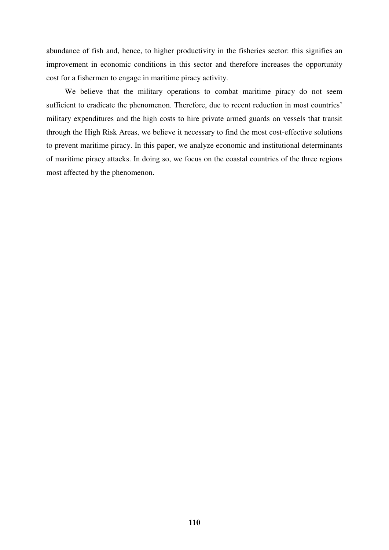abundance of fish and, hence, to higher productivity in the fisheries sector: this signifies an improvement in economic conditions in this sector and therefore increases the opportunity cost for a fishermen to engage in maritime piracy activity.

We believe that the military operations to combat maritime piracy do not seem sufficient to eradicate the phenomenon. Therefore, due to recent reduction in most countries' military expenditures and the high costs to hire private armed guards on vessels that transit through the High Risk Areas, we believe it necessary to find the most cost-effective solutions to prevent maritime piracy. In this paper, we analyze economic and institutional determinants of maritime piracy attacks. In doing so, we focus on the coastal countries of the three regions most affected by the phenomenon.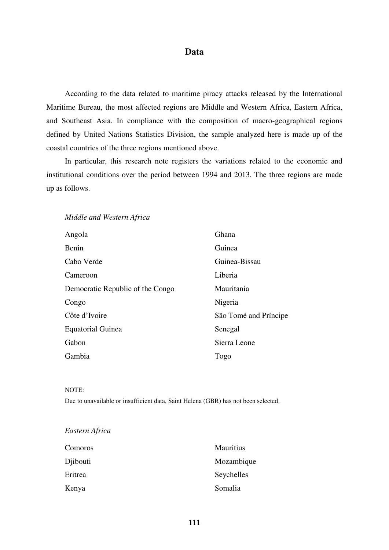## **Data**

According to the data related to maritime piracy attacks released by the International Maritime Bureau, the most affected regions are Middle and Western Africa, Eastern Africa, and Southeast Asia. In compliance with the composition of macro-geographical regions defined by United Nations Statistics Division, the sample analyzed here is made up of the coastal countries of the three regions mentioned above.

In particular, this research note registers the variations related to the economic and institutional conditions over the period between 1994 and 2013. The three regions are made up as follows.

| Ghana                 |
|-----------------------|
| Guinea                |
| Guinea-Bissau         |
| Liberia               |
| Mauritania            |
| Nigeria               |
| São Tomé and Príncipe |
| Senegal               |
| Sierra Leone          |
| Togo                  |
|                       |

NOTE:

Due to unavailable or insufficient data, Saint Helena (GBR) has not been selected.

#### *Eastern Africa*

*Middle and Western Africa*

| Comoros  | <b>Mauritius</b> |
|----------|------------------|
| Djibouti | Mozambique       |
| Eritrea  | Seychelles       |
| Kenya    | Somalia          |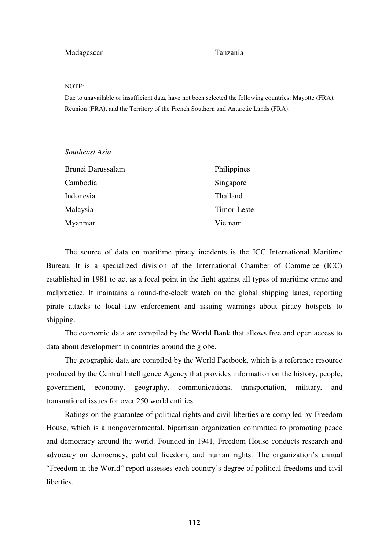#### Madagascar Tanzania

#### NOTE:

Due to unavailable or insufficient data, have not been selected the following countries: Mayotte (FRA), Réunion (FRA), and the Territory of the French Southern and Antarctic Lands (FRA).

#### *Southeast Asia*

| <b>Brunei Darussalam</b> | Philippines |
|--------------------------|-------------|
| Cambodia                 | Singapore   |
| Indonesia                | Thailand    |
| Malaysia                 | Timor-Leste |
| Myanmar                  | Vietnam     |

The source of data on maritime piracy incidents is the ICC International Maritime Bureau. It is a specialized division of the International Chamber of Commerce (ICC) established in 1981 to act as a focal point in the fight against all types of maritime crime and malpractice. It maintains a round-the-clock watch on the global shipping lanes, reporting pirate attacks to local law enforcement and issuing warnings about piracy hotspots to shipping.

The economic data are compiled by the World Bank that allows free and open access to data about development in countries around the globe.

The geographic data are compiled by the World Factbook, which is a reference resource produced by the Central Intelligence Agency that provides information on the history, people, government, economy, geography, communications, transportation, military, and transnational issues for over 250 world entities.

Ratings on the guarantee of political rights and civil liberties are compiled by Freedom House, which is a nongovernmental, bipartisan organization committed to promoting peace and democracy around the world. Founded in 1941, Freedom House conducts research and advocacy on democracy, political freedom, and human rights. The organization's annual "Freedom in the World" report assesses each country's degree of political freedoms and civil liberties.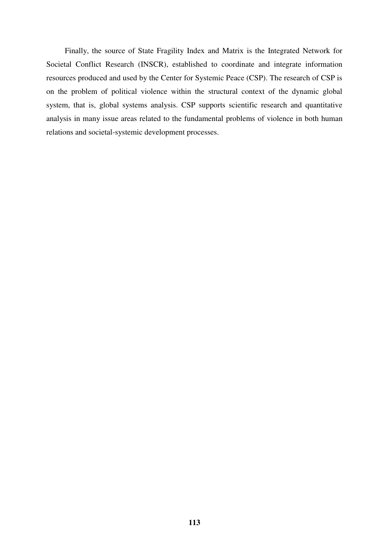Finally, the source of State Fragility Index and Matrix is the Integrated Network for Societal Conflict Research (INSCR), established to coordinate and integrate information resources produced and used by the Center for Systemic Peace (CSP). The research of CSP is on the problem of political violence within the structural context of the dynamic global system, that is, global systems analysis. CSP supports scientific research and quantitative analysis in many issue areas related to the fundamental problems of violence in both human relations and societal-systemic development processes.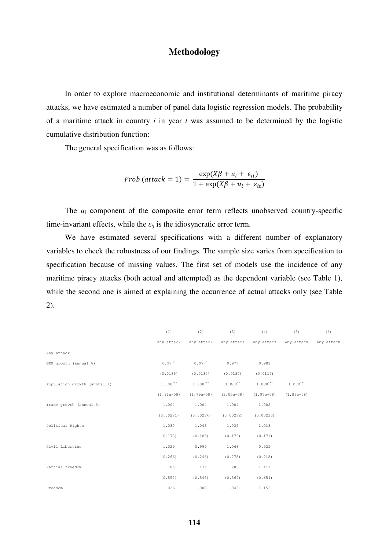## **Methodology**

In order to explore macroeconomic and institutional determinants of maritime piracy attacks, we have estimated a number of panel data logistic regression models. The probability of a maritime attack in country *i* in year *t* was assumed to be determined by the logistic cumulative distribution function:

The general specification was as follows:

$$
Prob (attack = 1) = \frac{\exp(X\beta + u_i + \varepsilon_{it})}{1 + \exp(X\beta + u_i + \varepsilon_{it})}
$$

The  $u_i$  component of the composite error term reflects unobserved country-specific time-invariant effects, while the  $\varepsilon_{ij}$  is the idiosyncratic error term.

We have estimated several specifications with a different number of explanatory variables to check the robustness of our findings. The sample size varies from specification to specification because of missing values. The first set of models use the incidence of any maritime piracy attacks (both actual and attempted) as the dependent variable (see Table 1), while the second one is aimed at explaining the occurrence of actual attacks only (see Table 2).

|                              | (1)                  | (2)                  | (3)                   | (4)          | (5)          | (6)        |
|------------------------------|----------------------|----------------------|-----------------------|--------------|--------------|------------|
|                              | Any attack           | Any attack           | Any attack            | Any attack   | Any attack   | Any attack |
| Any attack                   |                      |                      |                       |              |              |            |
| GDP growth (annual %)        | $0.977$ <sup>*</sup> | $0.977$ <sup>*</sup> | 0.977                 | 0.981        |              |            |
|                              | (0.0135)             | (0.0134)             | (0.0137)              | (0.0117)     |              |            |
| Population growth (annual %) | $1.000***$           | $1.000***$           | $1.000$ <sup>**</sup> | $1.000***$   | $1.000***$   |            |
|                              | $(1.91e-08)$         | $(1.79e-08)$         | $(2.05e-08)$          | $(1.97e-08)$ | $(1.89e-08)$ |            |
| Trade growth (annual %)      | 1.004                | 1.004                | 1.004                 | 1.002        |              |            |
|                              | (0.00271)            | (0.00274)            | (0.00272)             | (0.00233)    |              |            |
| Political Rights             | 1.030                | 1.043                | 1.035                 | 1.018        |              |            |
|                              | (0.173)              | (0.183)              | (0.176)               | (0.171)      |              |            |
| Civil Liberties              | 1.029                | 0.999                | 1.066                 | 0.925        |              |            |
|                              | (0.266)              | (0.246)              | (0.278)               | (0.218)      |              |            |
| Partial freedom              | 1.185                | 1.175                | 1.203                 | 1.411        |              |            |
|                              | (0.552)              | (0.545)              | (0.569)               | (0.654)      |              |            |
| Freedom                      | 1.026                | 1.008                | 1.042                 | 1.152        |              |            |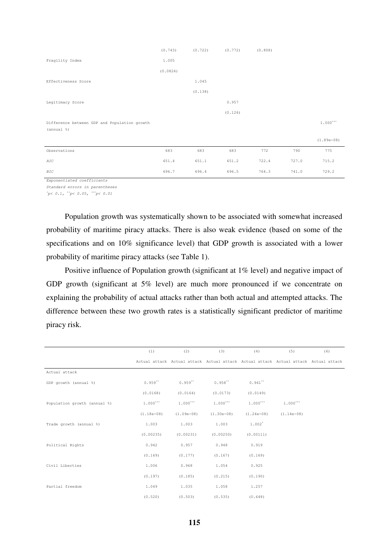|                                              | (0.743)  | (0.722) | (0.772) | (0.808) |       |              |
|----------------------------------------------|----------|---------|---------|---------|-------|--------------|
| Fragility Index                              | 1.005    |         |         |         |       |              |
|                                              | (0.0824) |         |         |         |       |              |
| Effectiveness Score                          |          | 1.045   |         |         |       |              |
|                                              |          | (0.138) |         |         |       |              |
| Legitimacy Score                             |          |         | 0.957   |         |       |              |
|                                              |          |         | (0.126) |         |       |              |
| Difference between GDP and Population growth |          |         |         |         |       | $1.000***$   |
| (annual %)                                   |          |         |         |         |       |              |
|                                              |          |         |         |         |       | $(1.89e-08)$ |
| Observations                                 | 683      | 683     | 683     | 772     | 790   | 775          |
| AIC                                          | 651.4    | 651.1   | 651.2   | 722.4   | 727.0 | 715.2        |
| BIC                                          | 696.7    | 696.4   | 696.5   | 764.3   | 741.0 | 729.2        |

*Standard errors in parentheses* 

*\*p< 0.1, \*\*p< 0.05, \*\*\*p< 0.01* 

Population growth was systematically shown to be associated with somewhat increased probability of maritime piracy attacks. There is also weak evidence (based on some of the specifications and on 10% significance level) that GDP growth is associated with a lower probability of maritime piracy attacks (see Table 1).

Positive influence of Population growth (significant at 1% level) and negative impact of GDP growth (significant at 5% level) are much more pronounced if we concentrate on explaining the probability of actual attacks rather than both actual and attempted attacks. The difference between these two growth rates is a statistically significant predictor of maritime piracy risk.

|                              | (1)                   | (2)                                                                                 | (3)                   | (4)                   | (5)          | (6) |
|------------------------------|-----------------------|-------------------------------------------------------------------------------------|-----------------------|-----------------------|--------------|-----|
|                              |                       | Actual attack Actual attack Actual attack Actual attack Actual attack Actual attack |                       |                       |              |     |
| Actual attack                |                       |                                                                                     |                       |                       |              |     |
| GDP growth (annual %)        | $0.959$ <sup>**</sup> | $0.959$ <sup>**</sup>                                                               | $0.958$ <sup>**</sup> | $0.961$ <sup>**</sup> |              |     |
|                              | (0.0168)              | (0.0164)                                                                            | (0.0173)              | (0.0149)              |              |     |
| Population growth (annual %) | $1.000***$            | $1.000***$                                                                          | $1.000***$            | $1.000***$            | $1.000***$   |     |
|                              | $(1.18e-08)$          | $(1.09e-08)$                                                                        | $(1.30e-08)$          | $(1.24e-08)$          | $(1.14e-08)$ |     |
| Trade growth (annual %)      | 1.003                 | 1.003                                                                               | 1.003                 | $1.002^*$             |              |     |
|                              | (0.00235)             | (0.00231)                                                                           | (0.00250)             | (0.00111)             |              |     |
| Political Rights             | 0.942                 | 0.957                                                                               | 0.948                 | 0.919                 |              |     |
|                              | (0.169)               | (0.177)                                                                             | (0.167)               | (0.169)               |              |     |
| Civil Liberties              | 1.006                 | 0.968                                                                               | 1.054                 | 0.925                 |              |     |
|                              | (0.197)               | (0.185)                                                                             | (0.215)               | (0.190)               |              |     |
| Partial freedom              | 1.049                 | 1.035                                                                               | 1.058                 | 1.257                 |              |     |
|                              | (0.520)               | (0.503)                                                                             | (0.535)               | (0.648)               |              |     |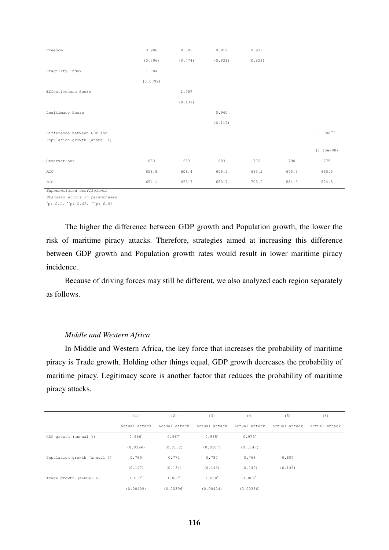| Freedom                      | 0.906    | 0.886   | 0.912   | 0.975   |       |              |
|------------------------------|----------|---------|---------|---------|-------|--------------|
|                              | (0.796)  | (0.774) | (0.831) | (0.824) |       |              |
| Fragility Index              | 1.004    |         |         |         |       |              |
|                              | (0.0799) |         |         |         |       |              |
| Effectiveness Score          |          | 1.057   |         |         |       |              |
|                              |          | (0.137) |         |         |       |              |
| Legitimacy Score             |          |         | 0.940   |         |       |              |
|                              |          |         | (0.117) |         |       |              |
| Difference between GDP and   |          |         |         |         |       | $1.000***$   |
| Population growth (annual %) |          |         |         |         |       |              |
|                              |          |         |         |         |       | $(1.13e-08)$ |
| Observations                 | 683      | 683     | 683     | 772     | 790   | 775          |
| $\mathit{AIC}$               | 608.8    | 608.4   | 608.5   | 663.2   | 670.9 | 660.5        |
| $BIC$                        | 654.1    | 653.7   | 653.7   | 705.0   | 684.9 | 674.5        |

*Standard errors in parentheses* 

*\*p< 0.1, \*\*p< 0.05, \*\*\*p< 0.01* 

The higher the difference between GDP growth and Population growth, the lower the risk of maritime piracy attacks. Therefore, strategies aimed at increasing this difference between GDP growth and Population growth rates would result in lower maritime piracy incidence.

Because of driving forces may still be different, we also analyzed each region separately as follows.

#### *Middle and Western Africa*

In Middle and Western Africa, the key force that increases the probability of maritime piracy is Trade growth. Holding other things equal, GDP growth decreases the probability of maritime piracy. Legitimacy score is another factor that reduces the probability of maritime piracy attacks.

|                              | (1)           | (2)                  | (3)                  | (4)                                                     | (5)     | (6)           |
|------------------------------|---------------|----------------------|----------------------|---------------------------------------------------------|---------|---------------|
|                              | Actual attack |                      |                      | Actual attack Actual attack Actual attack Actual attack |         | Actual attack |
| GDP growth (annual %)        | $0.966^{*}$   | $0.967$ <sup>*</sup> | $0.965$ <sup>*</sup> | $0.973^{*}$                                             |         |               |
|                              | (0.0194)      | (0.0182)             | (0.0187)             | (0.0147)                                                |         |               |
| Population growth (annual %) | 0.789         | 0.772                | 0.787                | 0.768                                                   | 0.807   |               |
|                              | (0.147)       | (0.134)              | (0.146)              | (0.149)                                                 | (0.145) |               |
| Trade growth (annual %)      | $1.007*$      | $1.007*$             | 1,008*               | $1.006*$                                                |         |               |
|                              | (0.00409)     | (0.00396)            | (0.00424)            | (0.00336)                                               |         |               |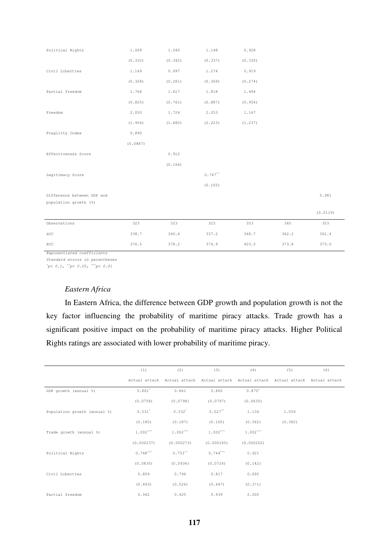| Political Rights                                    | 1.069    | 1.040   | 1.148                 | 0.928   |       |          |
|-----------------------------------------------------|----------|---------|-----------------------|---------|-------|----------|
|                                                     | (0.332)  | (0.342) | (0.337)               | (0.330) |       |          |
| Civil Liberties                                     | 1.149    | 0.997   | 1.274                 | 0.919   |       |          |
|                                                     | (0.328)  | (0.281) | (0.369)               | (0.274) |       |          |
| Partial freedom                                     | 1.766    | 1.617   | 1.818                 | 1.494   |       |          |
|                                                     | (0.825)  | (0.761) | (0.887)               | (0.954) |       |          |
| Freedom                                             | 2.050    | 1.724   | 2.253                 | 1.147   |       |          |
|                                                     | (1.954)  | (1.680) | (2.223)               | (1.237) |       |          |
| Fragility Index                                     | 0.890    |         |                       |         |       |          |
|                                                     | (0.0887) |         |                       |         |       |          |
| Effectiveness Score                                 |          | 0.912   |                       |         |       |          |
|                                                     |          | (0.164) |                       |         |       |          |
| Legitimacy Score                                    |          |         | $0.747$ <sup>**</sup> |         |       |          |
|                                                     |          |         | (0.105)               |         |       |          |
| Difference between GDP and<br>population growth (%) |          |         |                       |         |       | 0.981    |
|                                                     |          |         |                       |         |       | (0.0119) |
| Observations                                        | 323      | 323     | 323                   | 353     | 360   | 353      |
| $\mathit{AIC}$                                      | 338.7    | 340.4   | 337.2                 | 368.7   | 362.2 | 361.4    |
| $BIC$                                               | 376.5    | 378.2   | 374.9                 | 403.5   | 373.8 | 373.0    |

*Standard errors in parentheses* 

*\*p< 0.1, \*\*p< 0.05, \*\*\*p< 0.01* 

## *Eastern Africa*

In Eastern Africa, the difference between GDP growth and population growth is not the key factor influencing the probability of maritime piracy attacks. Trade growth has a significant positive impact on the probability of maritime piracy attacks. Higher Political Rights ratings are associated with lower probability of maritime piracy.

|                              | (1)        | (2)                   | (3)                   | (4)         | (5)                                                                                 | (6) |
|------------------------------|------------|-----------------------|-----------------------|-------------|-------------------------------------------------------------------------------------|-----|
|                              |            |                       |                       |             | Actual attack Actual attack Actual attack Actual attack Actual attack Actual attack |     |
| GDP growth (annual %)        | $0.861*$   | 0.861                 | 0.860                 | $0.870^{*}$ |                                                                                     |     |
|                              | (0.0758)   | (0.0798)              | (0.0797)              | (0.0635)    |                                                                                     |     |
| Population growth (annual %) | $0.531*$   | $0.532^{*}$           | $0.527$ <sup>**</sup> | 1.134       | 1.059                                                                               |     |
|                              | (0.180)    | (0.187)               | (0.165)               | (0.562)     | (0.382)                                                                             |     |
| Trade growth (annual %)      | $1.002***$ | $1.002***$            | $1.002***$            | $1.002***$  |                                                                                     |     |
|                              | (0.000237) | (0.000273)            | (0.000185)            | (0.000202)  |                                                                                     |     |
| Political Rights             | $0.748***$ | $0.753$ <sup>**</sup> | $0.744***$            | 0.921       |                                                                                     |     |
|                              | (0.0830)   | (0.0936)              | (0.0724)              | (0.142)     |                                                                                     |     |
| Civil Liberties              | 0.809      | 0.796                 | 0.817                 | 0.695       |                                                                                     |     |
|                              | (0.493)    | (0.526)               | (0.447)               | (0.371)     |                                                                                     |     |
| Partial freedom              | 0.942      | 0.925                 | 0.939                 | 2.000       |                                                                                     |     |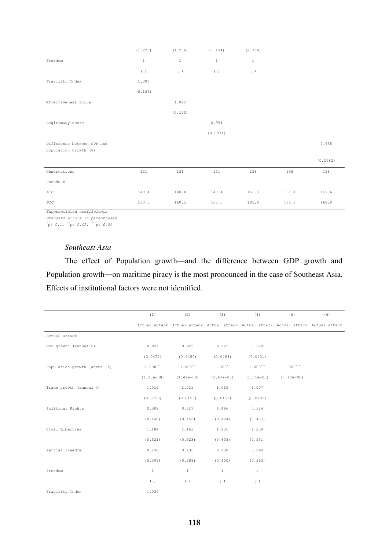|                            | (1.223) | (1.236)      | (1.194)      | (2.764)      |       |          |
|----------------------------|---------|--------------|--------------|--------------|-------|----------|
| Freedom                    | $\,1\,$ | $\mathbf{1}$ | $\mathbf{1}$ | $\mathbf{1}$ |       |          |
|                            | ( . )   | ( . )        | $($ .)       | ( . )        |       |          |
| Fragility Index            | 1.006   |              |              |              |       |          |
|                            | (0.105) |              |              |              |       |          |
| Effectiveness Score        |         | 1.022        |              |              |       |          |
|                            |         | (0.190)      |              |              |       |          |
| Legitimacy Score           |         |              | 0.994        |              |       |          |
|                            |         |              | (0.0874)     |              |       |          |
| Difference between GDP and |         |              |              |              |       | 0.935    |
| population growth (%)      |         |              |              |              |       |          |
|                            |         |              |              |              |       | (0.0582) |
| Observations               | 131     | 131          | 131          | 158          | 158   | 158      |
| Pseudo $R^2$               |         |              |              |              |       |          |
| $\mathit{AIC}$             | 140.4   | 140.4        | 140.4        | 161.3        | 161.4 | 159.6    |
| $BIC$                      | 160.5   | 160.5        | 160.5        | 185.8        | 170.6 | 168.8    |

*Standard errors in parentheses* 

*\*p< 0.1, \*\*p< 0.05, \*\*\*p< 0.01* 

#### *Southeast Asia*

The effect of Population growth―and the difference between GDP growth and Population growth―on maritime piracy is the most pronounced in the case of Southeast Asia. Effects of institutional factors were not identified.

|                              | (1)          | (2)                                                                                 | (3)                   | (4)          | (5)          | (6) |
|------------------------------|--------------|-------------------------------------------------------------------------------------|-----------------------|--------------|--------------|-----|
|                              |              | Actual attack Actual attack Actual attack Actual attack Actual attack Actual attack |                       |              |              |     |
| Actual attack                |              |                                                                                     |                       |              |              |     |
| GDP growth (annual %)        | 0.924        | 0.923                                                                               | 0.925                 | 0.928        |              |     |
|                              | (0.0472)     | (0.0450)                                                                            | (0.0453)              | (0.0431)     |              |     |
| Population growth (annual %) | $1.000***$   | $1.000**$                                                                           | $1.000$ <sup>**</sup> | $1.000***$   | $1.000***$   |     |
|                              | $(1.20e-08)$ | $(1.42e-08)$                                                                        | $(1.67e-08)$          | $(1.15e-08)$ | $(1.12e-08)$ |     |
| Trade growth (annual %)      | 1.015        | 1.015                                                                               | 1.016                 | 1.007        |              |     |
|                              | (0.0153)     | (0.0156)                                                                            | (0.0151)              | (0.0135)     |              |     |
| Political Rights             | 0.509        | 0.517                                                                               | 0.496                 | 0.524        |              |     |
|                              | (0.440)      | (0.452)                                                                             | (0.424)               | (0.433)      |              |     |
| Civil Liberties              | 1.184        | 1.163                                                                               | 1.235                 | 1.239        |              |     |
|                              | (0.521)      | (0.523)                                                                             | (0.605)               | (0.551)      |              |     |
| Partial freedom              | 0.236        | 0.236                                                                               | 0.230                 | 0.260        |              |     |
|                              | (0.399)      | (0.388)                                                                             | (0.400)               | (0.363)      |              |     |
| Freedom                      | $\mathbf{1}$ | $\mathbf{1}$                                                                        | $\mathbf{1}$          | $\mathbf{1}$ |              |     |
|                              | ( . )        | $($ .)                                                                              | $($ .)                | $(\cdot)$    |              |     |
| Fragility Index              | 1.034        |                                                                                     |                       |              |              |     |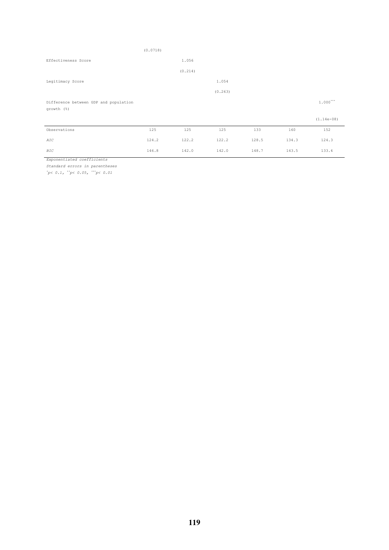|                                       | (0.0718) |         |         |       |       |              |
|---------------------------------------|----------|---------|---------|-------|-------|--------------|
| Effectiveness Score                   |          | 1.056   |         |       |       |              |
|                                       |          | (0.214) |         |       |       |              |
| Legitimacy Score                      |          |         | 1.054   |       |       |              |
|                                       |          |         | (0.263) |       |       |              |
| Difference between GDP and population |          |         |         |       |       | $1.000***$   |
| growth (%)                            |          |         |         |       |       |              |
|                                       |          |         |         |       |       | $(1.14e-08)$ |
| Observations                          | 125      | 125     | 125     | 133   | 160   | 152          |
| AIC                                   | 124.2    | 122.2   | 122.2   | 128.5 | 134.3 | 124.3        |
| $BIC$                                 | 146.8    | 142.0   | 142.0   | 148.7 | 143.5 | 133.4        |

*Standard errors in parentheses* 

*\*p< 0.1, \*\*p< 0.05, \*\*\*p< 0.01*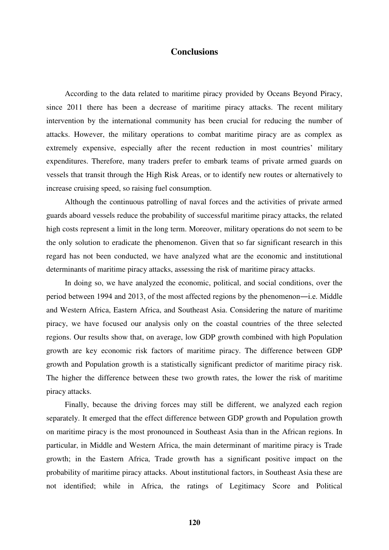# **Conclusions**

According to the data related to maritime piracy provided by Oceans Beyond Piracy, since 2011 there has been a decrease of maritime piracy attacks. The recent military intervention by the international community has been crucial for reducing the number of attacks. However, the military operations to combat maritime piracy are as complex as extremely expensive, especially after the recent reduction in most countries' military expenditures. Therefore, many traders prefer to embark teams of private armed guards on vessels that transit through the High Risk Areas, or to identify new routes or alternatively to increase cruising speed, so raising fuel consumption.

Although the continuous patrolling of naval forces and the activities of private armed guards aboard vessels reduce the probability of successful maritime piracy attacks, the related high costs represent a limit in the long term. Moreover, military operations do not seem to be the only solution to eradicate the phenomenon. Given that so far significant research in this regard has not been conducted, we have analyzed what are the economic and institutional determinants of maritime piracy attacks, assessing the risk of maritime piracy attacks.

In doing so, we have analyzed the economic, political, and social conditions, over the period between 1994 and 2013, of the most affected regions by the phenomenon―i.e. Middle and Western Africa, Eastern Africa, and Southeast Asia. Considering the nature of maritime piracy, we have focused our analysis only on the coastal countries of the three selected regions. Our results show that, on average, low GDP growth combined with high Population growth are key economic risk factors of maritime piracy. The difference between GDP growth and Population growth is a statistically significant predictor of maritime piracy risk. The higher the difference between these two growth rates, the lower the risk of maritime piracy attacks.

Finally, because the driving forces may still be different, we analyzed each region separately. It emerged that the effect difference between GDP growth and Population growth on maritime piracy is the most pronounced in Southeast Asia than in the African regions. In particular, in Middle and Western Africa, the main determinant of maritime piracy is Trade growth; in the Eastern Africa, Trade growth has a significant positive impact on the probability of maritime piracy attacks. About institutional factors, in Southeast Asia these are not identified; while in Africa, the ratings of Legitimacy Score and Political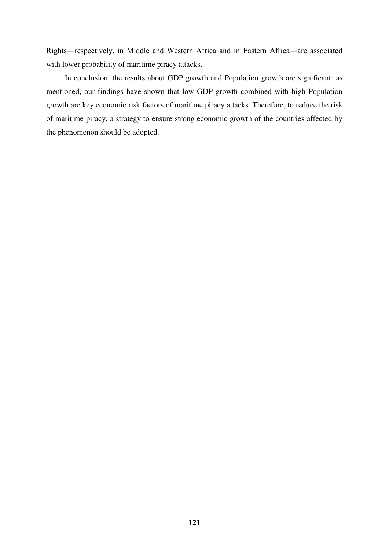Rights―respectively, in Middle and Western Africa and in Eastern Africa―are associated with lower probability of maritime piracy attacks.

In conclusion, the results about GDP growth and Population growth are significant: as mentioned, our findings have shown that low GDP growth combined with high Population growth are key economic risk factors of maritime piracy attacks. Therefore, to reduce the risk of maritime piracy, a strategy to ensure strong economic growth of the countries affected by the phenomenon should be adopted.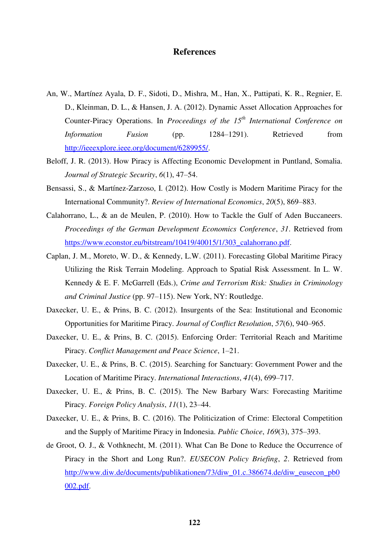## **References**

- An, W., Martínez Ayala, D. F., Sidoti, D., Mishra, M., Han, X., Pattipati, K. R., Regnier, E. D., Kleinman, D. L., & Hansen, J. A. (2012). Dynamic Asset Allocation Approaches for Counter-Piracy Operations. In *Proceedings of the 15th International Conference on Information Fusion* (pp. 1284–1291). Retrieved from [http://ieeexplore.ieee.org/document/6289955/.](http://ieeexplore.ieee.org/document/6289955/)
- Beloff, J. R. (2013). How Piracy is Affecting Economic Development in Puntland, Somalia. *Journal of Strategic Security*, *6*(1), 47–54.
- Bensassi, S., & Martínez-Zarzoso, I. (2012). How Costly is Modern Maritime Piracy for the International Community?. *Review of International Economics*, *20*(5), 869–883.
- Calahorrano, L., & an de Meulen, P. (2010). How to Tackle the Gulf of Aden Buccaneers. *Proceedings of the German Development Economics Conference*, *31*. Retrieved from [https://www.econstor.eu/bitstream/10419/40015/1/303\\_calahorrano.pdf.](https://www.econstor.eu/bitstream/10419/40015/1/303_calahorrano.pdf)
- Caplan, J. M., Moreto, W. D., & Kennedy, L.W. (2011). Forecasting Global Maritime Piracy Utilizing the Risk Terrain Modeling. Approach to Spatial Risk Assessment. In L. W. Kennedy & E. F. McGarrell (Eds.), *Crime and Terrorism Risk: Studies in Criminology and Criminal Justice* (pp. 97–115). New York, NY: Routledge.
- Daxecker, U. E., & Prins, B. C. (2012). Insurgents of the Sea: Institutional and Economic Opportunities for Maritime Piracy. *Journal of Conflict Resolution*, *57*(6), 940–965.
- Daxecker, U. E., & Prins, B. C. (2015). Enforcing Order: Territorial Reach and Maritime Piracy. *Conflict Management and Peace Science*, 1–21.
- Daxecker, U. E., & Prins, B. C. (2015). Searching for Sanctuary: Government Power and the Location of Maritime Piracy. *International Interactions*, *41*(4), 699–717.
- Daxecker, U. E., & Prins, B. C. (2015). The New Barbary Wars: Forecasting Maritime Piracy. *Foreign Policy Analysis*, *11*(1), 23–44.
- Daxecker, U. E., & Prins, B. C. (2016). The Politicization of Crime: Electoral Competition and the Supply of Maritime Piracy in Indonesia. *Public Choice*, *169*(3), 375–393.
- de Groot, O. J., & Vothknecht, M. (2011). What Can Be Done to Reduce the Occurrence of Piracy in the Short and Long Run?. *EUSECON Policy Briefing*, *2*. Retrieved from [http://www.diw.de/documents/publikationen/73/diw\\_01.c.386674.de/diw\\_eusecon\\_pb0](http://www.diw.de/documents/publikationen/73/diw_01.c.386674.de/diw_eusecon_pb0002.pdf) [002.pdf.](http://www.diw.de/documents/publikationen/73/diw_01.c.386674.de/diw_eusecon_pb0002.pdf)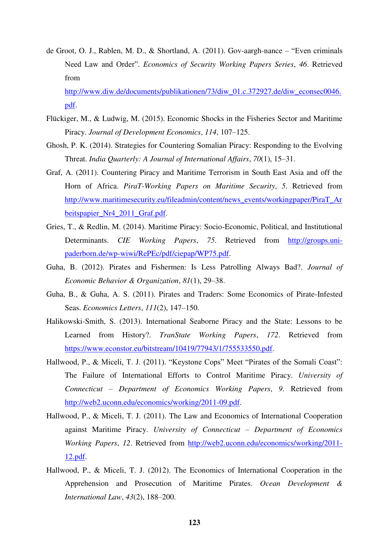de Groot, O. J., Rablen, M. D., & Shortland, A. (2011). Gov-aargh-nance – "Even criminals Need Law and Order". *Economics of Security Working Papers Series*, *46*. Retrieved from

[http://www.diw.de/documents/publikationen/73/diw\\_01.c.372927.de/diw\\_econsec0046.](http://www.diw.de/documents/publikationen/73/diw_01.c.372927.de/diw_econsec0046.pdf) [pdf.](http://www.diw.de/documents/publikationen/73/diw_01.c.372927.de/diw_econsec0046.pdf)

- Flückiger, M., & Ludwig, M. (2015). Economic Shocks in the Fisheries Sector and Maritime Piracy. *Journal of Development Economics*, *114*, 107–125.
- Ghosh, P. K. (2014). Strategies for Countering Somalian Piracy: Responding to the Evolving Threat. *India Quarterly: A Journal of International Affairs*, *70*(1), 15–31.
- Graf, A. (2011). Countering Piracy and Maritime Terrorism in South East Asia and off the Horn of Africa. *PiraT-Working Papers on Maritime Security*, *5*. Retrieved from [http://www.maritimesecurity.eu/fileadmin/content/news\\_events/workingpaper/PiraT\\_Ar](http://www.maritimesecurity.eu/fileadmin/content/news_events/workingpaper/PiraT_Arbeitspapier_Nr4_2011_Graf.pdf) [beitspapier\\_Nr4\\_2011\\_Graf.pdf.](http://www.maritimesecurity.eu/fileadmin/content/news_events/workingpaper/PiraT_Arbeitspapier_Nr4_2011_Graf.pdf)
- Gries, T., & Redlin, M. (2014). Maritime Piracy: Socio-Economic, Political, and Institutional Determinants. *CIE Working Papers*, *75*. Retrieved from [http://groups.uni](http://groups.uni-paderborn.de/wp-wiwi/RePEc/pdf/ciepap/WP75.pdf)[paderborn.de/wp-wiwi/RePEc/pdf/ciepap/WP75.pdf.](http://groups.uni-paderborn.de/wp-wiwi/RePEc/pdf/ciepap/WP75.pdf)
- Guha, B. (2012). Pirates and Fishermen: Is Less Patrolling Always Bad?. *Journal of Economic Behavior & Organization*, *81*(1), 29–38.
- Guha, B., & Guha, A. S. (2011). Pirates and Traders: Some Economics of Pirate-Infested Seas. *Economics Letters*, *111*(2), 147–150.
- Halikowski-Smith, S. (2013). International Seaborne Piracy and the State: Lessons to be Learned from History?. *TranState Working Papers*, *172*. Retrieved from [https://www.econstor.eu/bitstream/10419/77943/1/755533550.pdf.](https://www.econstor.eu/bitstream/10419/77943/1/755533550.pdf)
- Hallwood, P., & Miceli, T. J. (2011). "Keystone Cops" Meet "Pirates of the Somali Coast": The Failure of International Efforts to Control Maritime Piracy. *University of Connecticut – Department of Economics Working Papers*, *9*. Retrieved from [http://web2.uconn.edu/economics/working/2011-09.pdf.](http://web2.uconn.edu/economics/working/2011-09.pdf)
- Hallwood, P., & Miceli, T. J. (2011). The Law and Economics of International Cooperation against Maritime Piracy. *University of Connecticut – Department of Economics Working Papers*, *12*. Retrieved from [http://web2.uconn.edu/economics/working/2011-](http://web2.uconn.edu/economics/working/2011-12.pdf) [12.pdf.](http://web2.uconn.edu/economics/working/2011-12.pdf)
- Hallwood, P., & Miceli, T. J. (2012). The Economics of International Cooperation in the Apprehension and Prosecution of Maritime Pirates. *Ocean Development & International Law*, *43*(2), 188–200.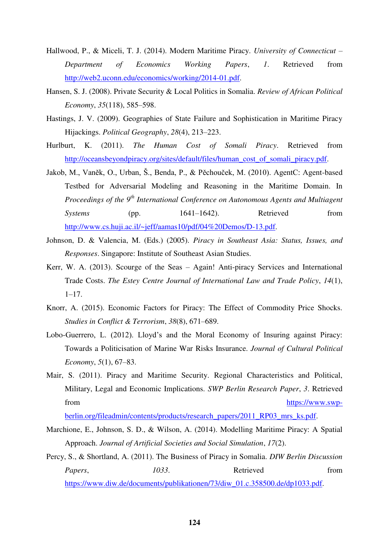- Hallwood, P., & Miceli, T. J. (2014). Modern Maritime Piracy. *University of Connecticut – Department of Economics Working Papers*, *1*. Retrieved from [http://web2.uconn.edu/economics/working/2014-01.pdf.](http://web2.uconn.edu/economics/working/2014-01.pdf)
- Hansen, S. J. (2008). Private Security & Local Politics in Somalia. *Review of African Political Economy*, *35*(118), 585–598.
- Hastings, J. V. (2009). Geographies of State Failure and Sophistication in Maritime Piracy Hijackings. *Political Geography*, *28*(4), 213–223.
- Hurlburt, K. (2011). *The Human Cost of Somali Piracy*. Retrieved from [http://oceansbeyondpiracy.org/sites/default/files/human\\_cost\\_of\\_somali\\_piracy.pdf.](http://oceansbeyondpiracy.org/sites/default/files/human_cost_of_somali_piracy.pdf)
- Jakob, M., Vaněk, O., Urban, Š., Benda, P., & Pěchouček, M. (2010). AgentC: Agent-based Testbed for Adversarial Modeling and Reasoning in the Maritime Domain. In *Proceedings of the 9th International Conference on Autonomous Agents and Multiagent Systems* (pp. 1641–1642). Retrieved from [http://www.cs.huji.ac.il/~jeff/aamas10/pdf/04%20Demos/D-13.pdf.](http://www.cs.huji.ac.il/~jeff/aamas10/pdf/04%20Demos/D-13.pdf)
- Johnson, D. & Valencia, M. (Eds.) (2005). *Piracy in Southeast Asia: Status, Issues, and Responses*. Singapore: Institute of Southeast Asian Studies.
- Kerr, W. A. (2013). Scourge of the Seas Again! Anti-piracy Services and International Trade Costs. *The Estey Centre Journal of International Law and Trade Policy*, *14*(1),  $1-17.$
- Knorr, A. (2015). Economic Factors for Piracy: The Effect of Commodity Price Shocks. *Studies in Conflict & Terrorism*, *38*(8), 671–689.
- Lobo-Guerrero, L. (2012). Lloyd's and the Moral Economy of Insuring against Piracy: Towards a Politicisation of Marine War Risks Insurance. *Journal of Cultural Political Economy*, *5*(1), 67–83.
- Mair, S. (2011). Piracy and Maritime Security. Regional Characteristics and Political, Military, Legal and Economic Implications. *SWP Berlin Research Paper*, *3*. Retrieved from [https://www.swp-](https://www.swp-berlin.org/fileadmin/contents/products/research_papers/2011_RP03_mrs_ks.pdf)

[berlin.org/fileadmin/contents/products/research\\_papers/2011\\_RP03\\_mrs\\_ks.pdf.](https://www.swp-berlin.org/fileadmin/contents/products/research_papers/2011_RP03_mrs_ks.pdf)

- Marchione, E., Johnson, S. D., & Wilson, A. (2014). Modelling Maritime Piracy: A Spatial Approach. *Journal of Artificial Societies and Social Simulation*, *17*(2).
- Percy, S., & Shortland, A. (2011). The Business of Piracy in Somalia. *DIW Berlin Discussion Papers*, *1033*. Retrieved from [https://www.diw.de/documents/publikationen/73/diw\\_01.c.358500.de/dp1033.pdf.](https://www.diw.de/documents/publikationen/73/diw_01.c.358500.de/dp1033.pdf)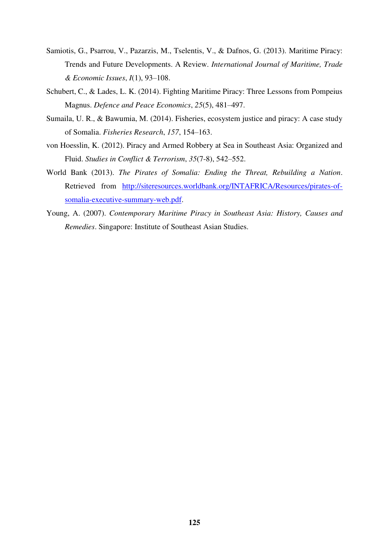- Samiotis, G., Psarrou, V., Pazarzis, M., Tselentis, V., & Dafnos, G. (2013). Maritime Piracy: Trends and Future Developments. A Review. *International Journal of Maritime, Trade & Economic Issues*, *I*(1), 93–108.
- Schubert, C., & Lades, L. K. (2014). Fighting Maritime Piracy: Three Lessons from Pompeius Magnus. *Defence and Peace Economics*, *25*(5), 481–497.
- Sumaila, U. R., & Bawumia, M. (2014). Fisheries, ecosystem justice and piracy: A case study of Somalia. *Fisheries Research*, *157*, 154–163.
- von Hoesslin, K. (2012). Piracy and Armed Robbery at Sea in Southeast Asia: Organized and Fluid. *Studies in Conflict & Terrorism*, *35*(7-8), 542–552.
- World Bank (2013). *The Pirates of Somalia: Ending the Threat, Rebuilding a Nation*. Retrieved from [http://siteresources.worldbank.org/INTAFRICA/Resources/pirates-of](http://siteresources.worldbank.org/INTAFRICA/Resources/pirates-of-somalia-executive-summary-web.pdf)[somalia-executive-summary-web.pdf.](http://siteresources.worldbank.org/INTAFRICA/Resources/pirates-of-somalia-executive-summary-web.pdf)
- Young, A. (2007). *Contemporary Maritime Piracy in Southeast Asia: History, Causes and Remedies*. Singapore: Institute of Southeast Asian Studies.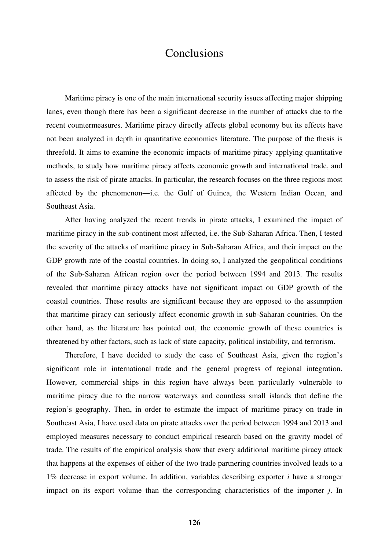# **Conclusions**

Maritime piracy is one of the main international security issues affecting major shipping lanes, even though there has been a significant decrease in the number of attacks due to the recent countermeasures. Maritime piracy directly affects global economy but its effects have not been analyzed in depth in quantitative economics literature. The purpose of the thesis is threefold. It aims to examine the economic impacts of maritime piracy applying quantitative methods, to study how maritime piracy affects economic growth and international trade, and to assess the risk of pirate attacks. In particular, the research focuses on the three regions most affected by the phenomenon―i.e. the Gulf of Guinea, the Western Indian Ocean, and Southeast Asia.

After having analyzed the recent trends in pirate attacks, I examined the impact of maritime piracy in the sub-continent most affected, i.e. the Sub-Saharan Africa. Then, I tested the severity of the attacks of maritime piracy in Sub-Saharan Africa, and their impact on the GDP growth rate of the coastal countries. In doing so, I analyzed the geopolitical conditions of the Sub-Saharan African region over the period between 1994 and 2013. The results revealed that maritime piracy attacks have not significant impact on GDP growth of the coastal countries. These results are significant because they are opposed to the assumption that maritime piracy can seriously affect economic growth in sub-Saharan countries. On the other hand, as the literature has pointed out, the economic growth of these countries is threatened by other factors, such as lack of state capacity, political instability, and terrorism.

Therefore, I have decided to study the case of Southeast Asia, given the region's significant role in international trade and the general progress of regional integration. However, commercial ships in this region have always been particularly vulnerable to maritime piracy due to the narrow waterways and countless small islands that define the region's geography. Then, in order to estimate the impact of maritime piracy on trade in Southeast Asia, I have used data on pirate attacks over the period between 1994 and 2013 and employed measures necessary to conduct empirical research based on the gravity model of trade. The results of the empirical analysis show that every additional maritime piracy attack that happens at the expenses of either of the two trade partnering countries involved leads to a 1% decrease in export volume. In addition, variables describing exporter *i* have a stronger impact on its export volume than the corresponding characteristics of the importer *j*. In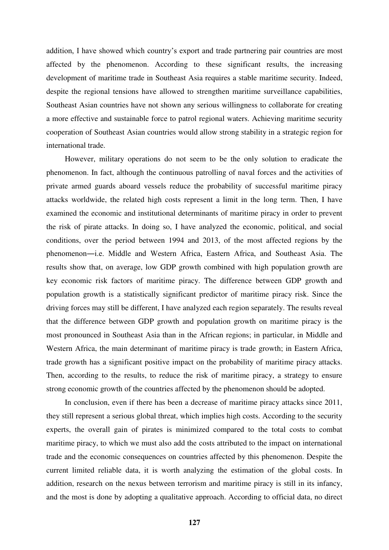addition, I have showed which country's export and trade partnering pair countries are most affected by the phenomenon. According to these significant results, the increasing development of maritime trade in Southeast Asia requires a stable maritime security. Indeed, despite the regional tensions have allowed to strengthen maritime surveillance capabilities, Southeast Asian countries have not shown any serious willingness to collaborate for creating a more effective and sustainable force to patrol regional waters. Achieving maritime security cooperation of Southeast Asian countries would allow strong stability in a strategic region for international trade.

However, military operations do not seem to be the only solution to eradicate the phenomenon. In fact, although the continuous patrolling of naval forces and the activities of private armed guards aboard vessels reduce the probability of successful maritime piracy attacks worldwide, the related high costs represent a limit in the long term. Then, I have examined the economic and institutional determinants of maritime piracy in order to prevent the risk of pirate attacks. In doing so, I have analyzed the economic, political, and social conditions, over the period between 1994 and 2013, of the most affected regions by the phenomenon―i.e. Middle and Western Africa, Eastern Africa, and Southeast Asia. The results show that, on average, low GDP growth combined with high population growth are key economic risk factors of maritime piracy. The difference between GDP growth and population growth is a statistically significant predictor of maritime piracy risk. Since the driving forces may still be different, I have analyzed each region separately. The results reveal that the difference between GDP growth and population growth on maritime piracy is the most pronounced in Southeast Asia than in the African regions; in particular, in Middle and Western Africa, the main determinant of maritime piracy is trade growth; in Eastern Africa, trade growth has a significant positive impact on the probability of maritime piracy attacks. Then, according to the results, to reduce the risk of maritime piracy, a strategy to ensure strong economic growth of the countries affected by the phenomenon should be adopted.

In conclusion, even if there has been a decrease of maritime piracy attacks since 2011, they still represent a serious global threat, which implies high costs. According to the security experts, the overall gain of pirates is minimized compared to the total costs to combat maritime piracy, to which we must also add the costs attributed to the impact on international trade and the economic consequences on countries affected by this phenomenon. Despite the current limited reliable data, it is worth analyzing the estimation of the global costs. In addition, research on the nexus between terrorism and maritime piracy is still in its infancy, and the most is done by adopting a qualitative approach. According to official data, no direct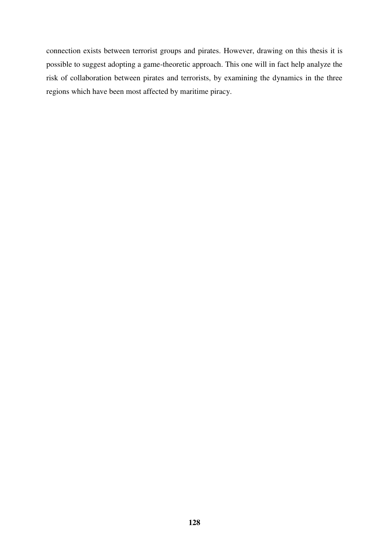connection exists between terrorist groups and pirates. However, drawing on this thesis it is possible to suggest adopting a game-theoretic approach. This one will in fact help analyze the risk of collaboration between pirates and terrorists, by examining the dynamics in the three regions which have been most affected by maritime piracy.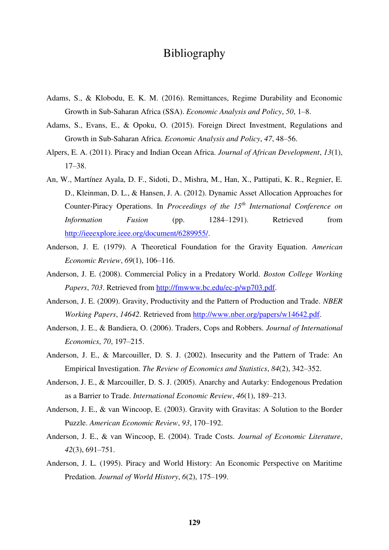# Bibliography

- Adams, S., & Klobodu, E. K. M. (2016). Remittances, Regime Durability and Economic Growth in Sub-Saharan Africa (SSA). *Economic Analysis and Policy*, *50*, 1–8.
- Adams, S., Evans, E., & Opoku, O. (2015). Foreign Direct Investment, Regulations and Growth in Sub-Saharan Africa. *Economic Analysis and Policy*, *47*, 48–56.
- Alpers, E. A. (2011). Piracy and Indian Ocean Africa. *Journal of African Development*, *13*(1), 17–38.
- An, W., Martínez Ayala, D. F., Sidoti, D., Mishra, M., Han, X., Pattipati, K. R., Regnier, E. D., Kleinman, D. L., & Hansen, J. A. (2012). Dynamic Asset Allocation Approaches for Counter-Piracy Operations. In *Proceedings of the 15th International Conference on Information Fusion* (pp. 1284–1291). Retrieved from [http://ieeexplore.ieee.org/document/6289955/.](http://ieeexplore.ieee.org/document/6289955/)
- Anderson, J. E. (1979). A Theoretical Foundation for the Gravity Equation. *American Economic Review*, *69*(1), 106–116.
- Anderson, J. E. (2008). Commercial Policy in a Predatory World. *Boston College Working Papers*, *703*. Retrieved from [http://fmwww.bc.edu/ec-p/wp703.pdf.](http://fmwww.bc.edu/ec-p/wp703.pdf)
- Anderson, J. E. (2009). Gravity, Productivity and the Pattern of Production and Trade. *NBER Working Papers*, *14642*. Retrieved from [http://www.nber.org/papers/w14642.pdf.](http://www.nber.org/papers/w14642.pdf)
- Anderson, J. E., & Bandiera, O. (2006). Traders, Cops and Robbers. *Journal of International Economics*, *70*, 197–215.
- Anderson, J. E., & Marcouiller, D. S. J. (2002). Insecurity and the Pattern of Trade: An Empirical Investigation. *The Review of Economics and Statistics*, *84*(2), 342–352.
- Anderson, J. E., & Marcouiller, D. S. J. (2005). Anarchy and Autarky: Endogenous Predation as a Barrier to Trade. *International Economic Review*, *46*(1), 189–213.
- Anderson, J. E., & van Wincoop, E. (2003). Gravity with Gravitas: A Solution to the Border Puzzle. *American Economic Review*, *93*, 170–192.
- Anderson, J. E., & van Wincoop, E. (2004). Trade Costs. *Journal of Economic Literature*, *42*(3), 691–751.
- Anderson, J. L. (1995). Piracy and World History: An Economic Perspective on Maritime Predation. *Journal of World History*, *6*(2), 175–199.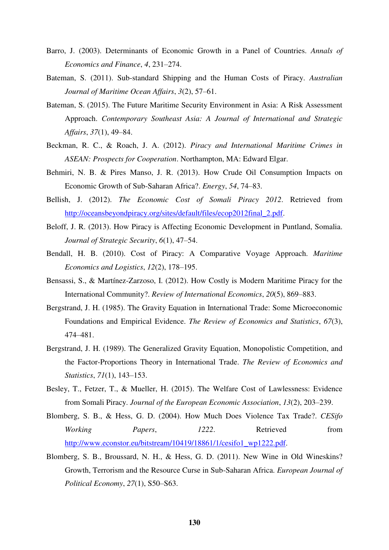- Barro, J. (2003). Determinants of Economic Growth in a Panel of Countries. *Annals of Economics and Finance*, *4*, 231–274.
- Bateman, S. (2011). Sub-standard Shipping and the Human Costs of Piracy. *Australian Journal of Maritime Ocean Affairs*, *3*(2), 57–61.
- Bateman, S. (2015). The Future Maritime Security Environment in Asia: A Risk Assessment Approach. *Contemporary Southeast Asia: A Journal of International and Strategic Affairs*, *37*(1), 49–84.
- Beckman, R. C., & Roach, J. A. (2012). *Piracy and International Maritime Crimes in ASEAN: Prospects for Cooperation*. Northampton, MA: Edward Elgar.
- Behmiri, N. B. & Pires Manso, J. R. (2013). How Crude Oil Consumption Impacts on Economic Growth of Sub-Saharan Africa?. *Energy*, *54*, 74–83.
- Bellish, J. (2012). *The Economic Cost of Somali Piracy 2012*. Retrieved from [http://oceansbeyondpiracy.org/sites/default/files/ecop2012final\\_2.pdf.](http://oceansbeyondpiracy.org/sites/default/files/ecop2012final_2.pdf)
- Beloff, J. R. (2013). How Piracy is Affecting Economic Development in Puntland, Somalia. *Journal of Strategic Security*, *6*(1), 47–54.
- Bendall, H. B. (2010). Cost of Piracy: A Comparative Voyage Approach. *Maritime Economics and Logistics*, *12*(2), 178–195.
- Bensassi, S., & Martínez-Zarzoso, I. (2012). How Costly is Modern Maritime Piracy for the International Community?. *Review of International Economics*, *20*(5), 869–883.
- Bergstrand, J. H. (1985). The Gravity Equation in International Trade: Some Microeconomic Foundations and Empirical Evidence. *The Review of Economics and Statistics*, *67*(3), 474–481.
- Bergstrand, J. H. (1989). The Generalized Gravity Equation, Monopolistic Competition, and the Factor-Proportions Theory in International Trade. *The Review of Economics and Statistics*, *71*(1), 143–153.
- Besley, T., Fetzer, T., & Mueller, H. (2015). The Welfare Cost of Lawlessness: Evidence from Somali Piracy. *Journal of the European Economic Association*, *13*(2), 203–239.
- Blomberg, S. B., & Hess, G. D. (2004). How Much Does Violence Tax Trade?. *CESifo Working Papers*, *1222*. Retrieved from [http://www.econstor.eu/bitstream/10419/18861/1/cesifo1\\_wp1222.pdf.](http://www.econstor.eu/bitstream/10419/18861/1/cesifo1_wp1222.pdf)
- Blomberg, S. B., Broussard, N. H., & Hess, G. D. (2011). New Wine in Old Wineskins? Growth, Terrorism and the Resource Curse in Sub-Saharan Africa. *European Journal of Political Economy*, *27*(1), S50–S63.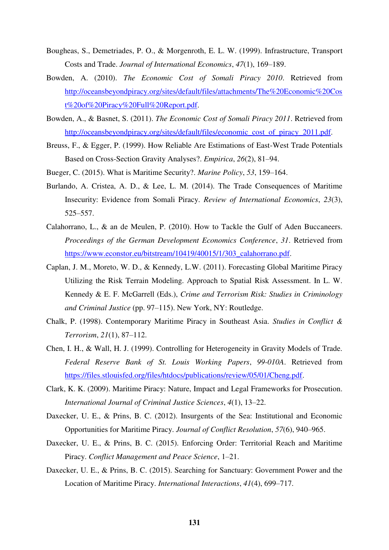- Bougheas, S., Demetriades, P. O., & Morgenroth, E. L. W. (1999). Infrastructure, Transport Costs and Trade. *Journal of International Economics*, *47*(1), 169–189.
- Bowden, A. (2010). *The Economic Cost of Somali Piracy 2010*. Retrieved from [http://oceansbeyondpiracy.org/sites/default/files/attachments/The%20Economic%20Cos](http://oceansbeyondpiracy.org/sites/default/files/attachments/The%20Economic%20Cost%20of%20Piracy%20Full%20Report.pdf) [t%20of%20Piracy%20Full%20Report.pdf.](http://oceansbeyondpiracy.org/sites/default/files/attachments/The%20Economic%20Cost%20of%20Piracy%20Full%20Report.pdf)
- Bowden, A., & Basnet, S. (2011). *The Economic Cost of Somali Piracy 2011*. Retrieved from [http://oceansbeyondpiracy.org/sites/default/files/economic\\_cost\\_of\\_piracy\\_2011.pdf.](http://oceansbeyondpiracy.org/sites/default/files/economic_cost_of_piracy_2011.pdf)
- Breuss, F., & Egger, P. (1999). How Reliable Are Estimations of East-West Trade Potentials Based on Cross-Section Gravity Analyses?. *Empirica*, *26*(2), 81–94.
- Bueger, C. (2015). What is Maritime Security?. *Marine Policy*, *53*, 159–164.
- Burlando, A. Cristea, A. D., & Lee, L. M. (2014). The Trade Consequences of Maritime Insecurity: Evidence from Somali Piracy. *Review of International Economics*, *23*(3), 525–557.
- Calahorrano, L., & an de Meulen, P. (2010). How to Tackle the Gulf of Aden Buccaneers. *Proceedings of the German Development Economics Conference*, *31*. Retrieved from [https://www.econstor.eu/bitstream/10419/40015/1/303\\_calahorrano.pdf.](https://www.econstor.eu/bitstream/10419/40015/1/303_calahorrano.pdf)
- Caplan, J. M., Moreto, W. D., & Kennedy, L.W. (2011). Forecasting Global Maritime Piracy Utilizing the Risk Terrain Modeling. Approach to Spatial Risk Assessment. In L. W. Kennedy & E. F. McGarrell (Eds.), *Crime and Terrorism Risk: Studies in Criminology and Criminal Justice* (pp. 97–115). New York, NY: Routledge.
- Chalk, P. (1998). Contemporary Maritime Piracy in Southeast Asia. *Studies in Conflict & Terrorism*, *21*(1), 87–112.
- Chen, I. H., & Wall, H. J. (1999). Controlling for Heterogeneity in Gravity Models of Trade. *Federal Reserve Bank of St. Louis Working Papers*, *99-010A*. Retrieved from [https://files.stlouisfed.org/files/htdocs/publications/review/05/01/Cheng.pdf.](https://files.stlouisfed.org/files/htdocs/publications/review/05/01/Cheng.pdf)
- Clark, K. K. (2009). Maritime Piracy: Nature, Impact and Legal Frameworks for Prosecution. *International Journal of Criminal Justice Sciences*, *4*(1), 13–22.
- Daxecker, U. E., & Prins, B. C. (2012). Insurgents of the Sea: Institutional and Economic Opportunities for Maritime Piracy. *Journal of Conflict Resolution*, *57*(6), 940–965.
- Daxecker, U. E., & Prins, B. C. (2015). Enforcing Order: Territorial Reach and Maritime Piracy. *Conflict Management and Peace Science*, 1–21.
- Daxecker, U. E., & Prins, B. C. (2015). Searching for Sanctuary: Government Power and the Location of Maritime Piracy. *International Interactions*, *41*(4), 699–717.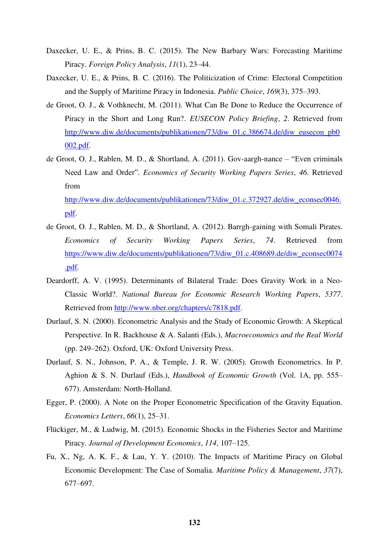- Daxecker, U. E., & Prins, B. C. (2015). The New Barbary Wars: Forecasting Maritime Piracy. *Foreign Policy Analysis*, *11*(1), 23–44.
- Daxecker, U. E., & Prins, B. C. (2016). The Politicization of Crime: Electoral Competition and the Supply of Maritime Piracy in Indonesia. *Public Choice*, *169*(3), 375–393.
- de Groot, O. J., & Vothknecht, M. (2011). What Can Be Done to Reduce the Occurrence of Piracy in the Short and Long Run?. *EUSECON Policy Briefing*, *2*. Retrieved from [http://www.diw.de/documents/publikationen/73/diw\\_01.c.386674.de/diw\\_eusecon\\_pb0](http://www.diw.de/documents/publikationen/73/diw_01.c.386674.de/diw_eusecon_pb0002.pdf) [002.pdf.](http://www.diw.de/documents/publikationen/73/diw_01.c.386674.de/diw_eusecon_pb0002.pdf)
- de Groot, O. J., Rablen, M. D., & Shortland, A. (2011). Gov-aargh-nance "Even criminals Need Law and Order". *Economics of Security Working Papers Series*, *46*. Retrieved from

[http://www.diw.de/documents/publikationen/73/diw\\_01.c.372927.de/diw\\_econsec0046.](http://www.diw.de/documents/publikationen/73/diw_01.c.372927.de/diw_econsec0046.pdf) [pdf.](http://www.diw.de/documents/publikationen/73/diw_01.c.372927.de/diw_econsec0046.pdf)

- de Groot, O. J., Rablen, M. D., & Shortland, A. (2012). Barrgh-gaining with Somali Pirates. *Economics of Security Working Papers Series*, *74*. Retrieved from [https://www.diw.de/documents/publikationen/73/diw\\_01.c.408689.de/diw\\_econsec0074](https://www.diw.de/documents/publikationen/73/diw_01.c.408689.de/diw_econsec0074.pdf) [.pdf.](https://www.diw.de/documents/publikationen/73/diw_01.c.408689.de/diw_econsec0074.pdf)
- Deardorff, A. V. (1995). Determinants of Bilateral Trade: Does Gravity Work in a Neo-Classic World?. *National Bureau for Economic Research Working Papers*, *5377*. Retrieved from [http://www.nber.org/chapters/c7818.pdf.](http://www.nber.org/chapters/c7818.pdf)
- Durlauf, S. N. (2000). Econometric Analysis and the Study of Economic Growth: A Skeptical Perspective. In R. Backhouse & A. Salanti (Eds.), *Macroeconomics and the Real World* (pp. 249–262). Oxford, UK: Oxford University Press.
- Durlauf, S. N., Johnson, P. A., & Temple, J. R. W. (2005). Growth Econometrics. In P. Aghion & S. N. Durlauf (Eds.), *Handbook of Economic Growth* (Vol. 1A, pp. 555– 677). Amsterdam: North-Holland.
- Egger, P. (2000). A Note on the Proper Econometric Specification of the Gravity Equation. *Economics Letters*, *66*(1), 25–31.
- Flückiger, M., & Ludwig, M. (2015). Economic Shocks in the Fisheries Sector and Maritime Piracy. *Journal of Development Economics*, *114*, 107–125.
- Fu, X., Ng, A. K. F., & Lau, Y. Y. (2010). The Impacts of Maritime Piracy on Global Economic Development: The Case of Somalia. *Maritime Policy & Management*, *37*(7), 677–697.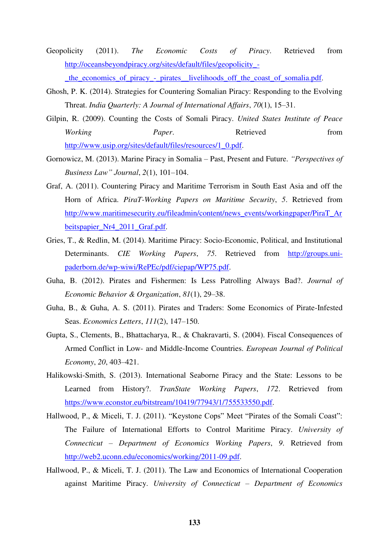Geopolicity (2011). *The Economic Costs of Piracy*. Retrieved from http://oceansbeyondpiracy.org/sites/default/files/geopolicity -

the economics of piracy\_-\_pirates\_\_livelihoods\_off\_the\_coast\_of\_somalia.pdf.

- Ghosh, P. K. (2014). Strategies for Countering Somalian Piracy: Responding to the Evolving Threat. *India Quarterly: A Journal of International Affairs*, *70*(1), 15–31.
- Gilpin, R. (2009). Counting the Costs of Somali Piracy. *United States Institute of Peace Working Paper*. Retrieved from [http://www.usip.org/sites/default/files/resources/1\\_0.pdf.](http://www.usip.org/sites/default/files/resources/1_0.pdf)
- Gornowicz, M. (2013). Marine Piracy in Somalia Past, Present and Future. *"Perspectives of Business Law" Journal*, *2*(1), 101–104.
- Graf, A. (2011). Countering Piracy and Maritime Terrorism in South East Asia and off the Horn of Africa. *PiraT-Working Papers on Maritime Security*, *5*. Retrieved from [http://www.maritimesecurity.eu/fileadmin/content/news\\_events/workingpaper/PiraT\\_Ar](http://www.maritimesecurity.eu/fileadmin/content/news_events/workingpaper/PiraT_Arbeitspapier_Nr4_2011_Graf.pdf) [beitspapier\\_Nr4\\_2011\\_Graf.pdf.](http://www.maritimesecurity.eu/fileadmin/content/news_events/workingpaper/PiraT_Arbeitspapier_Nr4_2011_Graf.pdf)
- Gries, T., & Redlin, M. (2014). Maritime Piracy: Socio-Economic, Political, and Institutional Determinants. *CIE Working Papers*, *75*. Retrieved from [http://groups.uni](http://groups.uni-paderborn.de/wp-wiwi/RePEc/pdf/ciepap/WP75.pdf)[paderborn.de/wp-wiwi/RePEc/pdf/ciepap/WP75.pdf.](http://groups.uni-paderborn.de/wp-wiwi/RePEc/pdf/ciepap/WP75.pdf)
- Guha, B. (2012). Pirates and Fishermen: Is Less Patrolling Always Bad?. *Journal of Economic Behavior & Organization*, *81*(1), 29–38.
- Guha, B., & Guha, A. S. (2011). Pirates and Traders: Some Economics of Pirate-Infested Seas. *Economics Letters*, *111*(2), 147–150.
- Gupta, S., Clements, B., Bhattacharya, R., & Chakravarti, S. (2004). Fiscal Consequences of Armed Conflict in Low- and Middle-Income Countries. *European Journal of Political Economy*, *20*, 403–421.
- Halikowski-Smith, S. (2013). International Seaborne Piracy and the State: Lessons to be Learned from History?. *TranState Working Papers*, *172*. Retrieved from [https://www.econstor.eu/bitstream/10419/77943/1/755533550.pdf.](https://www.econstor.eu/bitstream/10419/77943/1/755533550.pdf)
- Hallwood, P., & Miceli, T. J. (2011). "Keystone Cops" Meet "Pirates of the Somali Coast": The Failure of International Efforts to Control Maritime Piracy. *University of Connecticut – Department of Economics Working Papers*, *9*. Retrieved from [http://web2.uconn.edu/economics/working/2011-09.pdf.](http://web2.uconn.edu/economics/working/2011-09.pdf)
- Hallwood, P., & Miceli, T. J. (2011). The Law and Economics of International Cooperation against Maritime Piracy. *University of Connecticut – Department of Economics*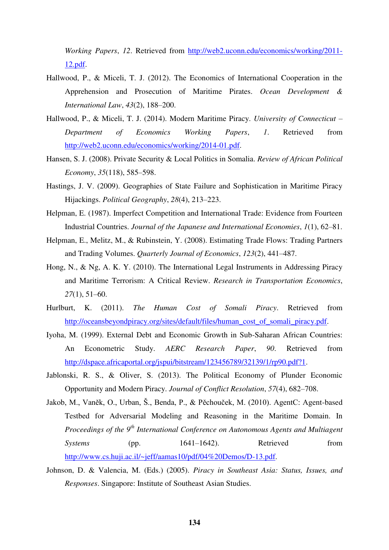*Working Papers*, *12*. Retrieved from [http://web2.uconn.edu/economics/working/2011-](http://web2.uconn.edu/economics/working/2011-12.pdf) [12.pdf.](http://web2.uconn.edu/economics/working/2011-12.pdf)

- Hallwood, P., & Miceli, T. J. (2012). The Economics of International Cooperation in the Apprehension and Prosecution of Maritime Pirates. *Ocean Development & International Law*, *43*(2), 188–200.
- Hallwood, P., & Miceli, T. J. (2014). Modern Maritime Piracy. *University of Connecticut – Department of Economics Working Papers*, *1*. Retrieved from [http://web2.uconn.edu/economics/working/2014-01.pdf.](http://web2.uconn.edu/economics/working/2014-01.pdf)
- Hansen, S. J. (2008). Private Security & Local Politics in Somalia. *Review of African Political Economy*, *35*(118), 585–598.
- Hastings, J. V. (2009). Geographies of State Failure and Sophistication in Maritime Piracy Hijackings. *Political Geography*, *28*(4), 213–223.
- Helpman, E. (1987). Imperfect Competition and International Trade: Evidence from Fourteen Industrial Countries. *Journal of the Japanese and International Economies*, *1*(1), 62–81.
- Helpman, E., Melitz, M., & Rubinstein, Y. (2008). Estimating Trade Flows: Trading Partners and Trading Volumes. *Quarterly Journal of Economics*, *123*(2), 441–487.
- Hong, N., & Ng, A. K. Y. (2010). The International Legal Instruments in Addressing Piracy and Maritime Terrorism: A Critical Review. *Research in Transportation Economics*, *27*(1), 51–60.
- Hurlburt, K. (2011). *The Human Cost of Somali Piracy*. Retrieved from [http://oceansbeyondpiracy.org/sites/default/files/human\\_cost\\_of\\_somali\\_piracy.pdf.](http://oceansbeyondpiracy.org/sites/default/files/human_cost_of_somali_piracy.pdf)
- Iyoha, M. (1999). External Debt and Economic Growth in Sub-Saharan African Countries: An Econometric Study. *AERC Research Paper*, *90*. Retrieved from [http://dspace.africaportal.org/jspui/bitstream/123456789/32139/1/rp90.pdf?1.](http://dspace.africaportal.org/jspui/bitstream/123456789/32139/1/rp90.pdf?1)
- Jablonski, R. S., & Oliver, S. (2013). The Political Economy of Plunder Economic Opportunity and Modern Piracy. *Journal of Conflict Resolution*, *57*(4), 682–708.
- Jakob, M., Vaněk, O., Urban, Š., Benda, P., & Pěchouček, M. (2010). AgentC: Agent-based Testbed for Adversarial Modeling and Reasoning in the Maritime Domain. In *Proceedings of the 9th International Conference on Autonomous Agents and Multiagent Systems* (pp. 1641–1642). Retrieved from [http://www.cs.huji.ac.il/~jeff/aamas10/pdf/04%20Demos/D-13.pdf.](http://www.cs.huji.ac.il/~jeff/aamas10/pdf/04%20Demos/D-13.pdf)
- Johnson, D. & Valencia, M. (Eds.) (2005). *Piracy in Southeast Asia: Status, Issues, and Responses*. Singapore: Institute of Southeast Asian Studies.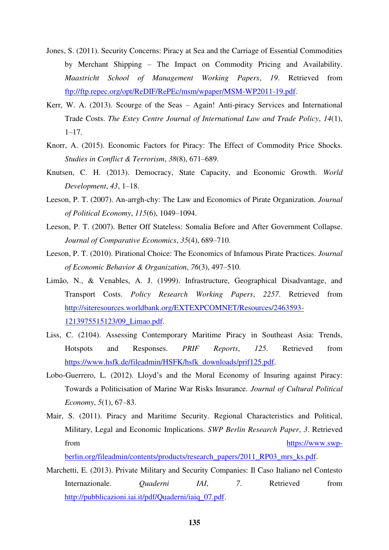- Jones, S. (2011). Security Concerns: Piracy at Sea and the Carriage of Essential Commodities by Merchant Shipping – The Impact on Commodity Pricing and Availability. *Maastricht School of Management Working Papers*, *19*. Retrieved from [ftp://ftp.repec.org/opt/ReDIF/RePEc/msm/wpaper/MSM-WP2011-19.pdf.](ftp://ftp.repec.org/opt/ReDIF/RePEc/msm/wpaper/MSM-WP2011-19.pdf)
- Kerr, W. A. (2013). Scourge of the Seas Again! Anti-piracy Services and International Trade Costs. *The Estey Centre Journal of International Law and Trade Policy*, *14*(1),  $1-17.$
- Knorr, A. (2015). Economic Factors for Piracy: The Effect of Commodity Price Shocks. *Studies in Conflict & Terrorism*, *38*(8), 671–689.
- Knutsen, C. H. (2013). Democracy, State Capacity, and Economic Growth. *World Development*, *43*, 1–18.
- Leeson, P. T. (2007). An-arrgh-chy: The Law and Economics of Pirate Organization. *Journal of Political Economy*, *115*(6), 1049–1094.
- Leeson, P. T. (2007). Better Off Stateless: Somalia Before and After Government Collapse. *Journal of Comparative Economics*, *35*(4), 689–710.
- Leeson, P. T. (2010). Pirational Choice: The Economics of Infamous Pirate Practices. *Journal of Economic Behavior & Organization*, *76*(3), 497–510.
- Limão, N., & Venables, A. J. (1999). Infrastructure, Geographical Disadvantage, and Transport Costs. *Policy Research Working Papers*, *2257*. Retrieved from [http://siteresources.worldbank.org/EXTEXPCOMNET/Resources/2463593-](http://siteresources.worldbank.org/EXTEXPCOMNET/Resources/2463593-1213975515123/09_Limao.pdf) [1213975515123/09\\_Limao.pdf.](http://siteresources.worldbank.org/EXTEXPCOMNET/Resources/2463593-1213975515123/09_Limao.pdf)
- Liss, C. (2104). Assessing Contemporary Maritime Piracy in Southeast Asia: Trends, Hotspots and Responses. *PRIF Reports*, *125*. Retrieved from [https://www.hsfk.de/fileadmin/HSFK/hsfk\\_downloads/prif125.pdf.](https://www.hsfk.de/fileadmin/HSFK/hsfk_downloads/prif125.pdf)
- Lobo-Guerrero, L. (2012). Lloyd's and the Moral Economy of Insuring against Piracy: Towards a Politicisation of Marine War Risks Insurance. *Journal of Cultural Political Economy*, *5*(1), 67–83.
- Mair, S. (2011). Piracy and Maritime Security. Regional Characteristics and Political, Military, Legal and Economic Implications. *SWP Berlin Research Paper*, *3*. Retrieved from [https://www.swp-](https://www.swp-berlin.org/fileadmin/contents/products/research_papers/2011_RP03_mrs_ks.pdf)

```
berlin.org/fileadmin/contents/products/research_papers/2011_RP03_mrs_ks.pdf.
```
Marchetti, E. (2013). Private Military and Security Companies: Il Caso Italiano nel Contesto Internazionale. *Quaderni IAI*, *7*. Retrieved from [http://pubblicazioni.iai.it/pdf/Quaderni/iaiq\\_07.pdf.](http://pubblicazioni.iai.it/pdf/Quaderni/iaiq_07.pdf)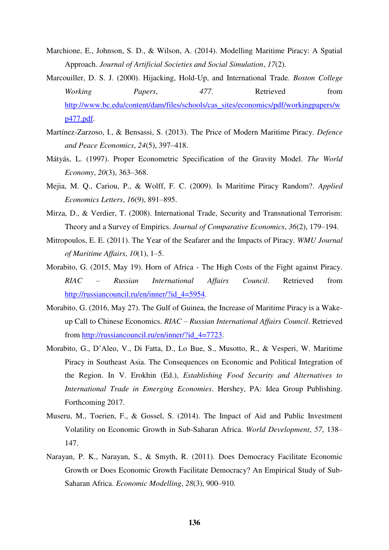- Marchione, E., Johnson, S. D., & Wilson, A. (2014). Modelling Maritime Piracy: A Spatial Approach. *Journal of Artificial Societies and Social Simulation*, *17*(2).
- Marcouiller, D. S. J. (2000). Hijacking, Hold-Up, and International Trade. *Boston College Working Papers*, *477*. Retrieved from [http://www.bc.edu/content/dam/files/schools/cas\\_sites/economics/pdf/workingpapers/w](http://www.bc.edu/content/dam/files/schools/cas_sites/economics/pdf/workingpapers/wp477.pdf) [p477.pdf.](http://www.bc.edu/content/dam/files/schools/cas_sites/economics/pdf/workingpapers/wp477.pdf)
- Martínez-Zarzoso, I., & Bensassi, S. (2013). The Price of Modern Maritime Piracy. *Defence and Peace Economics*, *24*(5), 397–418.
- Mátyás, L. (1997). Proper Econometric Specification of the Gravity Model. *The World Economy*, *20*(3), 363–368.
- Mejia, M. Q., Cariou, P., & Wolff, F. C. (2009). Is Maritime Piracy Random?. *Applied Economics Letters*, *16*(9), 891–895.
- Mirza, D., & Verdier, T. (2008). International Trade, Security and Transnational Terrorism: Theory and a Survey of Empirics. *Journal of Comparative Economics*, *36*(2), 179–194.
- Mitropoulos, E. E. (2011). The Year of the Seafarer and the Impacts of Piracy. *WMU Journal of Maritime Affairs*, *10*(1), 1–5.
- Morabito, G. (2015, May 19). Horn of Africa The High Costs of the Fight against Piracy. *RIAC – Russian International Affairs Council*. Retrieved from [http://russiancouncil.ru/en/inner/?id\\_4=5954.](http://russiancouncil.ru/en/inner/?id_4=5954)
- Morabito, G. (2016, May 27). The Gulf of Guinea, the Increase of Maritime Piracy is a Wakeup Call to Chinese Economics. *RIAC – Russian International Affairs Council*. Retrieved from [http://russiancouncil.ru/en/inner/?id\\_4=7723.](http://russiancouncil.ru/en/inner/?id_4=7723)
- Morabito, G., D'Aleo, V., Di Fatta, D., Lo Bue, S., Musotto, R., & Vesperi, W. Maritime Piracy in Southeast Asia. The Consequences on Economic and Political Integration of the Region. In V. Erokhin (Ed.), *Establishing Food Security and Alternatives to International Trade in Emerging Economies*. Hershey, PA: Idea Group Publishing. Forthcoming 2017.
- Museru, M., Toerien, F., & Gossel, S. (2014). The Impact of Aid and Public Investment Volatility on Economic Growth in Sub-Saharan Africa. *World Development*, *57*, 138– 147.
- Narayan, P. K., Narayan, S., & Smyth, R. (2011). Does Democracy Facilitate Economic Growth or Does Economic Growth Facilitate Democracy? An Empirical Study of Sub-Saharan Africa. *Economic Modelling*, *28*(3), 900–910.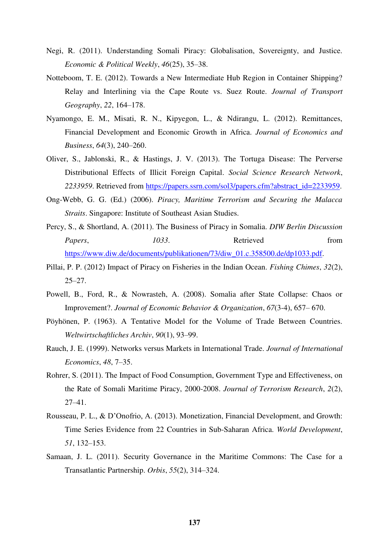- Negi, R. (2011). Understanding Somali Piracy: Globalisation, Sovereignty, and Justice. *Economic & Political Weekly*, *46*(25), 35–38.
- Notteboom, T. E. (2012). Towards a New Intermediate Hub Region in Container Shipping? Relay and Interlining via the Cape Route vs. Suez Route. *Journal of Transport Geography*, *22*, 164–178.
- Nyamongo, E. M., Misati, R. N., Kipyegon, L., & Ndirangu, L. (2012). Remittances, Financial Development and Economic Growth in Africa. *Journal of Economics and Business*, *64*(3), 240–260.
- Oliver, S., Jablonski, R., & Hastings, J. V. (2013). The Tortuga Disease: The Perverse Distributional Effects of Illicit Foreign Capital. *Social Science Research Network*, *2233959*. Retrieved from [https://papers.ssrn.com/sol3/papers.cfm?abstract\\_id=2233959.](https://papers.ssrn.com/sol3/papers.cfm?abstract_id=2233959)
- Ong-Webb, G. G. (Ed.) (2006). *Piracy, Maritime Terrorism and Securing the Malacca Straits*. Singapore: Institute of Southeast Asian Studies.
- Percy, S., & Shortland, A. (2011). The Business of Piracy in Somalia. *DIW Berlin Discussion Papers*, *1033*. Retrieved from [https://www.diw.de/documents/publikationen/73/diw\\_01.c.358500.de/dp1033.pdf.](https://www.diw.de/documents/publikationen/73/diw_01.c.358500.de/dp1033.pdf)
- Pillai, P. P. (2012) Impact of Piracy on Fisheries in the Indian Ocean. *Fishing Chimes*, *32*(2), 25–27.
- Powell, B., Ford, R., & Nowrasteh, A. (2008). Somalia after State Collapse: Chaos or Improvement?. *Journal of Economic Behavior & Organization*, *67*(3-4), 657– 670.
- Pöyhönen, P. (1963). A Tentative Model for the Volume of Trade Between Countries. *Weltwirtschaftliches Archiv*, *90*(1), 93–99.
- Rauch, J. E. (1999). Networks versus Markets in International Trade. *Journal of International Economics*, *48*, 7–35.
- Rohrer, S. (2011). The Impact of Food Consumption, Government Type and Effectiveness, on the Rate of Somali Maritime Piracy, 2000-2008. *Journal of Terrorism Research*, *2*(2), 27–41.
- Rousseau, P. L., & D'Onofrio, A. (2013). Monetization, Financial Development, and Growth: Time Series Evidence from 22 Countries in Sub-Saharan Africa. *World Development*, *51*, 132–153.
- Samaan, J. L. (2011). Security Governance in the Maritime Commons: The Case for a Transatlantic Partnership. *Orbis*, *55*(2), 314–324.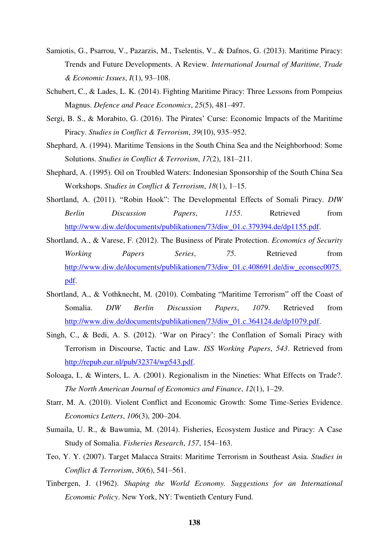- Samiotis, G., Psarrou, V., Pazarzis, M., Tselentis, V., & Dafnos, G. (2013). Maritime Piracy: Trends and Future Developments. A Review. *International Journal of Maritime, Trade & Economic Issues*, *I*(1), 93–108.
- Schubert, C., & Lades, L. K. (2014). Fighting Maritime Piracy: Three Lessons from Pompeius Magnus. *Defence and Peace Economics*, *25*(5), 481–497.
- Sergi, B. S., & Morabito, G. (2016). The Pirates' Curse: Economic Impacts of the Maritime Piracy. *Studies in Conflict & Terrorism*, *39*(10), 935–952.
- Shephard, A. (1994). Maritime Tensions in the South China Sea and the Neighborhood: Some Solutions. *Studies in Conflict & Terrorism*, *17*(2), 181–211.
- Shephard, A. (1995). Oil on Troubled Waters: Indonesian Sponsorship of the South China Sea Workshops. *Studies in Conflict & Terrorism*, *18*(1), 1–15.
- Shortland, A. (2011). "Robin Hook": The Developmental Effects of Somali Piracy. *DIW Berlin Discussion Papers*, *1155*. Retrieved from [http://www.diw.de/documents/publikationen/73/diw\\_01.c.379394.de/dp1155.pdf.](http://www.diw.de/documents/publikationen/73/diw_01.c.379394.de/dp1155.pdf)
- Shortland, A., & Varese, F. (2012). The Business of Pirate Protection. *Economics of Security Working Papers Series*, *75*. Retrieved from [http://www.diw.de/documents/publikationen/73/diw\\_01.c.408691.de/diw\\_econsec0075.](http://www.diw.de/documents/publikationen/73/diw_01.c.408691.de/diw_econsec0075.pdf) [pdf.](http://www.diw.de/documents/publikationen/73/diw_01.c.408691.de/diw_econsec0075.pdf)
- Shortland, A., & Vothknecht, M. (2010). Combating "Maritime Terrorism" off the Coast of Somalia. *DIW Berlin Discussion Papers*, *1079*. Retrieved from [http://www.diw.de/documents/publikationen/73/diw\\_01.c.364124.de/dp1079.pdf.](http://www.diw.de/documents/publikationen/73/diw_01.c.364124.de/dp1079.pdf)
- Singh, C., & Bedi, A. S. (2012). 'War on Piracy': the Conflation of Somali Piracy with Terrorism in Discourse, Tactic and Law. *ISS Working Papers*, *543*. Retrieved from [http://repub.eur.nl/pub/32374/wp543.pdf.](http://repub.eur.nl/pub/32374/wp543.pdf)
- Soloaga, I., & Winters, L. A. (2001). Regionalism in the Nineties: What Effects on Trade?. *The North American Journal of Economics and Finance*, *12*(1), 1–29.
- Starr, M. A. (2010). Violent Conflict and Economic Growth: Some Time-Series Evidence. *Economics Letters*, *106*(3), 200–204.
- Sumaila, U. R., & Bawumia, M. (2014). Fisheries, Ecosystem Justice and Piracy: A Case Study of Somalia. *Fisheries Research*, *157*, 154–163.
- Teo, Y. Y. (2007). Target Malacca Straits: Maritime Terrorism in Southeast Asia. *Studies in Conflict & Terrorism*, *30*(6), 541–561.
- Tinbergen, J. (1962). *Shaping the World Economy. Suggestions for an International Economic Policy*. New York, NY: Twentieth Century Fund.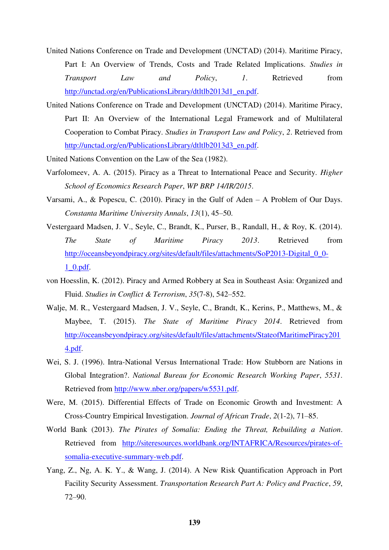- United Nations Conference on Trade and Development (UNCTAD) (2014). Maritime Piracy, Part I: An Overview of Trends, Costs and Trade Related Implications. *Studies in Transport Law and Policy*, *1*. Retrieved from [http://unctad.org/en/PublicationsLibrary/dtltlb2013d1\\_en.pdf.](http://unctad.org/en/PublicationsLibrary/dtltlb2013d1_en.pdf)
- United Nations Conference on Trade and Development (UNCTAD) (2014). Maritime Piracy, Part II: An Overview of the International Legal Framework and of Multilateral Cooperation to Combat Piracy. *Studies in Transport Law and Policy*, *2*. Retrieved from [http://unctad.org/en/PublicationsLibrary/dtltlb2013d3\\_en.pdf.](http://unctad.org/en/PublicationsLibrary/dtltlb2013d3_en.pdf)
- United Nations Convention on the Law of the Sea (1982).
- Varfolomeev, A. A. (2015). Piracy as a Threat to International Peace and Security. *Higher School of Economics Research Paper*, *WP BRP 14/IR/2015*.
- Varsami, A., & Popescu, C. (2010). Piracy in the Gulf of Aden A Problem of Our Days. *Constanta Maritime University Annals*, *13*(1), 45–50.
- Vestergaard Madsen, J. V., Seyle, C., Brandt, K., Purser, B., Randall, H., & Roy, K. (2014). *The State of Maritime Piracy 2013*. Retrieved from [http://oceansbeyondpiracy.org/sites/default/files/attachments/SoP2013-Digital\\_0\\_0-](http://oceansbeyondpiracy.org/sites/default/files/attachments/SoP2013-Digital_0_0-1_0.pdf) [1\\_0.pdf.](http://oceansbeyondpiracy.org/sites/default/files/attachments/SoP2013-Digital_0_0-1_0.pdf)
- von Hoesslin, K. (2012). Piracy and Armed Robbery at Sea in Southeast Asia: Organized and Fluid. *Studies in Conflict & Terrorism*, *35*(7-8), 542–552.
- Walje, M. R., Vestergaard Madsen, J. V., Seyle, C., Brandt, K., Kerins, P., Matthews, M., & Maybee, T. (2015). *The State of Maritime Piracy 2014*. Retrieved from [http://oceansbeyondpiracy.org/sites/default/files/attachments/StateofMaritimePiracy201](http://oceansbeyondpiracy.org/sites/default/files/attachments/StateofMaritimePiracy2014.pdf) [4.pdf.](http://oceansbeyondpiracy.org/sites/default/files/attachments/StateofMaritimePiracy2014.pdf)
- Wei, S. J. (1996). Intra-National Versus International Trade: How Stubborn are Nations in Global Integration?. *National Bureau for Economic Research Working Paper*, *5531*. Retrieved from [http://www.nber.org/papers/w5531.pdf.](http://www.nber.org/papers/w5531.pdf)
- Were, M. (2015). Differential Effects of Trade on Economic Growth and Investment: A Cross-Country Empirical Investigation. *Journal of African Trade*, *2*(1-2), 71–85.
- World Bank (2013). *The Pirates of Somalia: Ending the Threat, Rebuilding a Nation*. Retrieved from [http://siteresources.worldbank.org/INTAFRICA/Resources/pirates-of](http://siteresources.worldbank.org/INTAFRICA/Resources/pirates-of-somalia-executive-summary-web.pdf)[somalia-executive-summary-web.pdf.](http://siteresources.worldbank.org/INTAFRICA/Resources/pirates-of-somalia-executive-summary-web.pdf)
- Yang, Z., Ng, A. K. Y., & Wang, J. (2014). A New Risk Quantification Approach in Port Facility Security Assessment. *Transportation Research Part A: Policy and Practice*, *59*, 72–90.